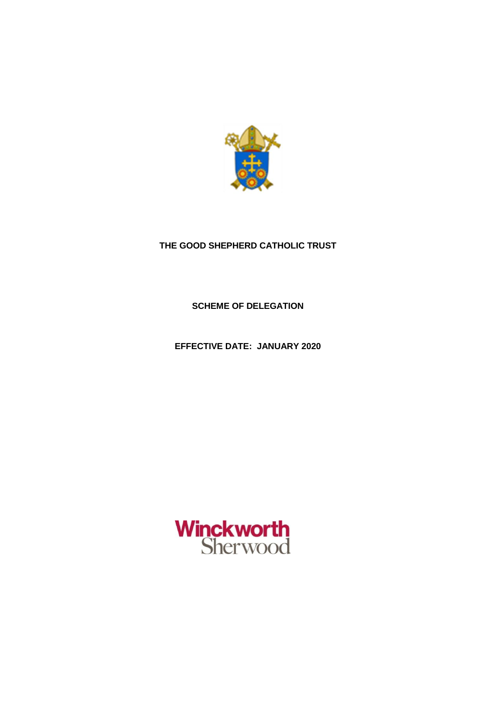

# **THE GOOD SHEPHERD CATHOLIC TRUST**

**SCHEME OF DELEGATION**

**EFFECTIVE DATE: JANUARY 2020**

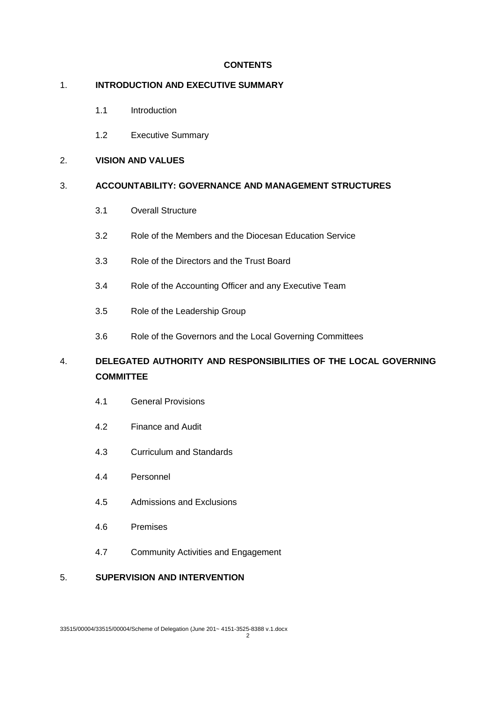# **CONTENTS**

# 1. **INTRODUCTION AND EXECUTIVE SUMMARY**

- 1.1 Introduction
- 1.2 Executive Summary

# 2. **VISION AND VALUES**

# 3. **ACCOUNTABILITY: GOVERNANCE AND MANAGEMENT STRUCTURES**

- 3.1 Overall Structure
- 3.2 Role of the Members and the Diocesan Education Service
- 3.3 Role of the Directors and the Trust Board
- 3.4 Role of the Accounting Officer and any Executive Team
- 3.5 Role of the Leadership Group
- 3.6 Role of the Governors and the Local Governing Committees

# 4. **DELEGATED AUTHORITY AND RESPONSIBILITIES OF THE LOCAL GOVERNING COMMITTEE**

- 4.1 General Provisions
- 4.2 Finance and Audit
- 4.3 Curriculum and Standards
- 4.4 Personnel
- 4.5 Admissions and Exclusions
- 4.6 Premises
- 4.7 Community Activities and Engagement

# 5. **SUPERVISION AND INTERVENTION**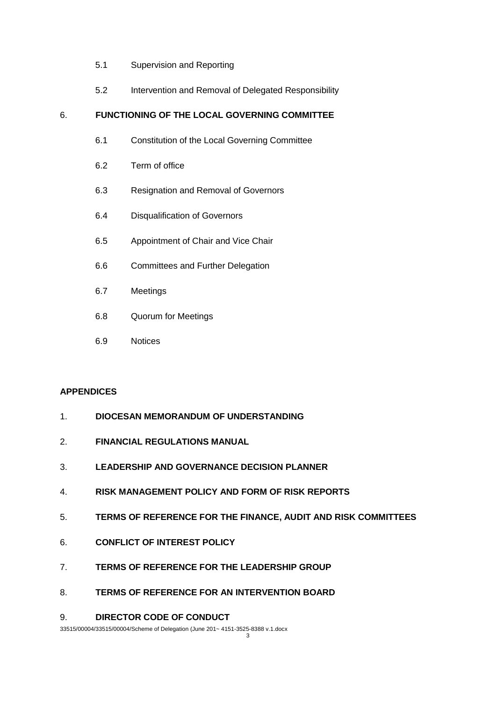- 5.1 Supervision and Reporting
- 5.2 Intervention and Removal of Delegated Responsibility

# 6. **FUNCTIONING OF THE LOCAL GOVERNING COMMITTEE**

- 6.1 Constitution of the Local Governing Committee
- 6.2 Term of office
- 6.3 Resignation and Removal of Governors
- 6.4 Disqualification of Governors
- 6.5 Appointment of Chair and Vice Chair
- 6.6 Committees and Further Delegation
- 6.7 Meetings
- 6.8 Quorum for Meetings
- 6.9 Notices

## **APPENDICES**

- 1. **DIOCESAN MEMORANDUM OF UNDERSTANDING**
- 2. **FINANCIAL REGULATIONS MANUAL**
- 3. **LEADERSHIP AND GOVERNANCE DECISION PLANNER**
- 4. **RISK MANAGEMENT POLICY AND FORM OF RISK REPORTS**
- 5. **TERMS OF REFERENCE FOR THE FINANCE, AUDIT AND RISK COMMITTEES**
- 6. **CONFLICT OF INTEREST POLICY**
- 7. **TERMS OF REFERENCE FOR THE LEADERSHIP GROUP**
- 8. **TERMS OF REFERENCE FOR AN INTERVENTION BOARD**

### 9. **DIRECTOR CODE OF CONDUCT**

33515/00004/33515/00004/Scheme of Delegation (June 201~ 4151-3525-8388 v.1.docx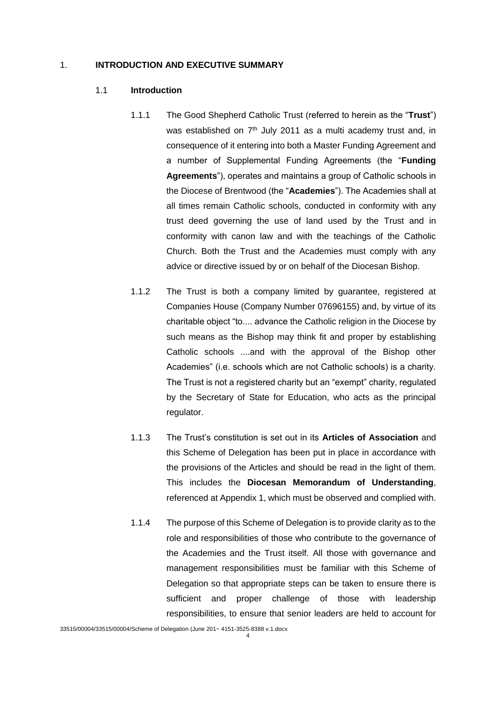### 1. **INTRODUCTION AND EXECUTIVE SUMMARY**

### 1.1 **Introduction**

- 1.1.1 The Good Shepherd Catholic Trust (referred to herein as the "**Trust**") was established on 7<sup>th</sup> July 2011 as a multi academy trust and, in consequence of it entering into both a Master Funding Agreement and a number of Supplemental Funding Agreements (the "**Funding Agreements**"), operates and maintains a group of Catholic schools in the Diocese of Brentwood (the "**Academies**"). The Academies shall at all times remain Catholic schools, conducted in conformity with any trust deed governing the use of land used by the Trust and in conformity with canon law and with the teachings of the Catholic Church. Both the Trust and the Academies must comply with any advice or directive issued by or on behalf of the Diocesan Bishop.
- 1.1.2 The Trust is both a company limited by guarantee, registered at Companies House (Company Number 07696155) and, by virtue of its charitable object "to.... advance the Catholic religion in the Diocese by such means as the Bishop may think fit and proper by establishing Catholic schools ....and with the approval of the Bishop other Academies" (i.e. schools which are not Catholic schools) is a charity. The Trust is not a registered charity but an "exempt" charity, regulated by the Secretary of State for Education, who acts as the principal regulator.
- 1.1.3 The Trust's constitution is set out in its **Articles of Association** and this Scheme of Delegation has been put in place in accordance with the provisions of the Articles and should be read in the light of them. This includes the **Diocesan Memorandum of Understanding**, referenced at Appendix 1, which must be observed and complied with.
- 1.1.4 The purpose of this Scheme of Delegation is to provide clarity as to the role and responsibilities of those who contribute to the governance of the Academies and the Trust itself. All those with governance and management responsibilities must be familiar with this Scheme of Delegation so that appropriate steps can be taken to ensure there is sufficient and proper challenge of those with leadership responsibilities, to ensure that senior leaders are held to account for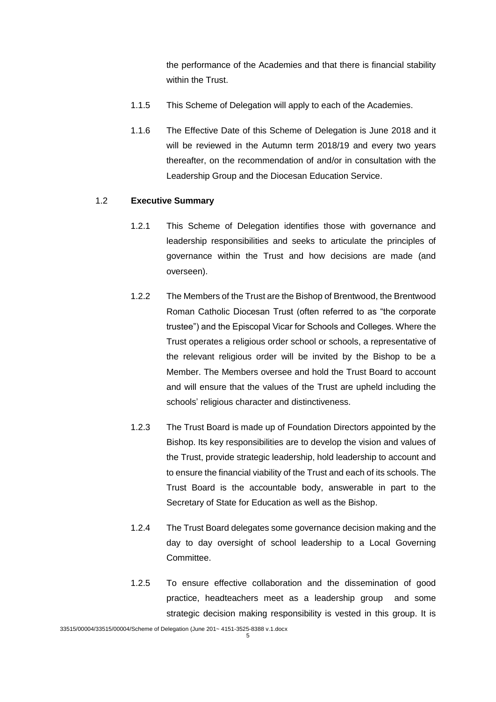the performance of the Academies and that there is financial stability within the Trust.

- 1.1.5 This Scheme of Delegation will apply to each of the Academies.
- 1.1.6 The Effective Date of this Scheme of Delegation is June 2018 and it will be reviewed in the Autumn term 2018/19 and every two years thereafter, on the recommendation of and/or in consultation with the Leadership Group and the Diocesan Education Service.

### 1.2 **Executive Summary**

- 1.2.1 This Scheme of Delegation identifies those with governance and leadership responsibilities and seeks to articulate the principles of governance within the Trust and how decisions are made (and overseen).
- 1.2.2 The Members of the Trust are the Bishop of Brentwood, the Brentwood Roman Catholic Diocesan Trust (often referred to as "the corporate trustee") and the Episcopal Vicar for Schools and Colleges. Where the Trust operates a religious order school or schools, a representative of the relevant religious order will be invited by the Bishop to be a Member. The Members oversee and hold the Trust Board to account and will ensure that the values of the Trust are upheld including the schools' religious character and distinctiveness.
- 1.2.3 The Trust Board is made up of Foundation Directors appointed by the Bishop. Its key responsibilities are to develop the vision and values of the Trust, provide strategic leadership, hold leadership to account and to ensure the financial viability of the Trust and each of its schools. The Trust Board is the accountable body, answerable in part to the Secretary of State for Education as well as the Bishop.
- 1.2.4 The Trust Board delegates some governance decision making and the day to day oversight of school leadership to a Local Governing Committee.
- 1.2.5 To ensure effective collaboration and the dissemination of good practice, headteachers meet as a leadership group and some strategic decision making responsibility is vested in this group. It is

<sup>33515/00004/33515/00004/</sup>Scheme of Delegation (June 201~ 4151-3525-8388 v.1.docx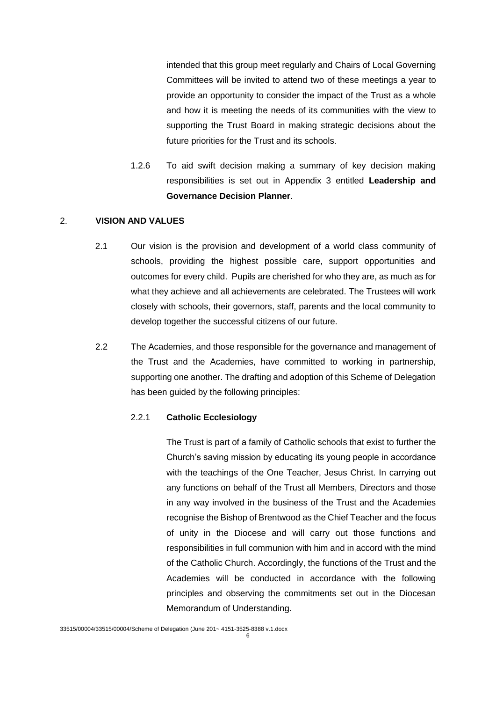intended that this group meet regularly and Chairs of Local Governing Committees will be invited to attend two of these meetings a year to provide an opportunity to consider the impact of the Trust as a whole and how it is meeting the needs of its communities with the view to supporting the Trust Board in making strategic decisions about the future priorities for the Trust and its schools.

1.2.6 To aid swift decision making a summary of key decision making responsibilities is set out in Appendix 3 entitled **Leadership and Governance Decision Planner**.

# 2. **VISION AND VALUES**

- 2.1 Our vision is the provision and development of a world class community of schools, providing the highest possible care, support opportunities and outcomes for every child. Pupils are cherished for who they are, as much as for what they achieve and all achievements are celebrated. The Trustees will work closely with schools, their governors, staff, parents and the local community to develop together the successful citizens of our future.
- 2.2 The Academies, and those responsible for the governance and management of the Trust and the Academies, have committed to working in partnership, supporting one another. The drafting and adoption of this Scheme of Delegation has been guided by the following principles:

## 2.2.1 **Catholic Ecclesiology**

The Trust is part of a family of Catholic schools that exist to further the Church's saving mission by educating its young people in accordance with the teachings of the One Teacher, Jesus Christ. In carrying out any functions on behalf of the Trust all Members, Directors and those in any way involved in the business of the Trust and the Academies recognise the Bishop of Brentwood as the Chief Teacher and the focus of unity in the Diocese and will carry out those functions and responsibilities in full communion with him and in accord with the mind of the Catholic Church. Accordingly, the functions of the Trust and the Academies will be conducted in accordance with the following principles and observing the commitments set out in the Diocesan Memorandum of Understanding.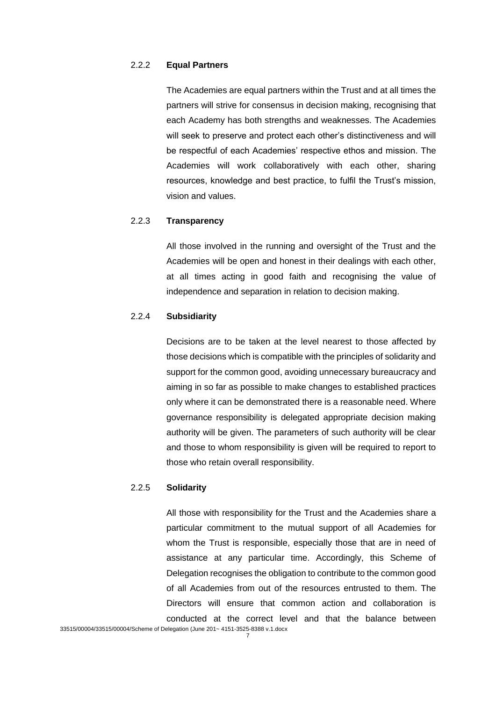# 2.2.2 **Equal Partners**

The Academies are equal partners within the Trust and at all times the partners will strive for consensus in decision making, recognising that each Academy has both strengths and weaknesses. The Academies will seek to preserve and protect each other's distinctiveness and will be respectful of each Academies' respective ethos and mission. The Academies will work collaboratively with each other, sharing resources, knowledge and best practice, to fulfil the Trust's mission, vision and values.

# 2.2.3 **Transparency**

All those involved in the running and oversight of the Trust and the Academies will be open and honest in their dealings with each other, at all times acting in good faith and recognising the value of independence and separation in relation to decision making.

### 2.2.4 **Subsidiarity**

Decisions are to be taken at the level nearest to those affected by those decisions which is compatible with the principles of solidarity and support for the common good, avoiding unnecessary bureaucracy and aiming in so far as possible to make changes to established practices only where it can be demonstrated there is a reasonable need. Where governance responsibility is delegated appropriate decision making authority will be given. The parameters of such authority will be clear and those to whom responsibility is given will be required to report to those who retain overall responsibility.

### 2.2.5 **Solidarity**

All those with responsibility for the Trust and the Academies share a particular commitment to the mutual support of all Academies for whom the Trust is responsible, especially those that are in need of assistance at any particular time. Accordingly, this Scheme of Delegation recognises the obligation to contribute to the common good of all Academies from out of the resources entrusted to them. The Directors will ensure that common action and collaboration is conducted at the correct level and that the balance between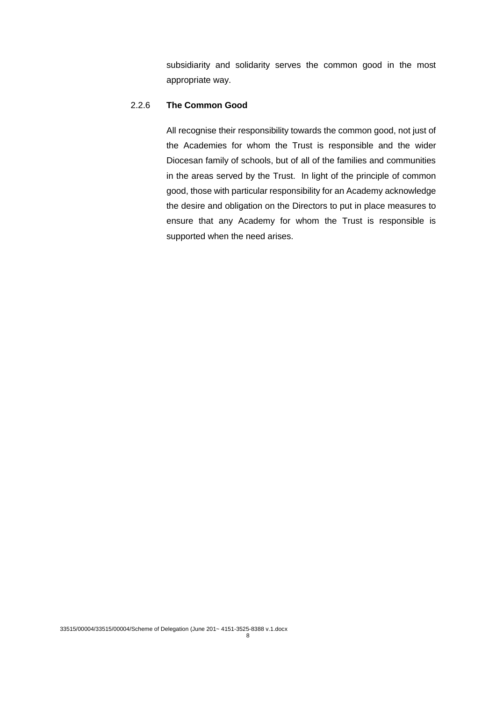subsidiarity and solidarity serves the common good in the most appropriate way.

# 2.2.6 **The Common Good**

All recognise their responsibility towards the common good, not just of the Academies for whom the Trust is responsible and the wider Diocesan family of schools, but of all of the families and communities in the areas served by the Trust. In light of the principle of common good, those with particular responsibility for an Academy acknowledge the desire and obligation on the Directors to put in place measures to ensure that any Academy for whom the Trust is responsible is supported when the need arises.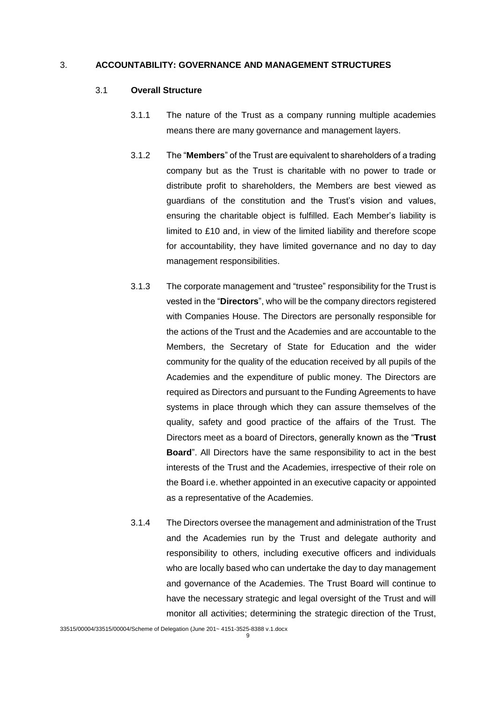### 3. **ACCOUNTABILITY: GOVERNANCE AND MANAGEMENT STRUCTURES**

#### 3.1 **Overall Structure**

- 3.1.1 The nature of the Trust as a company running multiple academies means there are many governance and management layers.
- 3.1.2 The "**Members**" of the Trust are equivalent to shareholders of a trading company but as the Trust is charitable with no power to trade or distribute profit to shareholders, the Members are best viewed as guardians of the constitution and the Trust's vision and values, ensuring the charitable object is fulfilled. Each Member's liability is limited to £10 and, in view of the limited liability and therefore scope for accountability, they have limited governance and no day to day management responsibilities.
- 3.1.3 The corporate management and "trustee" responsibility for the Trust is vested in the "**Directors**", who will be the company directors registered with Companies House. The Directors are personally responsible for the actions of the Trust and the Academies and are accountable to the Members, the Secretary of State for Education and the wider community for the quality of the education received by all pupils of the Academies and the expenditure of public money. The Directors are required as Directors and pursuant to the Funding Agreements to have systems in place through which they can assure themselves of the quality, safety and good practice of the affairs of the Trust. The Directors meet as a board of Directors, generally known as the "**Trust Board**". All Directors have the same responsibility to act in the best interests of the Trust and the Academies, irrespective of their role on the Board i.e. whether appointed in an executive capacity or appointed as a representative of the Academies.
- 3.1.4 The Directors oversee the management and administration of the Trust and the Academies run by the Trust and delegate authority and responsibility to others, including executive officers and individuals who are locally based who can undertake the day to day management and governance of the Academies. The Trust Board will continue to have the necessary strategic and legal oversight of the Trust and will monitor all activities; determining the strategic direction of the Trust,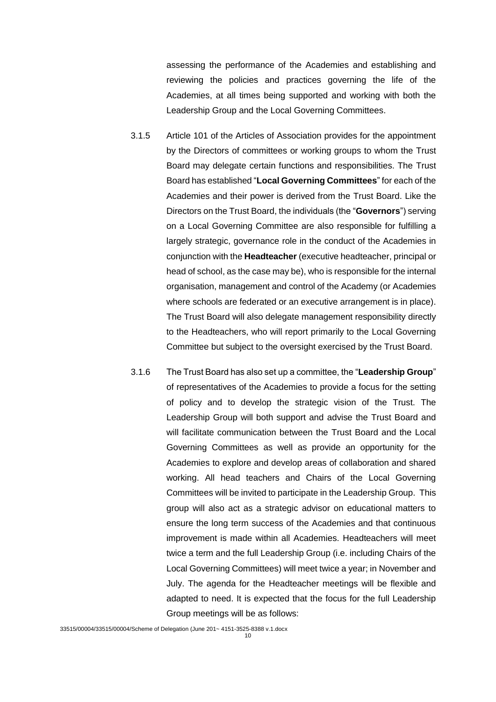assessing the performance of the Academies and establishing and reviewing the policies and practices governing the life of the Academies, at all times being supported and working with both the Leadership Group and the Local Governing Committees.

- 3.1.5 Article 101 of the Articles of Association provides for the appointment by the Directors of committees or working groups to whom the Trust Board may delegate certain functions and responsibilities. The Trust Board has established "**Local Governing Committees**" for each of the Academies and their power is derived from the Trust Board. Like the Directors on the Trust Board, the individuals (the "**Governors**") serving on a Local Governing Committee are also responsible for fulfilling a largely strategic, governance role in the conduct of the Academies in conjunction with the **Headteacher** (executive headteacher, principal or head of school, as the case may be), who is responsible for the internal organisation, management and control of the Academy (or Academies where schools are federated or an executive arrangement is in place). The Trust Board will also delegate management responsibility directly to the Headteachers, who will report primarily to the Local Governing Committee but subject to the oversight exercised by the Trust Board.
- 3.1.6 The Trust Board has also set up a committee, the "**Leadership Group**" of representatives of the Academies to provide a focus for the setting of policy and to develop the strategic vision of the Trust. The Leadership Group will both support and advise the Trust Board and will facilitate communication between the Trust Board and the Local Governing Committees as well as provide an opportunity for the Academies to explore and develop areas of collaboration and shared working. All head teachers and Chairs of the Local Governing Committees will be invited to participate in the Leadership Group. This group will also act as a strategic advisor on educational matters to ensure the long term success of the Academies and that continuous improvement is made within all Academies. Headteachers will meet twice a term and the full Leadership Group (i.e. including Chairs of the Local Governing Committees) will meet twice a year; in November and July. The agenda for the Headteacher meetings will be flexible and adapted to need. It is expected that the focus for the full Leadership Group meetings will be as follows: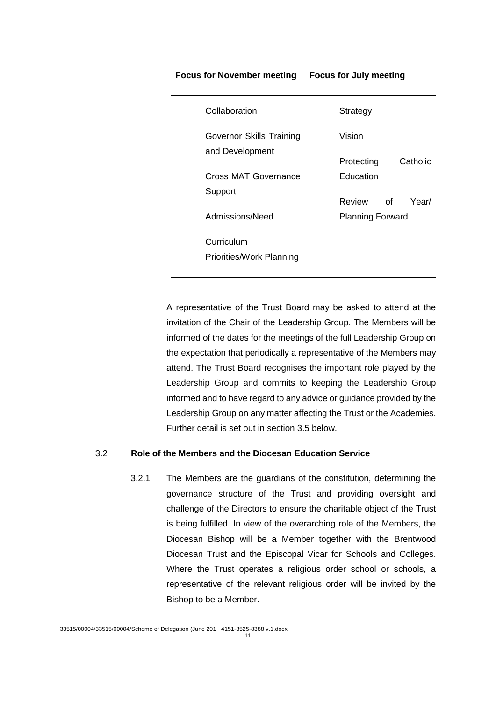| <b>Focus for November meeting</b>      | <b>Focus for July meeting</b> |
|----------------------------------------|-------------------------------|
| Collaboration                          | Strategy                      |
| Governor Skills Training               | Vision                        |
| and Development                        | Catholic<br>Protecting        |
| Cross MAT Governance                   | Education                     |
| Support                                | Review<br>Year/<br>of         |
| Admissions/Need                        | <b>Planning Forward</b>       |
| Curriculum<br>Priorities/Work Planning |                               |

A representative of the Trust Board may be asked to attend at the invitation of the Chair of the Leadership Group. The Members will be informed of the dates for the meetings of the full Leadership Group on the expectation that periodically a representative of the Members may attend. The Trust Board recognises the important role played by the Leadership Group and commits to keeping the Leadership Group informed and to have regard to any advice or guidance provided by the Leadership Group on any matter affecting the Trust or the Academies. Further detail is set out in section 3.5 below.

# 3.2 **Role of the Members and the Diocesan Education Service**

3.2.1 The Members are the guardians of the constitution, determining the governance structure of the Trust and providing oversight and challenge of the Directors to ensure the charitable object of the Trust is being fulfilled. In view of the overarching role of the Members, the Diocesan Bishop will be a Member together with the Brentwood Diocesan Trust and the Episcopal Vicar for Schools and Colleges. Where the Trust operates a religious order school or schools, a representative of the relevant religious order will be invited by the Bishop to be a Member.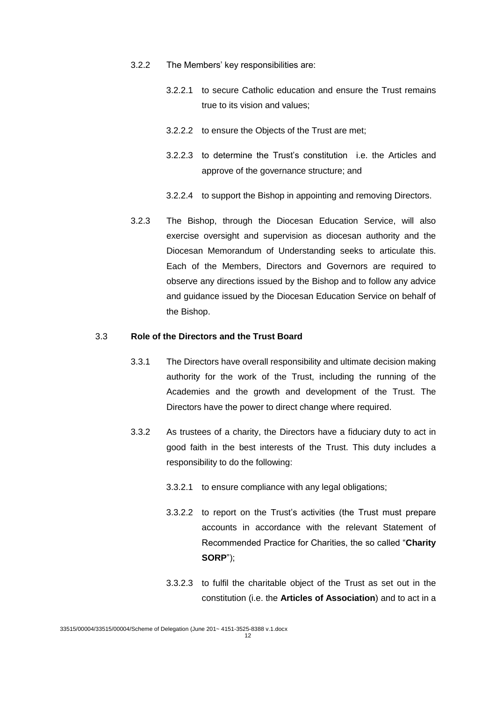- 3.2.2 The Members' key responsibilities are:
	- 3.2.2.1 to secure Catholic education and ensure the Trust remains true to its vision and values;
	- 3.2.2.2 to ensure the Objects of the Trust are met;
	- 3.2.2.3 to determine the Trust's constitution i.e. the Articles and approve of the governance structure; and
	- 3.2.2.4 to support the Bishop in appointing and removing Directors.
- 3.2.3 The Bishop, through the Diocesan Education Service, will also exercise oversight and supervision as diocesan authority and the Diocesan Memorandum of Understanding seeks to articulate this. Each of the Members, Directors and Governors are required to observe any directions issued by the Bishop and to follow any advice and guidance issued by the Diocesan Education Service on behalf of the Bishop.

### 3.3 **Role of the Directors and the Trust Board**

- 3.3.1 The Directors have overall responsibility and ultimate decision making authority for the work of the Trust, including the running of the Academies and the growth and development of the Trust. The Directors have the power to direct change where required.
- 3.3.2 As trustees of a charity, the Directors have a fiduciary duty to act in good faith in the best interests of the Trust. This duty includes a responsibility to do the following:
	- 3.3.2.1 to ensure compliance with any legal obligations;
	- 3.3.2.2 to report on the Trust's activities (the Trust must prepare accounts in accordance with the relevant Statement of Recommended Practice for Charities, the so called "**Charity SORP**");
	- 3.3.2.3 to fulfil the charitable object of the Trust as set out in the constitution (i.e. the **Articles of Association**) and to act in a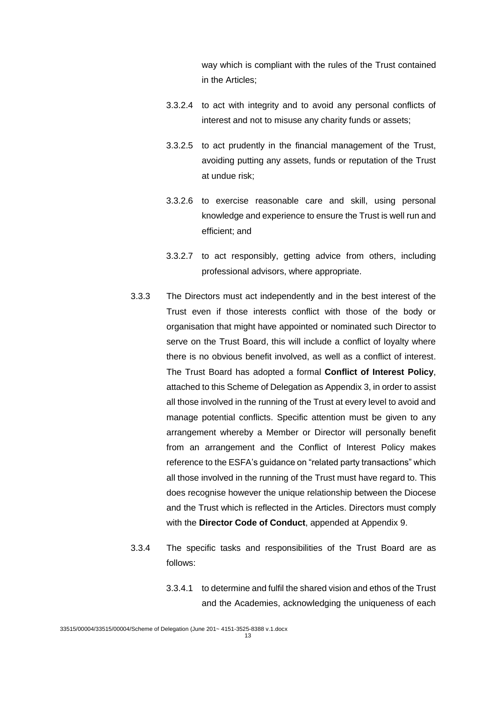way which is compliant with the rules of the Trust contained in the Articles;

- 3.3.2.4 to act with integrity and to avoid any personal conflicts of interest and not to misuse any charity funds or assets;
- 3.3.2.5 to act prudently in the financial management of the Trust, avoiding putting any assets, funds or reputation of the Trust at undue risk;
- 3.3.2.6 to exercise reasonable care and skill, using personal knowledge and experience to ensure the Trust is well run and efficient; and
- 3.3.2.7 to act responsibly, getting advice from others, including professional advisors, where appropriate.
- 3.3.3 The Directors must act independently and in the best interest of the Trust even if those interests conflict with those of the body or organisation that might have appointed or nominated such Director to serve on the Trust Board, this will include a conflict of loyalty where there is no obvious benefit involved, as well as a conflict of interest. The Trust Board has adopted a formal **Conflict of Interest Policy**, attached to this Scheme of Delegation as Appendix 3, in order to assist all those involved in the running of the Trust at every level to avoid and manage potential conflicts. Specific attention must be given to any arrangement whereby a Member or Director will personally benefit from an arrangement and the Conflict of Interest Policy makes reference to the ESFA's guidance on "related party transactions" which all those involved in the running of the Trust must have regard to. This does recognise however the unique relationship between the Diocese and the Trust which is reflected in the Articles. Directors must comply with the **Director Code of Conduct**, appended at Appendix 9.
- 3.3.4 The specific tasks and responsibilities of the Trust Board are as follows:
	- 3.3.4.1 to determine and fulfil the shared vision and ethos of the Trust and the Academies, acknowledging the uniqueness of each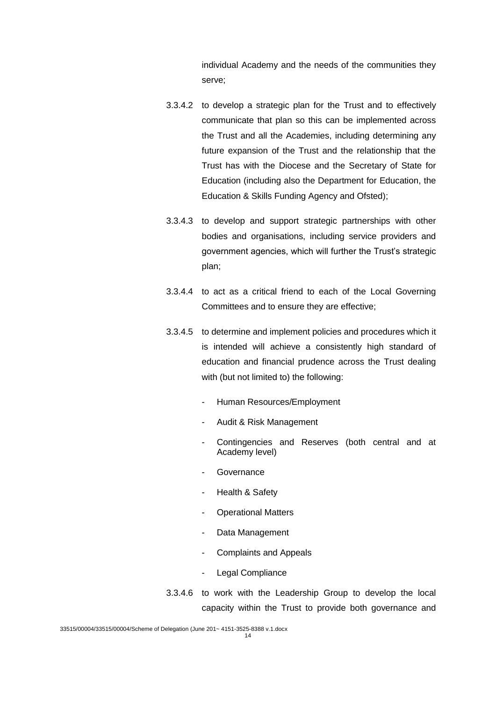individual Academy and the needs of the communities they serve;

- 3.3.4.2 to develop a strategic plan for the Trust and to effectively communicate that plan so this can be implemented across the Trust and all the Academies, including determining any future expansion of the Trust and the relationship that the Trust has with the Diocese and the Secretary of State for Education (including also the Department for Education, the Education & Skills Funding Agency and Ofsted);
- 3.3.4.3 to develop and support strategic partnerships with other bodies and organisations, including service providers and government agencies, which will further the Trust's strategic plan;
- 3.3.4.4 to act as a critical friend to each of the Local Governing Committees and to ensure they are effective;
- 3.3.4.5 to determine and implement policies and procedures which it is intended will achieve a consistently high standard of education and financial prudence across the Trust dealing with (but not limited to) the following:
	- Human Resources/Employment
	- Audit & Risk Management
	- Contingencies and Reserves (both central and at Academy level)
	- **Governance**
	- Health & Safety
	- Operational Matters
	- Data Management
	- Complaints and Appeals
	- Legal Compliance
- 3.3.4.6 to work with the Leadership Group to develop the local capacity within the Trust to provide both governance and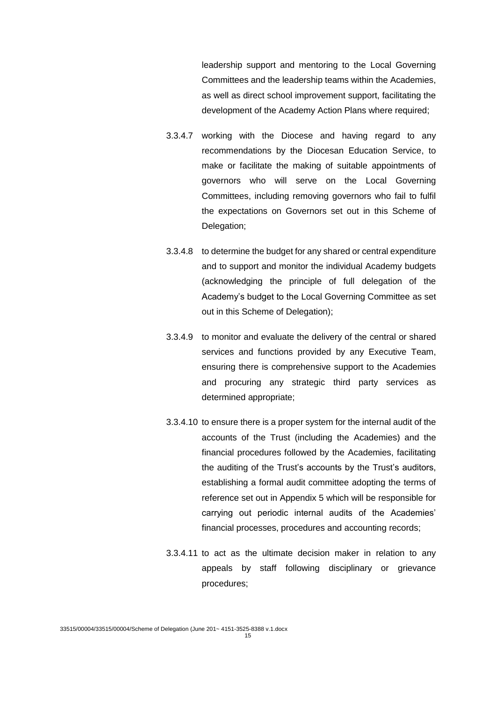leadership support and mentoring to the Local Governing Committees and the leadership teams within the Academies, as well as direct school improvement support, facilitating the development of the Academy Action Plans where required;

- 3.3.4.7 working with the Diocese and having regard to any recommendations by the Diocesan Education Service, to make or facilitate the making of suitable appointments of governors who will serve on the Local Governing Committees, including removing governors who fail to fulfil the expectations on Governors set out in this Scheme of Delegation;
- 3.3.4.8 to determine the budget for any shared or central expenditure and to support and monitor the individual Academy budgets (acknowledging the principle of full delegation of the Academy's budget to the Local Governing Committee as set out in this Scheme of Delegation);
- 3.3.4.9 to monitor and evaluate the delivery of the central or shared services and functions provided by any Executive Team, ensuring there is comprehensive support to the Academies and procuring any strategic third party services as determined appropriate;
- 3.3.4.10 to ensure there is a proper system for the internal audit of the accounts of the Trust (including the Academies) and the financial procedures followed by the Academies, facilitating the auditing of the Trust's accounts by the Trust's auditors, establishing a formal audit committee adopting the terms of reference set out in Appendix 5 which will be responsible for carrying out periodic internal audits of the Academies' financial processes, procedures and accounting records;
- 3.3.4.11 to act as the ultimate decision maker in relation to any appeals by staff following disciplinary or grievance procedures;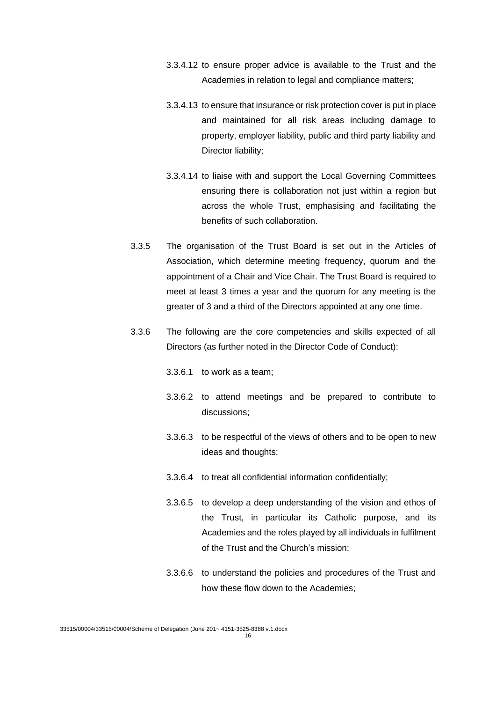- 3.3.4.12 to ensure proper advice is available to the Trust and the Academies in relation to legal and compliance matters;
- 3.3.4.13 to ensure that insurance or risk protection cover is put in place and maintained for all risk areas including damage to property, employer liability, public and third party liability and Director liability;
- 3.3.4.14 to liaise with and support the Local Governing Committees ensuring there is collaboration not just within a region but across the whole Trust, emphasising and facilitating the benefits of such collaboration.
- 3.3.5 The organisation of the Trust Board is set out in the Articles of Association, which determine meeting frequency, quorum and the appointment of a Chair and Vice Chair. The Trust Board is required to meet at least 3 times a year and the quorum for any meeting is the greater of 3 and a third of the Directors appointed at any one time.
- 3.3.6 The following are the core competencies and skills expected of all Directors (as further noted in the Director Code of Conduct):
	- 3.3.6.1 to work as a team;
	- 3.3.6.2 to attend meetings and be prepared to contribute to discussions;
	- 3.3.6.3 to be respectful of the views of others and to be open to new ideas and thoughts;
	- 3.3.6.4 to treat all confidential information confidentially;
	- 3.3.6.5 to develop a deep understanding of the vision and ethos of the Trust, in particular its Catholic purpose, and its Academies and the roles played by all individuals in fulfilment of the Trust and the Church's mission;
	- 3.3.6.6 to understand the policies and procedures of the Trust and how these flow down to the Academies;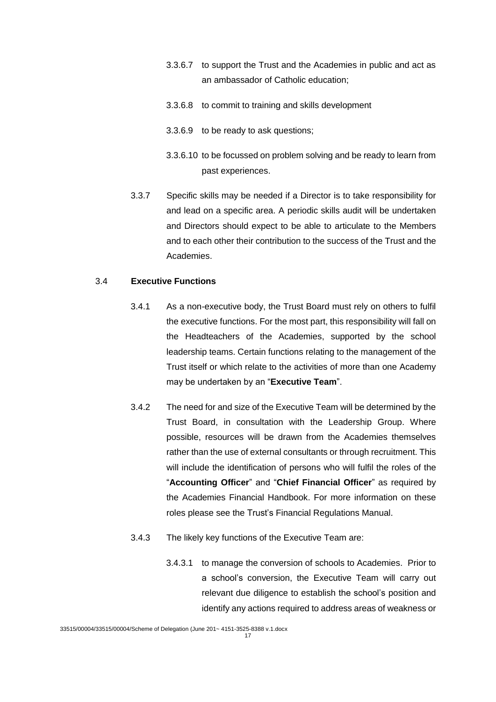- 3.3.6.7 to support the Trust and the Academies in public and act as an ambassador of Catholic education;
- 3.3.6.8 to commit to training and skills development
- 3.3.6.9 to be ready to ask questions;
- 3.3.6.10 to be focussed on problem solving and be ready to learn from past experiences.
- 3.3.7 Specific skills may be needed if a Director is to take responsibility for and lead on a specific area. A periodic skills audit will be undertaken and Directors should expect to be able to articulate to the Members and to each other their contribution to the success of the Trust and the Academies.

### 3.4 **Executive Functions**

- 3.4.1 As a non-executive body, the Trust Board must rely on others to fulfil the executive functions. For the most part, this responsibility will fall on the Headteachers of the Academies, supported by the school leadership teams. Certain functions relating to the management of the Trust itself or which relate to the activities of more than one Academy may be undertaken by an "**Executive Team**".
- 3.4.2 The need for and size of the Executive Team will be determined by the Trust Board, in consultation with the Leadership Group. Where possible, resources will be drawn from the Academies themselves rather than the use of external consultants or through recruitment. This will include the identification of persons who will fulfil the roles of the "**Accounting Officer**" and "**Chief Financial Officer**" as required by the Academies Financial Handbook. For more information on these roles please see the Trust's Financial Regulations Manual.
- 3.4.3 The likely key functions of the Executive Team are:
	- 3.4.3.1 to manage the conversion of schools to Academies. Prior to a school's conversion, the Executive Team will carry out relevant due diligence to establish the school's position and identify any actions required to address areas of weakness or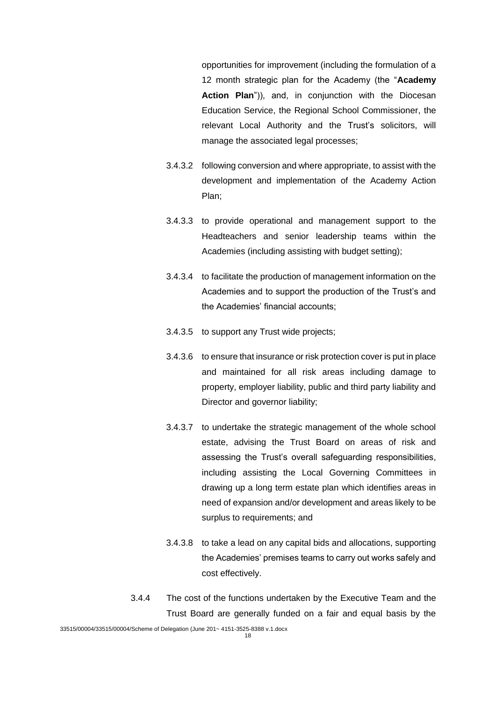opportunities for improvement (including the formulation of a 12 month strategic plan for the Academy (the "**Academy**  Action Plan<sup>"</sup>)), and, in conjunction with the Diocesan Education Service, the Regional School Commissioner, the relevant Local Authority and the Trust's solicitors, will manage the associated legal processes;

- 3.4.3.2 following conversion and where appropriate, to assist with the development and implementation of the Academy Action Plan;
- 3.4.3.3 to provide operational and management support to the Headteachers and senior leadership teams within the Academies (including assisting with budget setting);
- 3.4.3.4 to facilitate the production of management information on the Academies and to support the production of the Trust's and the Academies' financial accounts;
- 3.4.3.5 to support any Trust wide projects;
- 3.4.3.6 to ensure that insurance or risk protection cover is put in place and maintained for all risk areas including damage to property, employer liability, public and third party liability and Director and governor liability;
- 3.4.3.7 to undertake the strategic management of the whole school estate, advising the Trust Board on areas of risk and assessing the Trust's overall safeguarding responsibilities, including assisting the Local Governing Committees in drawing up a long term estate plan which identifies areas in need of expansion and/or development and areas likely to be surplus to requirements; and
- 3.4.3.8 to take a lead on any capital bids and allocations, supporting the Academies' premises teams to carry out works safely and cost effectively.
- 3.4.4 The cost of the functions undertaken by the Executive Team and the Trust Board are generally funded on a fair and equal basis by the

<sup>33515/00004/33515/00004/</sup>Scheme of Delegation (June 201~ 4151-3525-8388 v.1.docx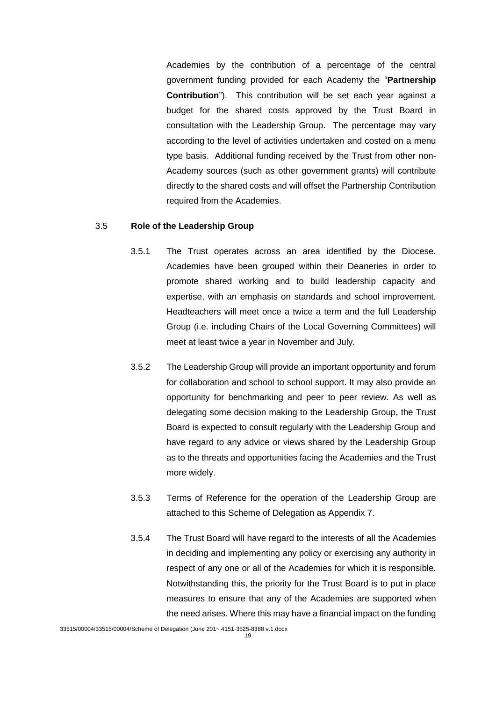Academies by the contribution of a percentage of the central government funding provided for each Academy the "**Partnership Contribution**"). This contribution will be set each year against a budget for the shared costs approved by the Trust Board in consultation with the Leadership Group. The percentage may vary according to the level of activities undertaken and costed on a menu type basis. Additional funding received by the Trust from other non-Academy sources (such as other government grants) will contribute directly to the shared costs and will offset the Partnership Contribution required from the Academies.

### 3.5 **Role of the Leadership Group**

- 3.5.1 The Trust operates across an area identified by the Diocese. Academies have been grouped within their Deaneries in order to promote shared working and to build leadership capacity and expertise, with an emphasis on standards and school improvement. Headteachers will meet once a twice a term and the full Leadership Group (i.e. including Chairs of the Local Governing Committees) will meet at least twice a year in November and July.
- 3.5.2 The Leadership Group will provide an important opportunity and forum for collaboration and school to school support. It may also provide an opportunity for benchmarking and peer to peer review. As well as delegating some decision making to the Leadership Group, the Trust Board is expected to consult regularly with the Leadership Group and have regard to any advice or views shared by the Leadership Group as to the threats and opportunities facing the Academies and the Trust more widely.
- 3.5.3 Terms of Reference for the operation of the Leadership Group are attached to this Scheme of Delegation as Appendix 7.
- 3.5.4 The Trust Board will have regard to the interests of all the Academies in deciding and implementing any policy or exercising any authority in respect of any one or all of the Academies for which it is responsible. Notwithstanding this, the priority for the Trust Board is to put in place measures to ensure that any of the Academies are supported when the need arises. Where this may have a financial impact on the funding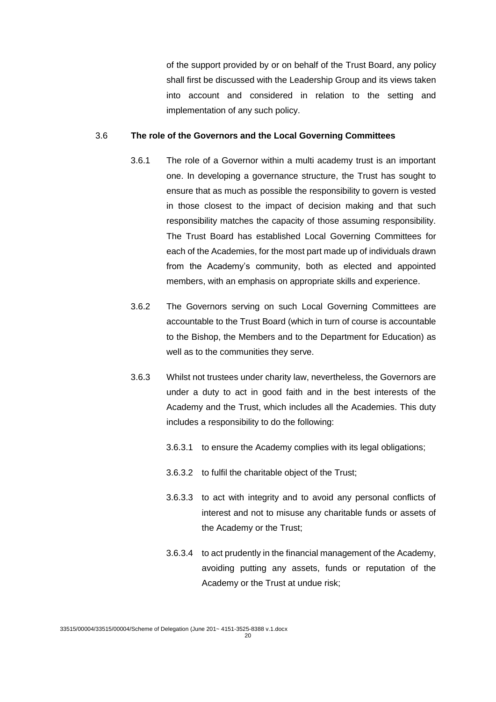of the support provided by or on behalf of the Trust Board, any policy shall first be discussed with the Leadership Group and its views taken into account and considered in relation to the setting and implementation of any such policy.

#### 3.6 **The role of the Governors and the Local Governing Committees**

- 3.6.1 The role of a Governor within a multi academy trust is an important one. In developing a governance structure, the Trust has sought to ensure that as much as possible the responsibility to govern is vested in those closest to the impact of decision making and that such responsibility matches the capacity of those assuming responsibility. The Trust Board has established Local Governing Committees for each of the Academies, for the most part made up of individuals drawn from the Academy's community, both as elected and appointed members, with an emphasis on appropriate skills and experience.
- 3.6.2 The Governors serving on such Local Governing Committees are accountable to the Trust Board (which in turn of course is accountable to the Bishop, the Members and to the Department for Education) as well as to the communities they serve.
- 3.6.3 Whilst not trustees under charity law, nevertheless, the Governors are under a duty to act in good faith and in the best interests of the Academy and the Trust, which includes all the Academies. This duty includes a responsibility to do the following:
	- 3.6.3.1 to ensure the Academy complies with its legal obligations;
	- 3.6.3.2 to fulfil the charitable object of the Trust;
	- 3.6.3.3 to act with integrity and to avoid any personal conflicts of interest and not to misuse any charitable funds or assets of the Academy or the Trust;
	- 3.6.3.4 to act prudently in the financial management of the Academy, avoiding putting any assets, funds or reputation of the Academy or the Trust at undue risk;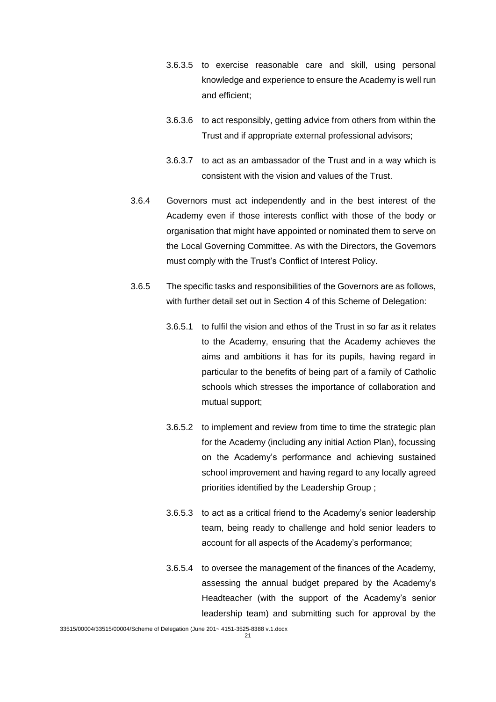- 3.6.3.5 to exercise reasonable care and skill, using personal knowledge and experience to ensure the Academy is well run and efficient;
- 3.6.3.6 to act responsibly, getting advice from others from within the Trust and if appropriate external professional advisors;
- 3.6.3.7 to act as an ambassador of the Trust and in a way which is consistent with the vision and values of the Trust.
- 3.6.4 Governors must act independently and in the best interest of the Academy even if those interests conflict with those of the body or organisation that might have appointed or nominated them to serve on the Local Governing Committee. As with the Directors, the Governors must comply with the Trust's Conflict of Interest Policy.
- 3.6.5 The specific tasks and responsibilities of the Governors are as follows, with further detail set out in Section 4 of this Scheme of Delegation:
	- 3.6.5.1 to fulfil the vision and ethos of the Trust in so far as it relates to the Academy, ensuring that the Academy achieves the aims and ambitions it has for its pupils, having regard in particular to the benefits of being part of a family of Catholic schools which stresses the importance of collaboration and mutual support;
	- 3.6.5.2 to implement and review from time to time the strategic plan for the Academy (including any initial Action Plan), focussing on the Academy's performance and achieving sustained school improvement and having regard to any locally agreed priorities identified by the Leadership Group ;
	- 3.6.5.3 to act as a critical friend to the Academy's senior leadership team, being ready to challenge and hold senior leaders to account for all aspects of the Academy's performance;
	- 3.6.5.4 to oversee the management of the finances of the Academy, assessing the annual budget prepared by the Academy's Headteacher (with the support of the Academy's senior leadership team) and submitting such for approval by the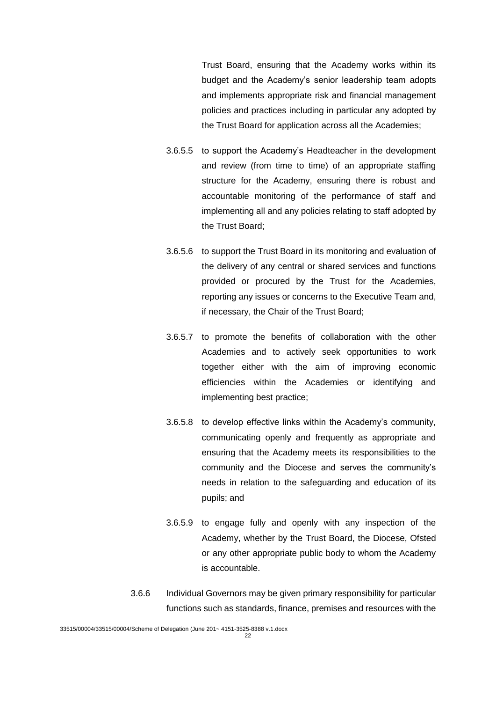Trust Board, ensuring that the Academy works within its budget and the Academy's senior leadership team adopts and implements appropriate risk and financial management policies and practices including in particular any adopted by the Trust Board for application across all the Academies;

- 3.6.5.5 to support the Academy's Headteacher in the development and review (from time to time) of an appropriate staffing structure for the Academy, ensuring there is robust and accountable monitoring of the performance of staff and implementing all and any policies relating to staff adopted by the Trust Board;
- 3.6.5.6 to support the Trust Board in its monitoring and evaluation of the delivery of any central or shared services and functions provided or procured by the Trust for the Academies, reporting any issues or concerns to the Executive Team and, if necessary, the Chair of the Trust Board;
- 3.6.5.7 to promote the benefits of collaboration with the other Academies and to actively seek opportunities to work together either with the aim of improving economic efficiencies within the Academies or identifying and implementing best practice;
- 3.6.5.8 to develop effective links within the Academy's community, communicating openly and frequently as appropriate and ensuring that the Academy meets its responsibilities to the community and the Diocese and serves the community's needs in relation to the safeguarding and education of its pupils; and
- 3.6.5.9 to engage fully and openly with any inspection of the Academy, whether by the Trust Board, the Diocese, Ofsted or any other appropriate public body to whom the Academy is accountable.
- 3.6.6 Individual Governors may be given primary responsibility for particular functions such as standards, finance, premises and resources with the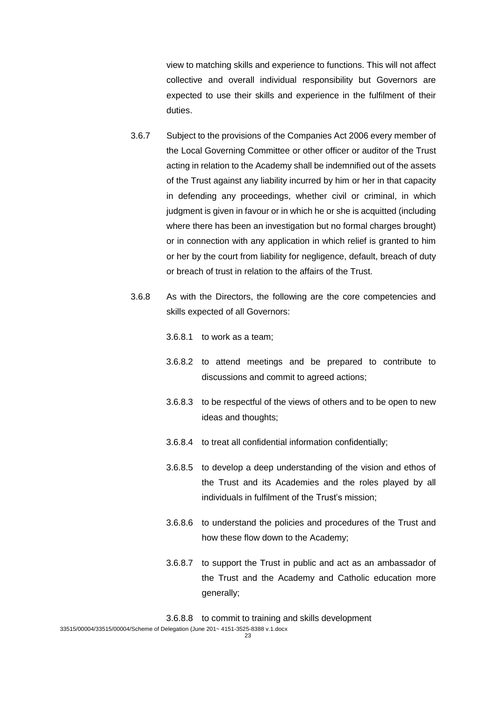view to matching skills and experience to functions. This will not affect collective and overall individual responsibility but Governors are expected to use their skills and experience in the fulfilment of their duties.

- 3.6.7 Subject to the provisions of the Companies Act 2006 every member of the Local Governing Committee or other officer or auditor of the Trust acting in relation to the Academy shall be indemnified out of the assets of the Trust against any liability incurred by him or her in that capacity in defending any proceedings, whether civil or criminal, in which judgment is given in favour or in which he or she is acquitted (including where there has been an investigation but no formal charges brought) or in connection with any application in which relief is granted to him or her by the court from liability for negligence, default, breach of duty or breach of trust in relation to the affairs of the Trust.
- 3.6.8 As with the Directors, the following are the core competencies and skills expected of all Governors:
	- 3.6.8.1 to work as a team;
	- 3.6.8.2 to attend meetings and be prepared to contribute to discussions and commit to agreed actions;
	- 3.6.8.3 to be respectful of the views of others and to be open to new ideas and thoughts;
	- 3.6.8.4 to treat all confidential information confidentially;
	- 3.6.8.5 to develop a deep understanding of the vision and ethos of the Trust and its Academies and the roles played by all individuals in fulfilment of the Trust's mission;
	- 3.6.8.6 to understand the policies and procedures of the Trust and how these flow down to the Academy;
	- 3.6.8.7 to support the Trust in public and act as an ambassador of the Trust and the Academy and Catholic education more generally;

3.6.8.8 to commit to training and skills development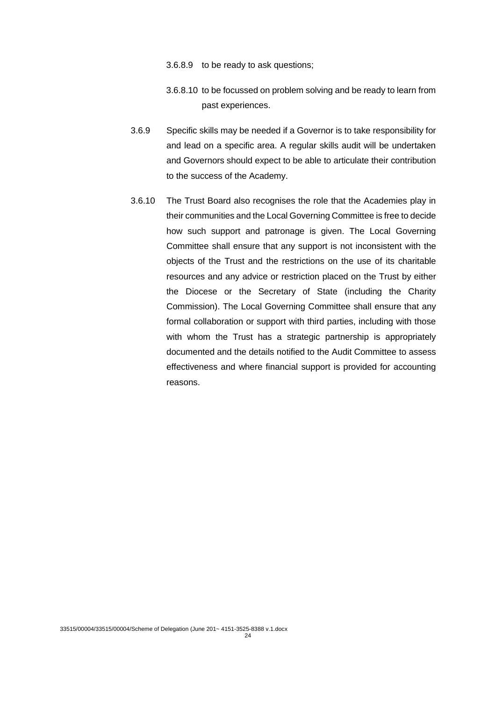- 3.6.8.9 to be ready to ask questions;
- 3.6.8.10 to be focussed on problem solving and be ready to learn from past experiences.
- 3.6.9 Specific skills may be needed if a Governor is to take responsibility for and lead on a specific area. A regular skills audit will be undertaken and Governors should expect to be able to articulate their contribution to the success of the Academy.
- 3.6.10 The Trust Board also recognises the role that the Academies play in their communities and the Local Governing Committee is free to decide how such support and patronage is given. The Local Governing Committee shall ensure that any support is not inconsistent with the objects of the Trust and the restrictions on the use of its charitable resources and any advice or restriction placed on the Trust by either the Diocese or the Secretary of State (including the Charity Commission). The Local Governing Committee shall ensure that any formal collaboration or support with third parties, including with those with whom the Trust has a strategic partnership is appropriately documented and the details notified to the Audit Committee to assess effectiveness and where financial support is provided for accounting reasons.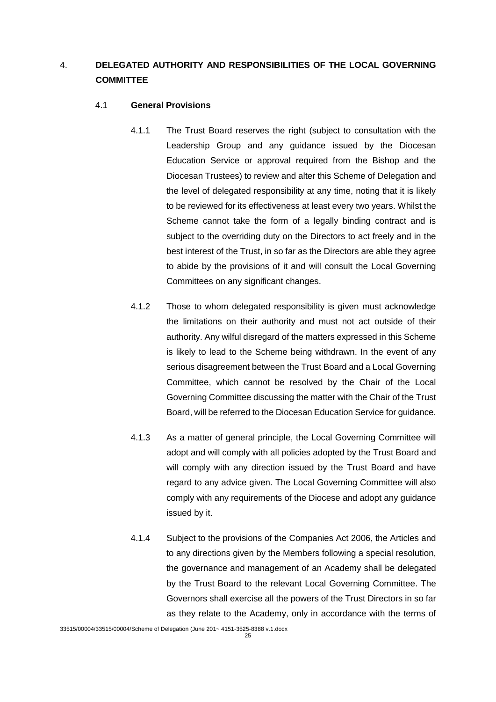# 4. **DELEGATED AUTHORITY AND RESPONSIBILITIES OF THE LOCAL GOVERNING COMMITTEE**

# 4.1 **General Provisions**

- 4.1.1 The Trust Board reserves the right (subject to consultation with the Leadership Group and any guidance issued by the Diocesan Education Service or approval required from the Bishop and the Diocesan Trustees) to review and alter this Scheme of Delegation and the level of delegated responsibility at any time, noting that it is likely to be reviewed for its effectiveness at least every two years. Whilst the Scheme cannot take the form of a legally binding contract and is subject to the overriding duty on the Directors to act freely and in the best interest of the Trust, in so far as the Directors are able they agree to abide by the provisions of it and will consult the Local Governing Committees on any significant changes.
- 4.1.2 Those to whom delegated responsibility is given must acknowledge the limitations on their authority and must not act outside of their authority. Any wilful disregard of the matters expressed in this Scheme is likely to lead to the Scheme being withdrawn. In the event of any serious disagreement between the Trust Board and a Local Governing Committee, which cannot be resolved by the Chair of the Local Governing Committee discussing the matter with the Chair of the Trust Board, will be referred to the Diocesan Education Service for guidance.
- 4.1.3 As a matter of general principle, the Local Governing Committee will adopt and will comply with all policies adopted by the Trust Board and will comply with any direction issued by the Trust Board and have regard to any advice given. The Local Governing Committee will also comply with any requirements of the Diocese and adopt any guidance issued by it.
- 4.1.4 Subject to the provisions of the Companies Act 2006, the Articles and to any directions given by the Members following a special resolution, the governance and management of an Academy shall be delegated by the Trust Board to the relevant Local Governing Committee. The Governors shall exercise all the powers of the Trust Directors in so far as they relate to the Academy, only in accordance with the terms of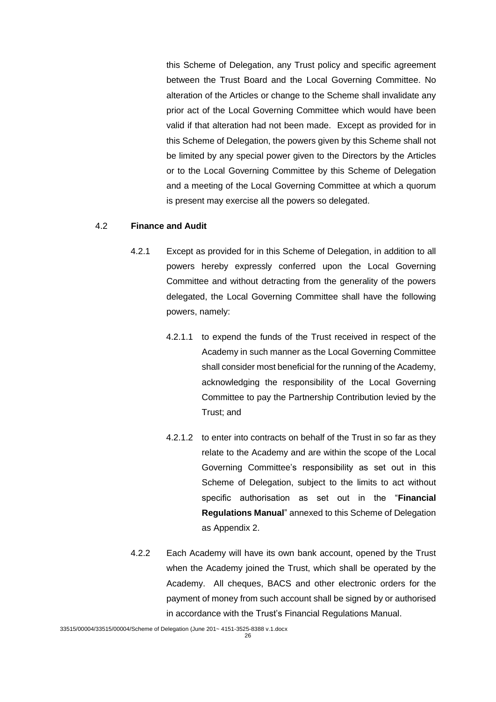this Scheme of Delegation, any Trust policy and specific agreement between the Trust Board and the Local Governing Committee. No alteration of the Articles or change to the Scheme shall invalidate any prior act of the Local Governing Committee which would have been valid if that alteration had not been made. Except as provided for in this Scheme of Delegation, the powers given by this Scheme shall not be limited by any special power given to the Directors by the Articles or to the Local Governing Committee by this Scheme of Delegation and a meeting of the Local Governing Committee at which a quorum is present may exercise all the powers so delegated.

### 4.2 **Finance and Audit**

- 4.2.1 Except as provided for in this Scheme of Delegation, in addition to all powers hereby expressly conferred upon the Local Governing Committee and without detracting from the generality of the powers delegated, the Local Governing Committee shall have the following powers, namely:
	- 4.2.1.1 to expend the funds of the Trust received in respect of the Academy in such manner as the Local Governing Committee shall consider most beneficial for the running of the Academy, acknowledging the responsibility of the Local Governing Committee to pay the Partnership Contribution levied by the Trust; and
	- 4.2.1.2 to enter into contracts on behalf of the Trust in so far as they relate to the Academy and are within the scope of the Local Governing Committee's responsibility as set out in this Scheme of Delegation, subject to the limits to act without specific authorisation as set out in the "**Financial Regulations Manual**" annexed to this Scheme of Delegation as Appendix 2.
- 4.2.2 Each Academy will have its own bank account, opened by the Trust when the Academy joined the Trust, which shall be operated by the Academy. All cheques, BACS and other electronic orders for the payment of money from such account shall be signed by or authorised in accordance with the Trust's Financial Regulations Manual.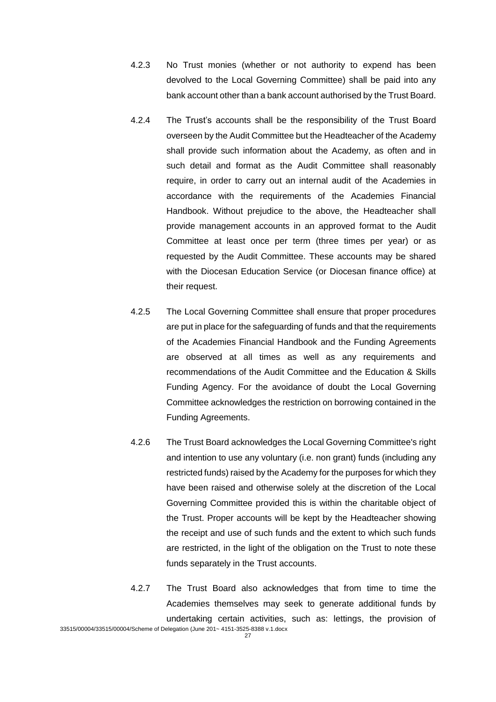- 4.2.3 No Trust monies (whether or not authority to expend has been devolved to the Local Governing Committee) shall be paid into any bank account other than a bank account authorised by the Trust Board.
- 4.2.4 The Trust's accounts shall be the responsibility of the Trust Board overseen by the Audit Committee but the Headteacher of the Academy shall provide such information about the Academy, as often and in such detail and format as the Audit Committee shall reasonably require, in order to carry out an internal audit of the Academies in accordance with the requirements of the Academies Financial Handbook. Without prejudice to the above, the Headteacher shall provide management accounts in an approved format to the Audit Committee at least once per term (three times per year) or as requested by the Audit Committee. These accounts may be shared with the Diocesan Education Service (or Diocesan finance office) at their request.
- 4.2.5 The Local Governing Committee shall ensure that proper procedures are put in place for the safeguarding of funds and that the requirements of the Academies Financial Handbook and the Funding Agreements are observed at all times as well as any requirements and recommendations of the Audit Committee and the Education & Skills Funding Agency. For the avoidance of doubt the Local Governing Committee acknowledges the restriction on borrowing contained in the Funding Agreements.
- 4.2.6 The Trust Board acknowledges the Local Governing Committee's right and intention to use any voluntary (i.e. non grant) funds (including any restricted funds) raised by the Academy for the purposes for which they have been raised and otherwise solely at the discretion of the Local Governing Committee provided this is within the charitable object of the Trust. Proper accounts will be kept by the Headteacher showing the receipt and use of such funds and the extent to which such funds are restricted, in the light of the obligation on the Trust to note these funds separately in the Trust accounts.
- 4.2.7 The Trust Board also acknowledges that from time to time the Academies themselves may seek to generate additional funds by undertaking certain activities, such as: lettings, the provision of

33515/00004/33515/00004/Scheme of Delegation (June 201~ 4151-3525-8388 v.1.docx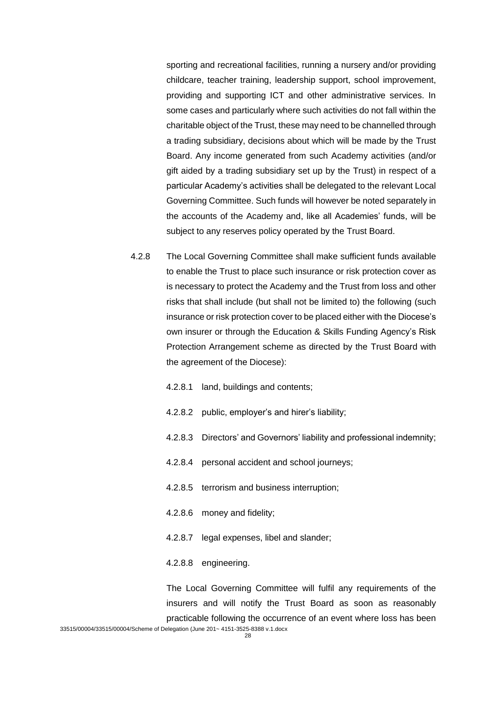sporting and recreational facilities, running a nursery and/or providing childcare, teacher training, leadership support, school improvement, providing and supporting ICT and other administrative services. In some cases and particularly where such activities do not fall within the charitable object of the Trust, these may need to be channelled through a trading subsidiary, decisions about which will be made by the Trust Board. Any income generated from such Academy activities (and/or gift aided by a trading subsidiary set up by the Trust) in respect of a particular Academy's activities shall be delegated to the relevant Local Governing Committee. Such funds will however be noted separately in the accounts of the Academy and, like all Academies' funds, will be subject to any reserves policy operated by the Trust Board.

- 4.2.8 The Local Governing Committee shall make sufficient funds available to enable the Trust to place such insurance or risk protection cover as is necessary to protect the Academy and the Trust from loss and other risks that shall include (but shall not be limited to) the following (such insurance or risk protection cover to be placed either with the Diocese's own insurer or through the Education & Skills Funding Agency's Risk Protection Arrangement scheme as directed by the Trust Board with the agreement of the Diocese):
	- 4.2.8.1 land, buildings and contents;
	- 4.2.8.2 public, employer's and hirer's liability;
	- 4.2.8.3 Directors' and Governors' liability and professional indemnity;
	- 4.2.8.4 personal accident and school journeys;
	- 4.2.8.5 terrorism and business interruption;
	- 4.2.8.6 money and fidelity;
	- 4.2.8.7 legal expenses, libel and slander:
	- 4.2.8.8 engineering.

The Local Governing Committee will fulfil any requirements of the insurers and will notify the Trust Board as soon as reasonably practicable following the occurrence of an event where loss has been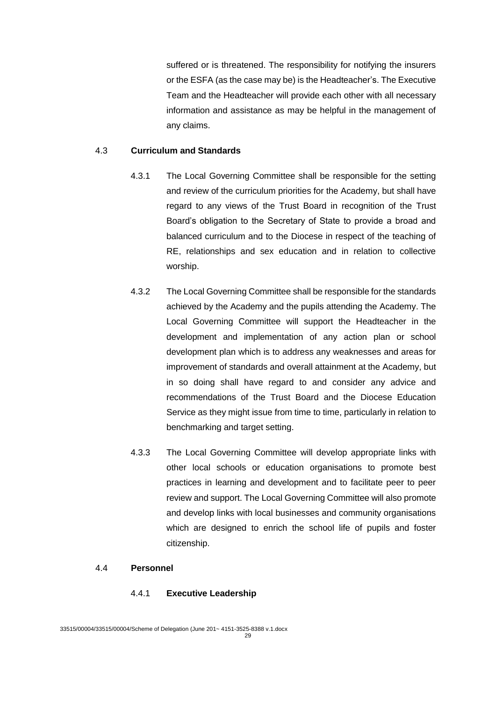suffered or is threatened. The responsibility for notifying the insurers or the ESFA (as the case may be) is the Headteacher's. The Executive Team and the Headteacher will provide each other with all necessary information and assistance as may be helpful in the management of any claims.

# 4.3 **Curriculum and Standards**

- 4.3.1 The Local Governing Committee shall be responsible for the setting and review of the curriculum priorities for the Academy, but shall have regard to any views of the Trust Board in recognition of the Trust Board's obligation to the Secretary of State to provide a broad and balanced curriculum and to the Diocese in respect of the teaching of RE, relationships and sex education and in relation to collective worship.
- 4.3.2 The Local Governing Committee shall be responsible for the standards achieved by the Academy and the pupils attending the Academy. The Local Governing Committee will support the Headteacher in the development and implementation of any action plan or school development plan which is to address any weaknesses and areas for improvement of standards and overall attainment at the Academy, but in so doing shall have regard to and consider any advice and recommendations of the Trust Board and the Diocese Education Service as they might issue from time to time, particularly in relation to benchmarking and target setting.
- 4.3.3 The Local Governing Committee will develop appropriate links with other local schools or education organisations to promote best practices in learning and development and to facilitate peer to peer review and support. The Local Governing Committee will also promote and develop links with local businesses and community organisations which are designed to enrich the school life of pupils and foster citizenship.

#### 4.4 **Personnel**

## 4.4.1 **Executive Leadership**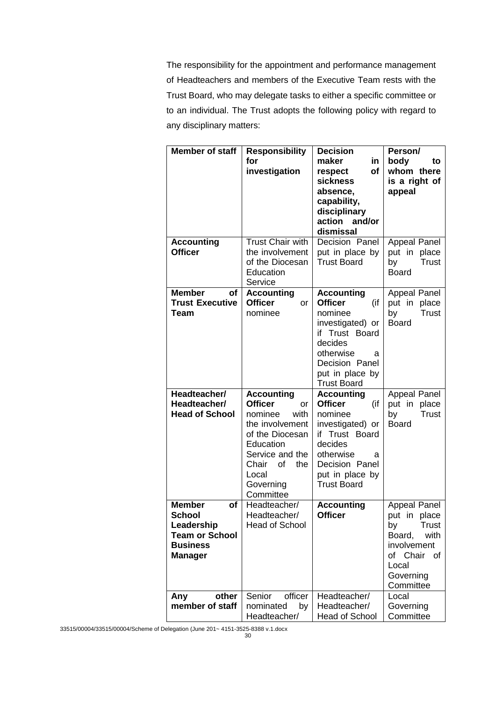The responsibility for the appointment and performance management of Headteachers and members of the Executive Team rests with the Trust Board, who may delegate tasks to either a specific committee or to an individual. The Trust adopts the following policy with regard to any disciplinary matters:

| <b>Member of staff</b>                                                                                    | <b>Responsibility</b><br>for<br>investigation                                                                                                                                               | <b>Decision</b><br>maker<br>in.<br>respect<br>οf<br><b>sickness</b><br>absence,<br>capability,<br>disciplinary<br>action<br>and/or<br>dismissal                                     | Person/<br>body<br>to<br>whom there<br>is a right of<br>appeal                                                                           |
|-----------------------------------------------------------------------------------------------------------|---------------------------------------------------------------------------------------------------------------------------------------------------------------------------------------------|-------------------------------------------------------------------------------------------------------------------------------------------------------------------------------------|------------------------------------------------------------------------------------------------------------------------------------------|
| <b>Accounting</b><br><b>Officer</b>                                                                       | <b>Trust Chair with</b><br>the involvement<br>of the Diocesan<br>Education<br>Service                                                                                                       | Decision Panel<br>put in place by<br><b>Trust Board</b>                                                                                                                             | <b>Appeal Panel</b><br>put in place<br><b>Trust</b><br>by<br><b>Board</b>                                                                |
| <b>Member</b><br>Οf<br><b>Trust Executive</b><br>Team                                                     | <b>Accounting</b><br><b>Officer</b><br>or<br>nominee                                                                                                                                        | <b>Accounting</b><br><b>Officer</b><br>(if<br>nominee<br>investigated) or<br>if Trust Board<br>decides<br>otherwise<br>a<br>Decision Panel<br>put in place by<br><b>Trust Board</b> | <b>Appeal Panel</b><br>put in place<br>by<br><b>Trust</b><br><b>Board</b>                                                                |
| Headteacher/<br>Headteacher/<br><b>Head of School</b>                                                     | <b>Accounting</b><br><b>Officer</b><br>or<br>nominee<br>with<br>the involvement<br>of the Diocesan<br>Education<br>Service and the<br>Chair<br>οf<br>the<br>Local<br>Governing<br>Committee | <b>Accounting</b><br><b>Officer</b><br>(if<br>nominee<br>investigated) or<br>if Trust Board<br>decides<br>otherwise<br>a<br>Decision Panel<br>put in place by<br><b>Trust Board</b> | <b>Appeal Panel</b><br>put in place<br>by<br>Trust<br><b>Board</b>                                                                       |
| <b>Member</b><br>οf<br>School<br>Leadership<br><b>Team or School</b><br><b>Business</b><br><b>Manager</b> | Headteacher/<br>Headteacher/<br><b>Head of School</b>                                                                                                                                       | <b>Accounting</b><br><b>Officer</b>                                                                                                                                                 | Appeal Panel<br>put in place<br><b>Trust</b><br>by<br>Board,<br>with<br>involvement<br>of Chair<br>of<br>Local<br>Governing<br>Committee |
| other<br>Any<br>member of staff                                                                           | officer<br>Senior<br>nominated<br>by<br>Headteacher/                                                                                                                                        | Headteacher/<br>Headteacher/<br><b>Head of School</b>                                                                                                                               | Local<br>Governing<br>Committee                                                                                                          |

33515/00004/33515/00004/Scheme of Delegation (June 201~ 4151-3525-8388 v.1.docx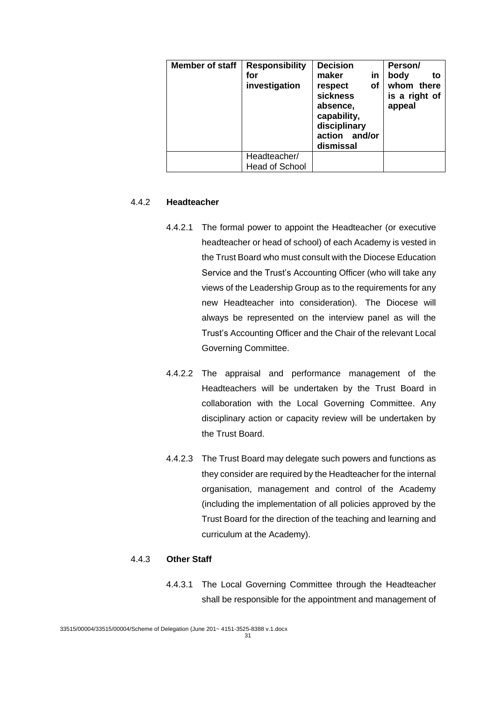| <b>Member of staff</b> | <b>Responsibility</b><br>for<br>investigation | <b>Decision</b><br>in<br>maker<br>οf<br>respect<br><b>sickness</b><br>absence,<br>capability,<br>disciplinary<br>action<br>and/or<br>dismissal | Person/<br>body<br>to<br>whom there<br>is a right of<br>appeal |
|------------------------|-----------------------------------------------|------------------------------------------------------------------------------------------------------------------------------------------------|----------------------------------------------------------------|
|                        | Headteacher/<br><b>Head of School</b>         |                                                                                                                                                |                                                                |

## 4.4.2 **Headteacher**

- 4.4.2.1 The formal power to appoint the Headteacher (or executive headteacher or head of school) of each Academy is vested in the Trust Board who must consult with the Diocese Education Service and the Trust's Accounting Officer (who will take any views of the Leadership Group as to the requirements for any new Headteacher into consideration). The Diocese will always be represented on the interview panel as will the Trust's Accounting Officer and the Chair of the relevant Local Governing Committee.
- 4.4.2.2 The appraisal and performance management of the Headteachers will be undertaken by the Trust Board in collaboration with the Local Governing Committee. Any disciplinary action or capacity review will be undertaken by the Trust Board.
- 4.4.2.3 The Trust Board may delegate such powers and functions as they consider are required by the Headteacher for the internal organisation, management and control of the Academy (including the implementation of all policies approved by the Trust Board for the direction of the teaching and learning and curriculum at the Academy).

# 4.4.3 **Other Staff**

4.4.3.1 The Local Governing Committee through the Headteacher shall be responsible for the appointment and management of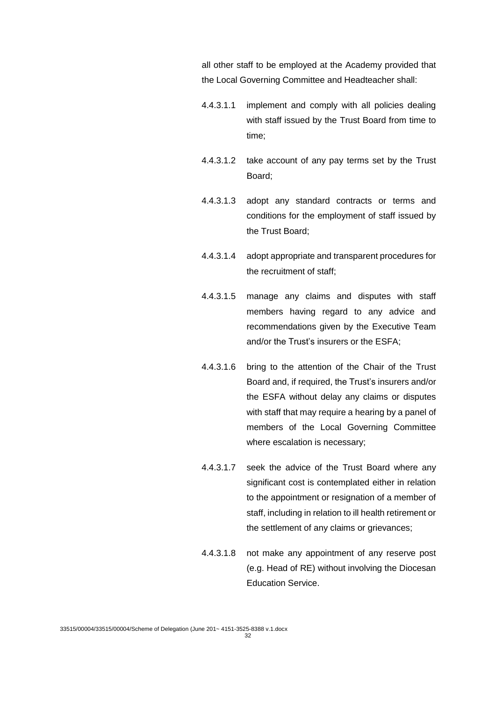all other staff to be employed at the Academy provided that the Local Governing Committee and Headteacher shall:

- 4.4.3.1.1 implement and comply with all policies dealing with staff issued by the Trust Board from time to time;
- 4.4.3.1.2 take account of any pay terms set by the Trust Board;
- 4.4.3.1.3 adopt any standard contracts or terms and conditions for the employment of staff issued by the Trust Board;
- 4.4.3.1.4 adopt appropriate and transparent procedures for the recruitment of staff;
- 4.4.3.1.5 manage any claims and disputes with staff members having regard to any advice and recommendations given by the Executive Team and/or the Trust's insurers or the ESFA;
- 4.4.3.1.6 bring to the attention of the Chair of the Trust Board and, if required, the Trust's insurers and/or the ESFA without delay any claims or disputes with staff that may require a hearing by a panel of members of the Local Governing Committee where escalation is necessary;
- 4.4.3.1.7 seek the advice of the Trust Board where any significant cost is contemplated either in relation to the appointment or resignation of a member of staff, including in relation to ill health retirement or the settlement of any claims or grievances;
- 4.4.3.1.8 not make any appointment of any reserve post (e.g. Head of RE) without involving the Diocesan Education Service.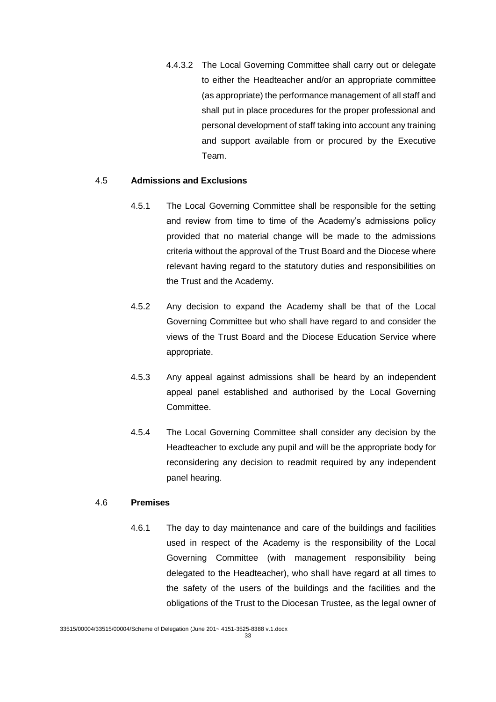4.4.3.2 The Local Governing Committee shall carry out or delegate to either the Headteacher and/or an appropriate committee (as appropriate) the performance management of all staff and shall put in place procedures for the proper professional and personal development of staff taking into account any training and support available from or procured by the Executive Team.

## 4.5 **Admissions and Exclusions**

- 4.5.1 The Local Governing Committee shall be responsible for the setting and review from time to time of the Academy's admissions policy provided that no material change will be made to the admissions criteria without the approval of the Trust Board and the Diocese where relevant having regard to the statutory duties and responsibilities on the Trust and the Academy.
- 4.5.2 Any decision to expand the Academy shall be that of the Local Governing Committee but who shall have regard to and consider the views of the Trust Board and the Diocese Education Service where appropriate.
- 4.5.3 Any appeal against admissions shall be heard by an independent appeal panel established and authorised by the Local Governing Committee.
- 4.5.4 The Local Governing Committee shall consider any decision by the Headteacher to exclude any pupil and will be the appropriate body for reconsidering any decision to readmit required by any independent panel hearing.

#### 4.6 **Premises**

4.6.1 The day to day maintenance and care of the buildings and facilities used in respect of the Academy is the responsibility of the Local Governing Committee (with management responsibility being delegated to the Headteacher), who shall have regard at all times to the safety of the users of the buildings and the facilities and the obligations of the Trust to the Diocesan Trustee, as the legal owner of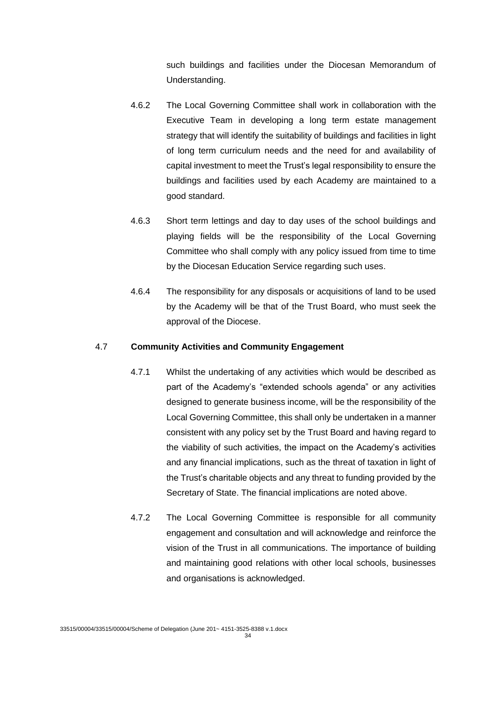such buildings and facilities under the Diocesan Memorandum of Understanding.

- 4.6.2 The Local Governing Committee shall work in collaboration with the Executive Team in developing a long term estate management strategy that will identify the suitability of buildings and facilities in light of long term curriculum needs and the need for and availability of capital investment to meet the Trust's legal responsibility to ensure the buildings and facilities used by each Academy are maintained to a good standard.
- 4.6.3 Short term lettings and day to day uses of the school buildings and playing fields will be the responsibility of the Local Governing Committee who shall comply with any policy issued from time to time by the Diocesan Education Service regarding such uses.
- 4.6.4 The responsibility for any disposals or acquisitions of land to be used by the Academy will be that of the Trust Board, who must seek the approval of the Diocese.

# 4.7 **Community Activities and Community Engagement**

- 4.7.1 Whilst the undertaking of any activities which would be described as part of the Academy's "extended schools agenda" or any activities designed to generate business income, will be the responsibility of the Local Governing Committee, this shall only be undertaken in a manner consistent with any policy set by the Trust Board and having regard to the viability of such activities, the impact on the Academy's activities and any financial implications, such as the threat of taxation in light of the Trust's charitable objects and any threat to funding provided by the Secretary of State. The financial implications are noted above.
- 4.7.2 The Local Governing Committee is responsible for all community engagement and consultation and will acknowledge and reinforce the vision of the Trust in all communications. The importance of building and maintaining good relations with other local schools, businesses and organisations is acknowledged.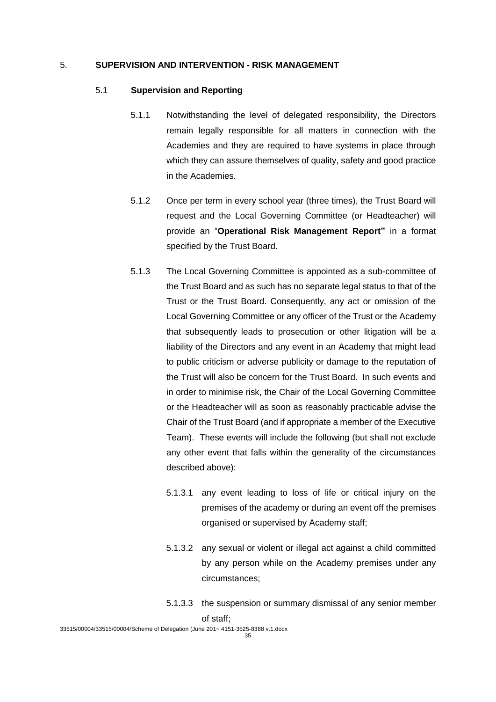### 5. **SUPERVISION AND INTERVENTION - RISK MANAGEMENT**

### 5.1 **Supervision and Reporting**

- 5.1.1 Notwithstanding the level of delegated responsibility, the Directors remain legally responsible for all matters in connection with the Academies and they are required to have systems in place through which they can assure themselves of quality, safety and good practice in the Academies.
- 5.1.2 Once per term in every school year (three times), the Trust Board will request and the Local Governing Committee (or Headteacher) will provide an "**Operational Risk Management Report"** in a format specified by the Trust Board.
- 5.1.3 The Local Governing Committee is appointed as a sub-committee of the Trust Board and as such has no separate legal status to that of the Trust or the Trust Board. Consequently, any act or omission of the Local Governing Committee or any officer of the Trust or the Academy that subsequently leads to prosecution or other litigation will be a liability of the Directors and any event in an Academy that might lead to public criticism or adverse publicity or damage to the reputation of the Trust will also be concern for the Trust Board. In such events and in order to minimise risk, the Chair of the Local Governing Committee or the Headteacher will as soon as reasonably practicable advise the Chair of the Trust Board (and if appropriate a member of the Executive Team). These events will include the following (but shall not exclude any other event that falls within the generality of the circumstances described above):
	- 5.1.3.1 any event leading to loss of life or critical injury on the premises of the academy or during an event off the premises organised or supervised by Academy staff;
	- 5.1.3.2 any sexual or violent or illegal act against a child committed by any person while on the Academy premises under any circumstances;
	- 5.1.3.3 the suspension or summary dismissal of any senior member of staff;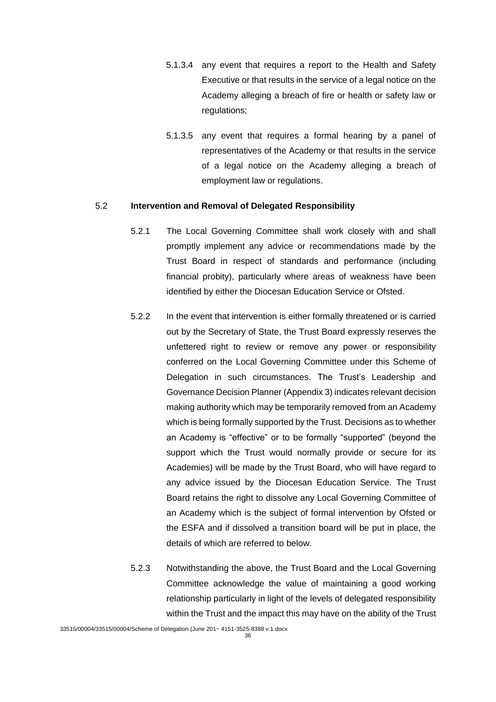- 5.1.3.4 any event that requires a report to the Health and Safety Executive or that results in the service of a legal notice on the Academy alleging a breach of fire or health or safety law or regulations;
- 5.1.3.5 any event that requires a formal hearing by a panel of representatives of the Academy or that results in the service of a legal notice on the Academy alleging a breach of employment law or regulations.

### 5.2 **Intervention and Removal of Delegated Responsibility**

- 5.2.1 The Local Governing Committee shall work closely with and shall promptly implement any advice or recommendations made by the Trust Board in respect of standards and performance (including financial probity), particularly where areas of weakness have been identified by either the Diocesan Education Service or Ofsted.
- 5.2.2 In the event that intervention is either formally threatened or is carried out by the Secretary of State, the Trust Board expressly reserves the unfettered right to review or remove any power or responsibility conferred on the Local Governing Committee under this Scheme of Delegation in such circumstances. The Trust's Leadership and Governance Decision Planner (Appendix 3) indicates relevant decision making authority which may be temporarily removed from an Academy which is being formally supported by the Trust. Decisions as to whether an Academy is "effective" or to be formally "supported" (beyond the support which the Trust would normally provide or secure for its Academies) will be made by the Trust Board, who will have regard to any advice issued by the Diocesan Education Service. The Trust Board retains the right to dissolve any Local Governing Committee of an Academy which is the subject of formal intervention by Ofsted or the ESFA and if dissolved a transition board will be put in place, the details of which are referred to below.
- 5.2.3 Notwithstanding the above, the Trust Board and the Local Governing Committee acknowledge the value of maintaining a good working relationship particularly in light of the levels of delegated responsibility within the Trust and the impact this may have on the ability of the Trust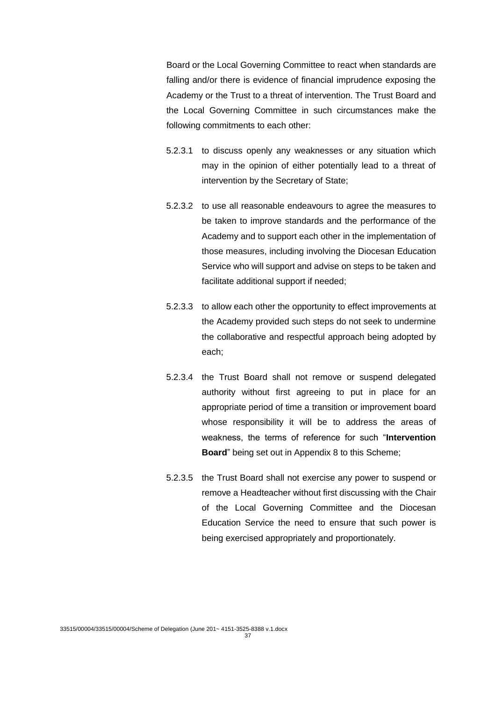Board or the Local Governing Committee to react when standards are falling and/or there is evidence of financial imprudence exposing the Academy or the Trust to a threat of intervention. The Trust Board and the Local Governing Committee in such circumstances make the following commitments to each other:

- 5.2.3.1 to discuss openly any weaknesses or any situation which may in the opinion of either potentially lead to a threat of intervention by the Secretary of State;
- 5.2.3.2 to use all reasonable endeavours to agree the measures to be taken to improve standards and the performance of the Academy and to support each other in the implementation of those measures, including involving the Diocesan Education Service who will support and advise on steps to be taken and facilitate additional support if needed;
- 5.2.3.3 to allow each other the opportunity to effect improvements at the Academy provided such steps do not seek to undermine the collaborative and respectful approach being adopted by each;
- 5.2.3.4 the Trust Board shall not remove or suspend delegated authority without first agreeing to put in place for an appropriate period of time a transition or improvement board whose responsibility it will be to address the areas of weakness, the terms of reference for such "**Intervention Board**" being set out in Appendix 8 to this Scheme;
- 5.2.3.5 the Trust Board shall not exercise any power to suspend or remove a Headteacher without first discussing with the Chair of the Local Governing Committee and the Diocesan Education Service the need to ensure that such power is being exercised appropriately and proportionately.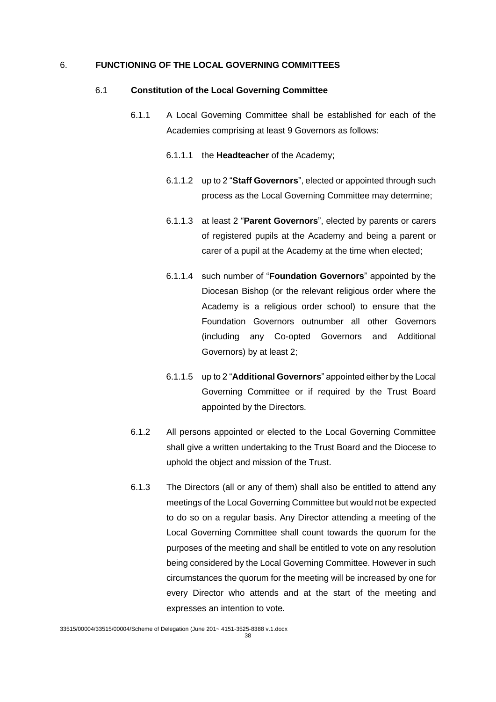#### 6. **FUNCTIONING OF THE LOCAL GOVERNING COMMITTEES**

#### 6.1 **Constitution of the Local Governing Committee**

- 6.1.1 A Local Governing Committee shall be established for each of the Academies comprising at least 9 Governors as follows:
	- 6.1.1.1 the **Headteacher** of the Academy;
	- 6.1.1.2 up to 2 "**Staff Governors**", elected or appointed through such process as the Local Governing Committee may determine;
	- 6.1.1.3 at least 2 "**Parent Governors**", elected by parents or carers of registered pupils at the Academy and being a parent or carer of a pupil at the Academy at the time when elected;
	- 6.1.1.4 such number of "**Foundation Governors**" appointed by the Diocesan Bishop (or the relevant religious order where the Academy is a religious order school) to ensure that the Foundation Governors outnumber all other Governors (including any Co-opted Governors and Additional Governors) by at least 2;
	- 6.1.1.5 up to 2 "**Additional Governors**" appointed either by the Local Governing Committee or if required by the Trust Board appointed by the Directors.
- 6.1.2 All persons appointed or elected to the Local Governing Committee shall give a written undertaking to the Trust Board and the Diocese to uphold the object and mission of the Trust.
- 6.1.3 The Directors (all or any of them) shall also be entitled to attend any meetings of the Local Governing Committee but would not be expected to do so on a regular basis. Any Director attending a meeting of the Local Governing Committee shall count towards the quorum for the purposes of the meeting and shall be entitled to vote on any resolution being considered by the Local Governing Committee. However in such circumstances the quorum for the meeting will be increased by one for every Director who attends and at the start of the meeting and expresses an intention to vote.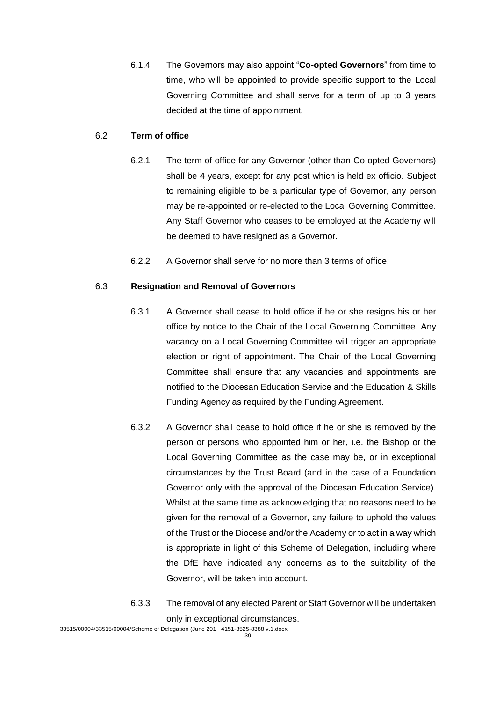6.1.4 The Governors may also appoint "**Co-opted Governors**" from time to time, who will be appointed to provide specific support to the Local Governing Committee and shall serve for a term of up to 3 years decided at the time of appointment.

#### 6.2 **Term of office**

- 6.2.1 The term of office for any Governor (other than Co-opted Governors) shall be 4 years, except for any post which is held ex officio. Subject to remaining eligible to be a particular type of Governor, any person may be re-appointed or re-elected to the Local Governing Committee. Any Staff Governor who ceases to be employed at the Academy will be deemed to have resigned as a Governor.
- 6.2.2 A Governor shall serve for no more than 3 terms of office.

### 6.3 **Resignation and Removal of Governors**

- 6.3.1 A Governor shall cease to hold office if he or she resigns his or her office by notice to the Chair of the Local Governing Committee. Any vacancy on a Local Governing Committee will trigger an appropriate election or right of appointment. The Chair of the Local Governing Committee shall ensure that any vacancies and appointments are notified to the Diocesan Education Service and the Education & Skills Funding Agency as required by the Funding Agreement.
- 6.3.2 A Governor shall cease to hold office if he or she is removed by the person or persons who appointed him or her, i.e. the Bishop or the Local Governing Committee as the case may be, or in exceptional circumstances by the Trust Board (and in the case of a Foundation Governor only with the approval of the Diocesan Education Service). Whilst at the same time as acknowledging that no reasons need to be given for the removal of a Governor, any failure to uphold the values of the Trust or the Diocese and/or the Academy or to act in a way which is appropriate in light of this Scheme of Delegation, including where the DfE have indicated any concerns as to the suitability of the Governor, will be taken into account.
- 6.3.3 The removal of any elected Parent or Staff Governor will be undertaken only in exceptional circumstances.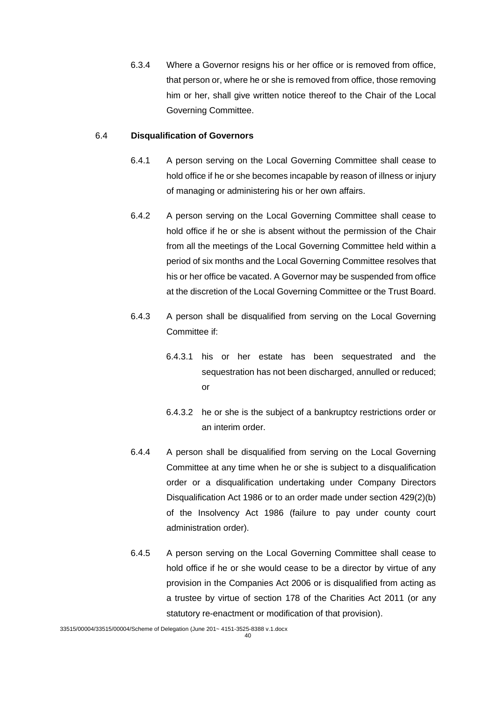6.3.4 Where a Governor resigns his or her office or is removed from office, that person or, where he or she is removed from office, those removing him or her, shall give written notice thereof to the Chair of the Local Governing Committee.

#### 6.4 **Disqualification of Governors**

- 6.4.1 A person serving on the Local Governing Committee shall cease to hold office if he or she becomes incapable by reason of illness or injury of managing or administering his or her own affairs.
- 6.4.2 A person serving on the Local Governing Committee shall cease to hold office if he or she is absent without the permission of the Chair from all the meetings of the Local Governing Committee held within a period of six months and the Local Governing Committee resolves that his or her office be vacated. A Governor may be suspended from office at the discretion of the Local Governing Committee or the Trust Board.
- 6.4.3 A person shall be disqualified from serving on the Local Governing Committee if:
	- 6.4.3.1 his or her estate has been sequestrated and the sequestration has not been discharged, annulled or reduced; or
	- 6.4.3.2 he or she is the subject of a bankruptcy restrictions order or an interim order.
- 6.4.4 A person shall be disqualified from serving on the Local Governing Committee at any time when he or she is subject to a disqualification order or a disqualification undertaking under Company Directors Disqualification Act 1986 or to an order made under section 429(2)(b) of the Insolvency Act 1986 (failure to pay under county court administration order).
- 6.4.5 A person serving on the Local Governing Committee shall cease to hold office if he or she would cease to be a director by virtue of any provision in the Companies Act 2006 or is disqualified from acting as a trustee by virtue of section 178 of the Charities Act 2011 (or any statutory re-enactment or modification of that provision).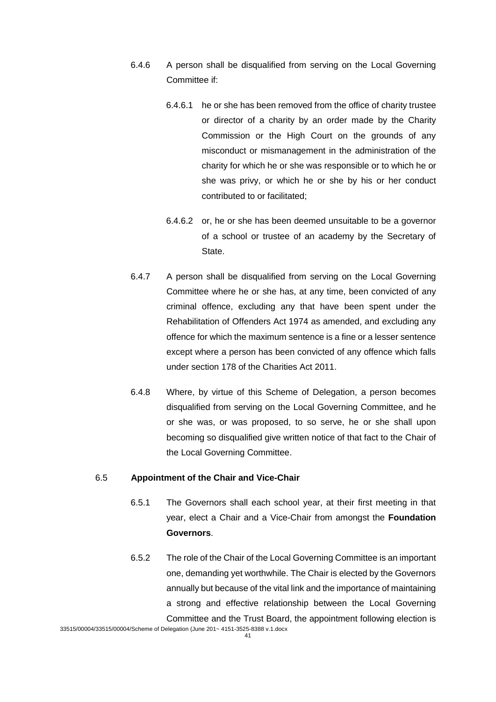- 6.4.6 A person shall be disqualified from serving on the Local Governing Committee if:
	- 6.4.6.1 he or she has been removed from the office of charity trustee or director of a charity by an order made by the Charity Commission or the High Court on the grounds of any misconduct or mismanagement in the administration of the charity for which he or she was responsible or to which he or she was privy, or which he or she by his or her conduct contributed to or facilitated;
	- 6.4.6.2 or, he or she has been deemed unsuitable to be a governor of a school or trustee of an academy by the Secretary of State.
- 6.4.7 A person shall be disqualified from serving on the Local Governing Committee where he or she has, at any time, been convicted of any criminal offence, excluding any that have been spent under the Rehabilitation of Offenders Act 1974 as amended, and excluding any offence for which the maximum sentence is a fine or a lesser sentence except where a person has been convicted of any offence which falls under section 178 of the Charities Act 2011.
- 6.4.8 Where, by virtue of this Scheme of Delegation, a person becomes disqualified from serving on the Local Governing Committee, and he or she was, or was proposed, to so serve, he or she shall upon becoming so disqualified give written notice of that fact to the Chair of the Local Governing Committee.

#### 6.5 **Appointment of the Chair and Vice-Chair**

- 6.5.1 The Governors shall each school year, at their first meeting in that year, elect a Chair and a Vice-Chair from amongst the **Foundation Governors**.
- 6.5.2 The role of the Chair of the Local Governing Committee is an important one, demanding yet worthwhile. The Chair is elected by the Governors annually but because of the vital link and the importance of maintaining a strong and effective relationship between the Local Governing Committee and the Trust Board, the appointment following election is

<sup>33515/00004/33515/00004/</sup>Scheme of Delegation (June 201~ 4151-3525-8388 v.1.docx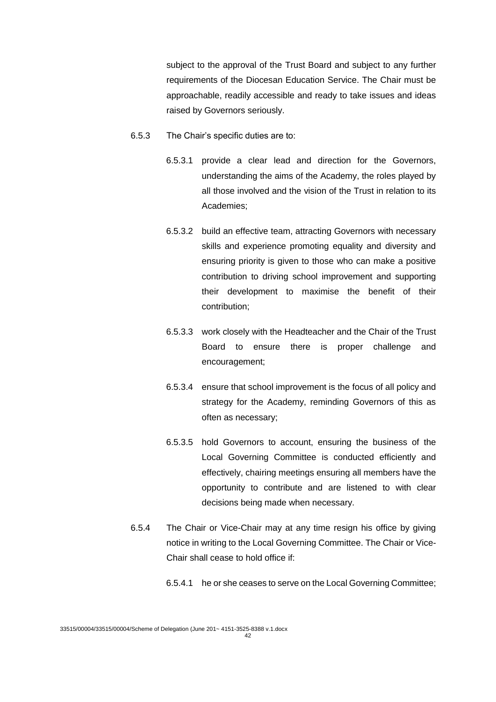subject to the approval of the Trust Board and subject to any further requirements of the Diocesan Education Service. The Chair must be approachable, readily accessible and ready to take issues and ideas raised by Governors seriously.

- 6.5.3 The Chair's specific duties are to:
	- 6.5.3.1 provide a clear lead and direction for the Governors, understanding the aims of the Academy, the roles played by all those involved and the vision of the Trust in relation to its Academies;
	- 6.5.3.2 build an effective team, attracting Governors with necessary skills and experience promoting equality and diversity and ensuring priority is given to those who can make a positive contribution to driving school improvement and supporting their development to maximise the benefit of their contribution;
	- 6.5.3.3 work closely with the Headteacher and the Chair of the Trust Board to ensure there is proper challenge and encouragement;
	- 6.5.3.4 ensure that school improvement is the focus of all policy and strategy for the Academy, reminding Governors of this as often as necessary;
	- 6.5.3.5 hold Governors to account, ensuring the business of the Local Governing Committee is conducted efficiently and effectively, chairing meetings ensuring all members have the opportunity to contribute and are listened to with clear decisions being made when necessary.
- 6.5.4 The Chair or Vice-Chair may at any time resign his office by giving notice in writing to the Local Governing Committee. The Chair or Vice-Chair shall cease to hold office if:
	- 6.5.4.1 he or she ceases to serve on the Local Governing Committee;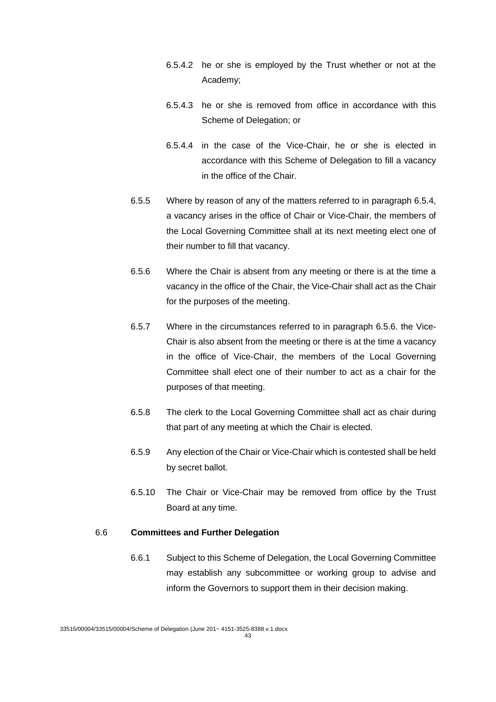- 6.5.4.2 he or she is employed by the Trust whether or not at the Academy;
- 6.5.4.3 he or she is removed from office in accordance with this Scheme of Delegation; or
- 6.5.4.4 in the case of the Vice-Chair, he or she is elected in accordance with this Scheme of Delegation to fill a vacancy in the office of the Chair.
- 6.5.5 Where by reason of any of the matters referred to in paragraph 6.5.4, a vacancy arises in the office of Chair or Vice-Chair, the members of the Local Governing Committee shall at its next meeting elect one of their number to fill that vacancy.
- 6.5.6 Where the Chair is absent from any meeting or there is at the time a vacancy in the office of the Chair, the Vice-Chair shall act as the Chair for the purposes of the meeting.
- 6.5.7 Where in the circumstances referred to in paragraph 6.5.6. the Vice-Chair is also absent from the meeting or there is at the time a vacancy in the office of Vice-Chair, the members of the Local Governing Committee shall elect one of their number to act as a chair for the purposes of that meeting.
- 6.5.8 The clerk to the Local Governing Committee shall act as chair during that part of any meeting at which the Chair is elected.
- 6.5.9 Any election of the Chair or Vice-Chair which is contested shall be held by secret ballot.
- 6.5.10 The Chair or Vice-Chair may be removed from office by the Trust Board at any time.

#### 6.6 **Committees and Further Delegation**

6.6.1 Subject to this Scheme of Delegation, the Local Governing Committee may establish any subcommittee or working group to advise and inform the Governors to support them in their decision making.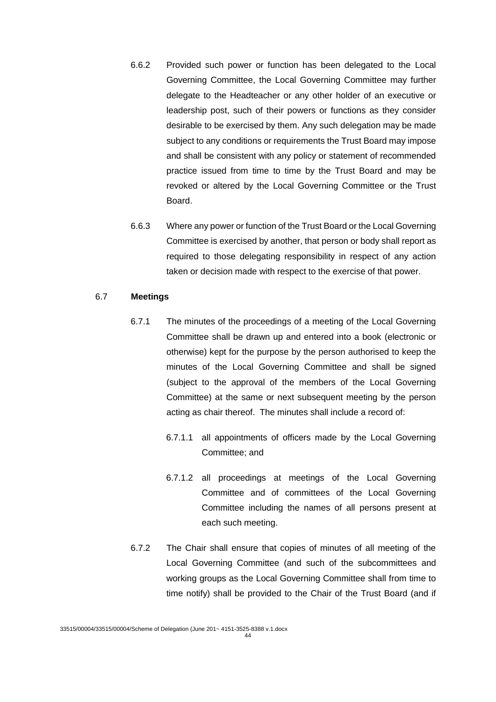- 6.6.2 Provided such power or function has been delegated to the Local Governing Committee, the Local Governing Committee may further delegate to the Headteacher or any other holder of an executive or leadership post, such of their powers or functions as they consider desirable to be exercised by them. Any such delegation may be made subject to any conditions or requirements the Trust Board may impose and shall be consistent with any policy or statement of recommended practice issued from time to time by the Trust Board and may be revoked or altered by the Local Governing Committee or the Trust Board.
- 6.6.3 Where any power or function of the Trust Board or the Local Governing Committee is exercised by another, that person or body shall report as required to those delegating responsibility in respect of any action taken or decision made with respect to the exercise of that power.

#### 6.7 **Meetings**

- 6.7.1 The minutes of the proceedings of a meeting of the Local Governing Committee shall be drawn up and entered into a book (electronic or otherwise) kept for the purpose by the person authorised to keep the minutes of the Local Governing Committee and shall be signed (subject to the approval of the members of the Local Governing Committee) at the same or next subsequent meeting by the person acting as chair thereof. The minutes shall include a record of:
	- 6.7.1.1 all appointments of officers made by the Local Governing Committee; and
	- 6.7.1.2 all proceedings at meetings of the Local Governing Committee and of committees of the Local Governing Committee including the names of all persons present at each such meeting.
- 6.7.2 The Chair shall ensure that copies of minutes of all meeting of the Local Governing Committee (and such of the subcommittees and working groups as the Local Governing Committee shall from time to time notify) shall be provided to the Chair of the Trust Board (and if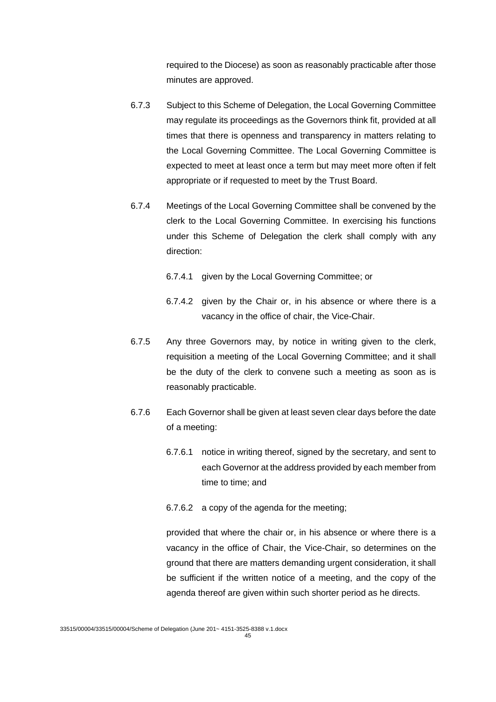required to the Diocese) as soon as reasonably practicable after those minutes are approved.

- 6.7.3 Subject to this Scheme of Delegation, the Local Governing Committee may regulate its proceedings as the Governors think fit, provided at all times that there is openness and transparency in matters relating to the Local Governing Committee. The Local Governing Committee is expected to meet at least once a term but may meet more often if felt appropriate or if requested to meet by the Trust Board.
- 6.7.4 Meetings of the Local Governing Committee shall be convened by the clerk to the Local Governing Committee. In exercising his functions under this Scheme of Delegation the clerk shall comply with any direction:
	- 6.7.4.1 given by the Local Governing Committee; or
	- 6.7.4.2 given by the Chair or, in his absence or where there is a vacancy in the office of chair, the Vice-Chair.
- 6.7.5 Any three Governors may, by notice in writing given to the clerk, requisition a meeting of the Local Governing Committee; and it shall be the duty of the clerk to convene such a meeting as soon as is reasonably practicable.
- 6.7.6 Each Governor shall be given at least seven clear days before the date of a meeting:
	- 6.7.6.1 notice in writing thereof, signed by the secretary, and sent to each Governor at the address provided by each member from time to time; and
	- 6.7.6.2 a copy of the agenda for the meeting;

provided that where the chair or, in his absence or where there is a vacancy in the office of Chair, the Vice-Chair, so determines on the ground that there are matters demanding urgent consideration, it shall be sufficient if the written notice of a meeting, and the copy of the agenda thereof are given within such shorter period as he directs.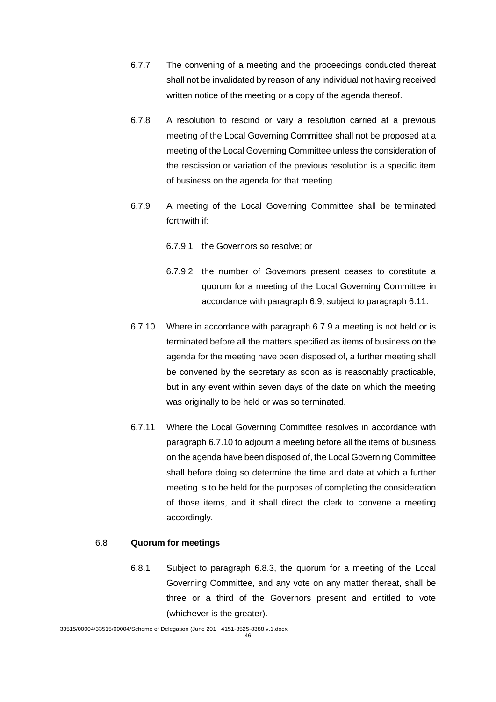- 6.7.7 The convening of a meeting and the proceedings conducted thereat shall not be invalidated by reason of any individual not having received written notice of the meeting or a copy of the agenda thereof.
- 6.7.8 A resolution to rescind or vary a resolution carried at a previous meeting of the Local Governing Committee shall not be proposed at a meeting of the Local Governing Committee unless the consideration of the rescission or variation of the previous resolution is a specific item of business on the agenda for that meeting.
- 6.7.9 A meeting of the Local Governing Committee shall be terminated forthwith if:
	- 6.7.9.1 the Governors so resolve; or
	- 6.7.9.2 the number of Governors present ceases to constitute a quorum for a meeting of the Local Governing Committee in accordance with paragraph 6.9, subject to paragraph 6.11.
- 6.7.10 Where in accordance with paragraph 6.7.9 a meeting is not held or is terminated before all the matters specified as items of business on the agenda for the meeting have been disposed of, a further meeting shall be convened by the secretary as soon as is reasonably practicable, but in any event within seven days of the date on which the meeting was originally to be held or was so terminated.
- 6.7.11 Where the Local Governing Committee resolves in accordance with paragraph 6.7.10 to adjourn a meeting before all the items of business on the agenda have been disposed of, the Local Governing Committee shall before doing so determine the time and date at which a further meeting is to be held for the purposes of completing the consideration of those items, and it shall direct the clerk to convene a meeting accordingly.

#### 6.8 **Quorum for meetings**

6.8.1 Subject to paragraph 6.8.3, the quorum for a meeting of the Local Governing Committee, and any vote on any matter thereat, shall be three or a third of the Governors present and entitled to vote (whichever is the greater).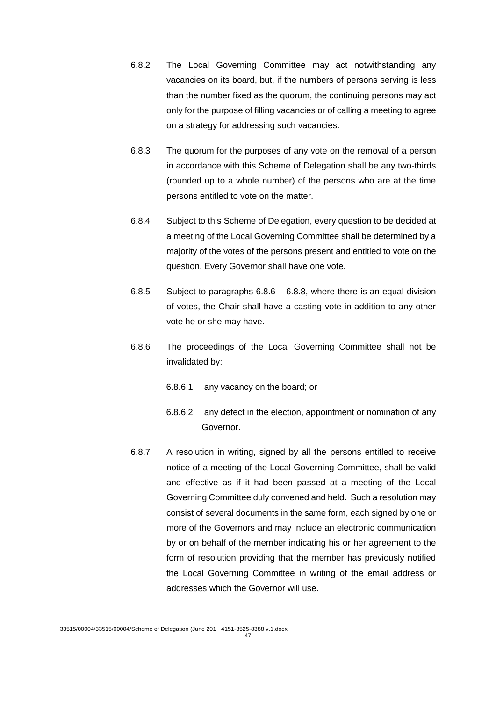- 6.8.2 The Local Governing Committee may act notwithstanding any vacancies on its board, but, if the numbers of persons serving is less than the number fixed as the quorum, the continuing persons may act only for the purpose of filling vacancies or of calling a meeting to agree on a strategy for addressing such vacancies.
- 6.8.3 The quorum for the purposes of any vote on the removal of a person in accordance with this Scheme of Delegation shall be any two-thirds (rounded up to a whole number) of the persons who are at the time persons entitled to vote on the matter.
- 6.8.4 Subject to this Scheme of Delegation, every question to be decided at a meeting of the Local Governing Committee shall be determined by a majority of the votes of the persons present and entitled to vote on the question. Every Governor shall have one vote.
- 6.8.5 Subject to paragraphs 6.8.6 6.8.8, where there is an equal division of votes, the Chair shall have a casting vote in addition to any other vote he or she may have.
- 6.8.6 The proceedings of the Local Governing Committee shall not be invalidated by:
	- 6.8.6.1 any vacancy on the board; or
	- 6.8.6.2 any defect in the election, appointment or nomination of any **Governor**
- 6.8.7 A resolution in writing, signed by all the persons entitled to receive notice of a meeting of the Local Governing Committee, shall be valid and effective as if it had been passed at a meeting of the Local Governing Committee duly convened and held. Such a resolution may consist of several documents in the same form, each signed by one or more of the Governors and may include an electronic communication by or on behalf of the member indicating his or her agreement to the form of resolution providing that the member has previously notified the Local Governing Committee in writing of the email address or addresses which the Governor will use.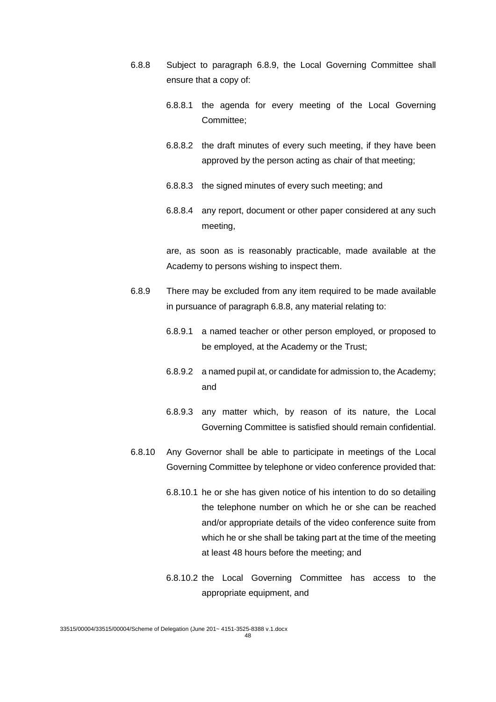- 6.8.8 Subject to paragraph 6.8.9, the Local Governing Committee shall ensure that a copy of:
	- 6.8.8.1 the agenda for every meeting of the Local Governing Committee;
	- 6.8.8.2 the draft minutes of every such meeting, if they have been approved by the person acting as chair of that meeting;
	- 6.8.8.3 the signed minutes of every such meeting; and
	- 6.8.8.4 any report, document or other paper considered at any such meeting,

are, as soon as is reasonably practicable, made available at the Academy to persons wishing to inspect them.

- 6.8.9 There may be excluded from any item required to be made available in pursuance of paragraph 6.8.8, any material relating to:
	- 6.8.9.1 a named teacher or other person employed, or proposed to be employed, at the Academy or the Trust;
	- 6.8.9.2 a named pupil at, or candidate for admission to, the Academy; and
	- 6.8.9.3 any matter which, by reason of its nature, the Local Governing Committee is satisfied should remain confidential.
- 6.8.10 Any Governor shall be able to participate in meetings of the Local Governing Committee by telephone or video conference provided that:
	- 6.8.10.1 he or she has given notice of his intention to do so detailing the telephone number on which he or she can be reached and/or appropriate details of the video conference suite from which he or she shall be taking part at the time of the meeting at least 48 hours before the meeting; and
	- 6.8.10.2 the Local Governing Committee has access to the appropriate equipment, and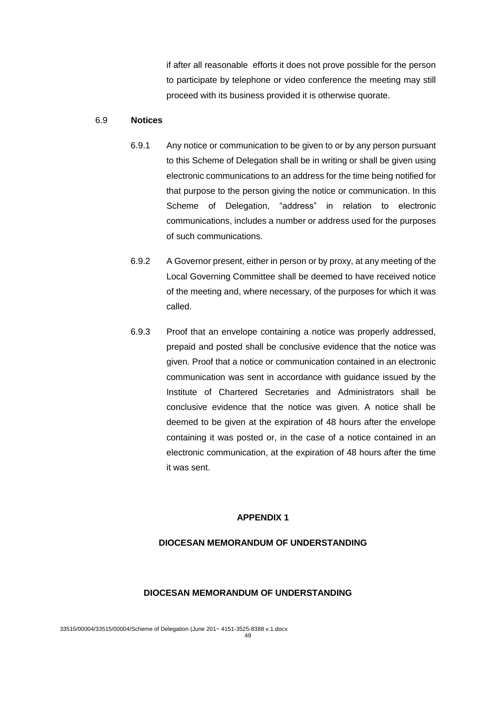if after all reasonable efforts it does not prove possible for the person to participate by telephone or video conference the meeting may still proceed with its business provided it is otherwise quorate.

#### 6.9 **Notices**

- 6.9.1 Any notice or communication to be given to or by any person pursuant to this Scheme of Delegation shall be in writing or shall be given using electronic communications to an address for the time being notified for that purpose to the person giving the notice or communication. In this Scheme of Delegation, "address" in relation to electronic communications, includes a number or address used for the purposes of such communications.
- 6.9.2 A Governor present, either in person or by proxy, at any meeting of the Local Governing Committee shall be deemed to have received notice of the meeting and, where necessary, of the purposes for which it was called.
- 6.9.3 Proof that an envelope containing a notice was properly addressed, prepaid and posted shall be conclusive evidence that the notice was given. Proof that a notice or communication contained in an electronic communication was sent in accordance with guidance issued by the Institute of Chartered Secretaries and Administrators shall be conclusive evidence that the notice was given. A notice shall be deemed to be given at the expiration of 48 hours after the envelope containing it was posted or, in the case of a notice contained in an electronic communication, at the expiration of 48 hours after the time it was sent.

#### **APPENDIX 1**

#### **DIOCESAN MEMORANDUM OF UNDERSTANDING**

#### **DIOCESAN MEMORANDUM OF UNDERSTANDING**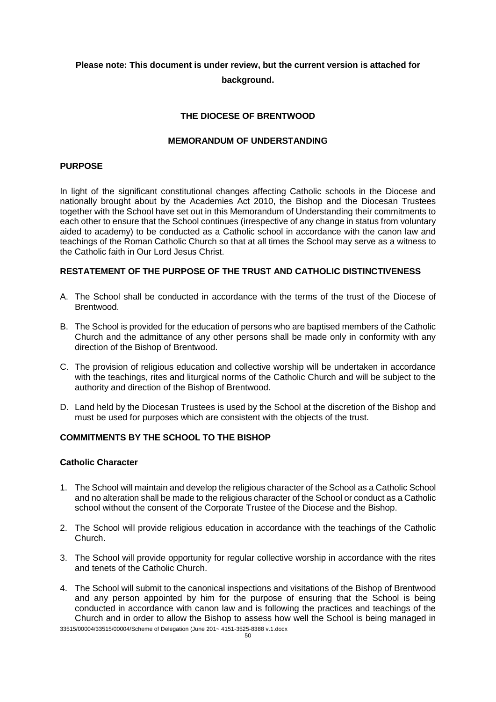# **Please note: This document is under review, but the current version is attached for background.**

### **THE DIOCESE OF BRENTWOOD**

#### **MEMORANDUM OF UNDERSTANDING**

#### **PURPOSE**

In light of the significant constitutional changes affecting Catholic schools in the Diocese and nationally brought about by the Academies Act 2010, the Bishop and the Diocesan Trustees together with the School have set out in this Memorandum of Understanding their commitments to each other to ensure that the School continues (irrespective of any change in status from voluntary aided to academy) to be conducted as a Catholic school in accordance with the canon law and teachings of the Roman Catholic Church so that at all times the School may serve as a witness to the Catholic faith in Our Lord Jesus Christ.

### **RESTATEMENT OF THE PURPOSE OF THE TRUST AND CATHOLIC DISTINCTIVENESS**

- A. The School shall be conducted in accordance with the terms of the trust of the Diocese of **Brentwood.**
- B. The School is provided for the education of persons who are baptised members of the Catholic Church and the admittance of any other persons shall be made only in conformity with any direction of the Bishop of Brentwood.
- C. The provision of religious education and collective worship will be undertaken in accordance with the teachings, rites and liturgical norms of the Catholic Church and will be subject to the authority and direction of the Bishop of Brentwood.
- D. Land held by the Diocesan Trustees is used by the School at the discretion of the Bishop and must be used for purposes which are consistent with the objects of the trust.

#### **COMMITMENTS BY THE SCHOOL TO THE BISHOP**

### **Catholic Character**

- 1. The School will maintain and develop the religious character of the School as a Catholic School and no alteration shall be made to the religious character of the School or conduct as a Catholic school without the consent of the Corporate Trustee of the Diocese and the Bishop.
- 2. The School will provide religious education in accordance with the teachings of the Catholic Church.
- 3. The School will provide opportunity for regular collective worship in accordance with the rites and tenets of the Catholic Church.
- 4. The School will submit to the canonical inspections and visitations of the Bishop of Brentwood and any person appointed by him for the purpose of ensuring that the School is being conducted in accordance with canon law and is following the practices and teachings of the Church and in order to allow the Bishop to assess how well the School is being managed in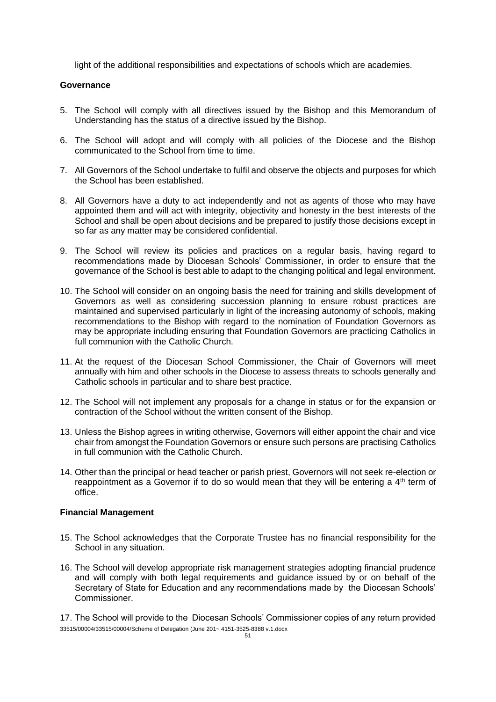light of the additional responsibilities and expectations of schools which are academies.

### **Governance**

- 5. The School will comply with all directives issued by the Bishop and this Memorandum of Understanding has the status of a directive issued by the Bishop.
- 6. The School will adopt and will comply with all policies of the Diocese and the Bishop communicated to the School from time to time.
- 7. All Governors of the School undertake to fulfil and observe the objects and purposes for which the School has been established.
- 8. All Governors have a duty to act independently and not as agents of those who may have appointed them and will act with integrity, objectivity and honesty in the best interests of the School and shall be open about decisions and be prepared to justify those decisions except in so far as any matter may be considered confidential.
- 9. The School will review its policies and practices on a regular basis, having regard to recommendations made by Diocesan Schools' Commissioner, in order to ensure that the governance of the School is best able to adapt to the changing political and legal environment.
- 10. The School will consider on an ongoing basis the need for training and skills development of Governors as well as considering succession planning to ensure robust practices are maintained and supervised particularly in light of the increasing autonomy of schools, making recommendations to the Bishop with regard to the nomination of Foundation Governors as may be appropriate including ensuring that Foundation Governors are practicing Catholics in full communion with the Catholic Church.
- 11. At the request of the Diocesan School Commissioner, the Chair of Governors will meet annually with him and other schools in the Diocese to assess threats to schools generally and Catholic schools in particular and to share best practice.
- 12. The School will not implement any proposals for a change in status or for the expansion or contraction of the School without the written consent of the Bishop.
- 13. Unless the Bishop agrees in writing otherwise, Governors will either appoint the chair and vice chair from amongst the Foundation Governors or ensure such persons are practising Catholics in full communion with the Catholic Church.
- 14. Other than the principal or head teacher or parish priest, Governors will not seek re-election or reappointment as a Governor if to do so would mean that they will be entering a  $4<sup>th</sup>$  term of office.

#### **Financial Management**

- 15. The School acknowledges that the Corporate Trustee has no financial responsibility for the School in any situation.
- 16. The School will develop appropriate risk management strategies adopting financial prudence and will comply with both legal requirements and guidance issued by or on behalf of the Secretary of State for Education and any recommendations made by the Diocesan Schools' Commissioner.

33515/00004/33515/00004/Scheme of Delegation (June 201~ 4151-3525-8388 v.1.docx 17. The School will provide to the Diocesan Schools' Commissioner copies of any return provided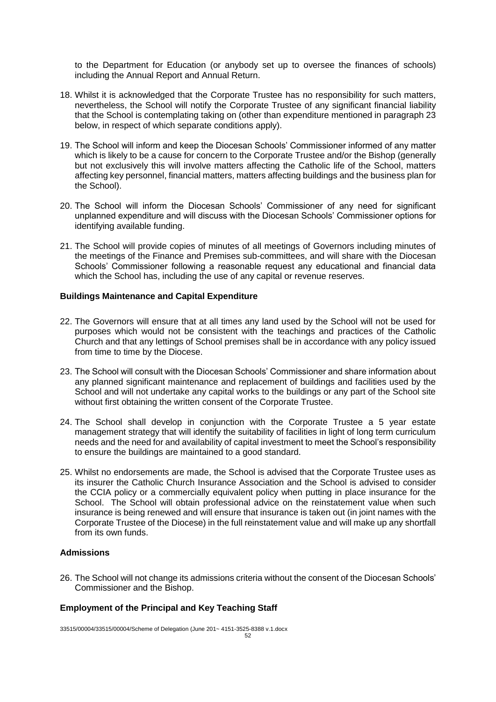to the Department for Education (or anybody set up to oversee the finances of schools) including the Annual Report and Annual Return.

- 18. Whilst it is acknowledged that the Corporate Trustee has no responsibility for such matters, nevertheless, the School will notify the Corporate Trustee of any significant financial liability that the School is contemplating taking on (other than expenditure mentioned in paragraph 23 below, in respect of which separate conditions apply).
- 19. The School will inform and keep the Diocesan Schools' Commissioner informed of any matter which is likely to be a cause for concern to the Corporate Trustee and/or the Bishop (generally but not exclusively this will involve matters affecting the Catholic life of the School, matters affecting key personnel, financial matters, matters affecting buildings and the business plan for the School).
- 20. The School will inform the Diocesan Schools' Commissioner of any need for significant unplanned expenditure and will discuss with the Diocesan Schools' Commissioner options for identifying available funding.
- 21. The School will provide copies of minutes of all meetings of Governors including minutes of the meetings of the Finance and Premises sub-committees, and will share with the Diocesan Schools' Commissioner following a reasonable request any educational and financial data which the School has, including the use of any capital or revenue reserves.

#### **Buildings Maintenance and Capital Expenditure**

- 22. The Governors will ensure that at all times any land used by the School will not be used for purposes which would not be consistent with the teachings and practices of the Catholic Church and that any lettings of School premises shall be in accordance with any policy issued from time to time by the Diocese.
- 23. The School will consult with the Diocesan Schools' Commissioner and share information about any planned significant maintenance and replacement of buildings and facilities used by the School and will not undertake any capital works to the buildings or any part of the School site without first obtaining the written consent of the Corporate Trustee.
- 24. The School shall develop in conjunction with the Corporate Trustee a 5 year estate management strategy that will identify the suitability of facilities in light of long term curriculum needs and the need for and availability of capital investment to meet the School's responsibility to ensure the buildings are maintained to a good standard.
- 25. Whilst no endorsements are made, the School is advised that the Corporate Trustee uses as its insurer the Catholic Church Insurance Association and the School is advised to consider the CCIA policy or a commercially equivalent policy when putting in place insurance for the School. The School will obtain professional advice on the reinstatement value when such insurance is being renewed and will ensure that insurance is taken out (in joint names with the Corporate Trustee of the Diocese) in the full reinstatement value and will make up any shortfall from its own funds.

#### **Admissions**

26. The School will not change its admissions criteria without the consent of the Diocesan Schools' Commissioner and the Bishop.

#### **Employment of the Principal and Key Teaching Staff**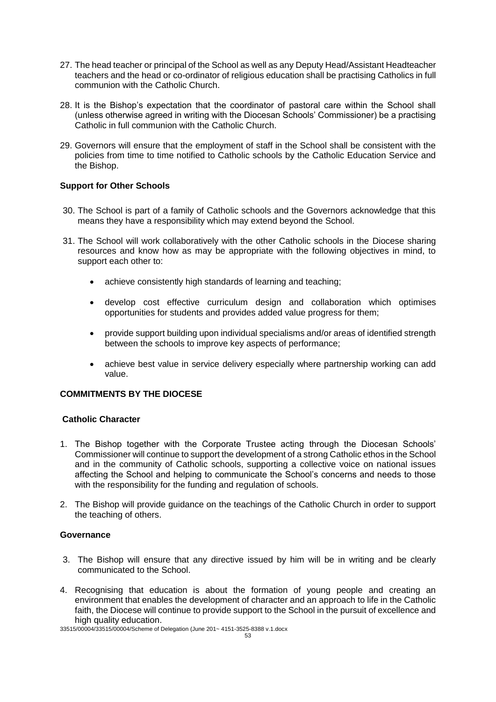- 27. The head teacher or principal of the School as well as any Deputy Head/Assistant Headteacher teachers and the head or co-ordinator of religious education shall be practising Catholics in full communion with the Catholic Church.
- 28. It is the Bishop's expectation that the coordinator of pastoral care within the School shall (unless otherwise agreed in writing with the Diocesan Schools' Commissioner) be a practising Catholic in full communion with the Catholic Church.
- 29. Governors will ensure that the employment of staff in the School shall be consistent with the policies from time to time notified to Catholic schools by the Catholic Education Service and the Bishop.

### **Support for Other Schools**

- 30. The School is part of a family of Catholic schools and the Governors acknowledge that this means they have a responsibility which may extend beyond the School.
- 31. The School will work collaboratively with the other Catholic schools in the Diocese sharing resources and know how as may be appropriate with the following objectives in mind, to support each other to:
	- achieve consistently high standards of learning and teaching;
	- develop cost effective curriculum design and collaboration which optimises opportunities for students and provides added value progress for them;
	- provide support building upon individual specialisms and/or areas of identified strength between the schools to improve key aspects of performance;
	- achieve best value in service delivery especially where partnership working can add value.

### **COMMITMENTS BY THE DIOCESE**

#### **Catholic Character**

- 1. The Bishop together with the Corporate Trustee acting through the Diocesan Schools' Commissioner will continue to support the development of a strong Catholic ethos in the School and in the community of Catholic schools, supporting a collective voice on national issues affecting the School and helping to communicate the School's concerns and needs to those with the responsibility for the funding and regulation of schools.
- 2. The Bishop will provide guidance on the teachings of the Catholic Church in order to support the teaching of others.

#### **Governance**

- 3. The Bishop will ensure that any directive issued by him will be in writing and be clearly communicated to the School.
- 4. Recognising that education is about the formation of young people and creating an environment that enables the development of character and an approach to life in the Catholic faith, the Diocese will continue to provide support to the School in the pursuit of excellence and high quality education.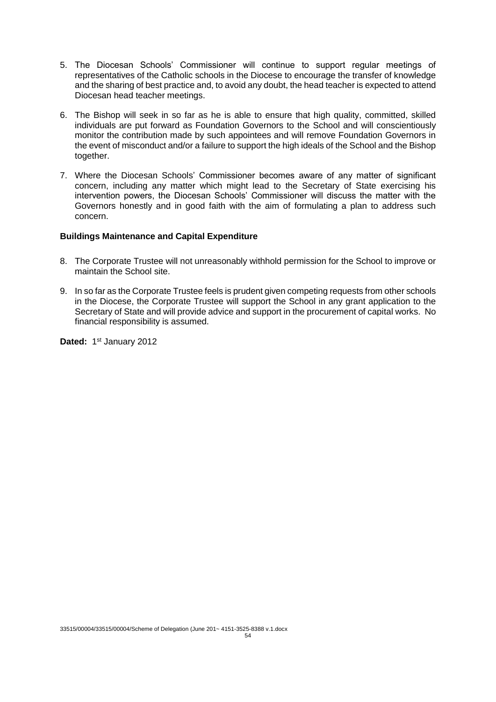- 5. The Diocesan Schools' Commissioner will continue to support regular meetings of representatives of the Catholic schools in the Diocese to encourage the transfer of knowledge and the sharing of best practice and, to avoid any doubt, the head teacher is expected to attend Diocesan head teacher meetings.
- 6. The Bishop will seek in so far as he is able to ensure that high quality, committed, skilled individuals are put forward as Foundation Governors to the School and will conscientiously monitor the contribution made by such appointees and will remove Foundation Governors in the event of misconduct and/or a failure to support the high ideals of the School and the Bishop together.
- 7. Where the Diocesan Schools' Commissioner becomes aware of any matter of significant concern, including any matter which might lead to the Secretary of State exercising his intervention powers, the Diocesan Schools' Commissioner will discuss the matter with the Governors honestly and in good faith with the aim of formulating a plan to address such concern.

#### **Buildings Maintenance and Capital Expenditure**

- 8. The Corporate Trustee will not unreasonably withhold permission for the School to improve or maintain the School site.
- 9. In so far as the Corporate Trustee feels is prudent given competing requests from other schools in the Diocese, the Corporate Trustee will support the School in any grant application to the Secretary of State and will provide advice and support in the procurement of capital works. No financial responsibility is assumed.

Dated: 1<sup>st</sup> January 2012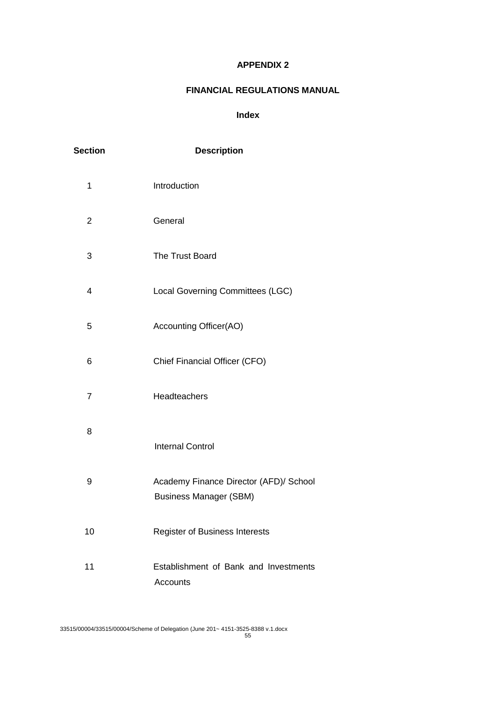### **APPENDIX 2**

## **FINANCIAL REGULATIONS MANUAL**

### **Index**

| <b>Section</b> | <b>Description</b>                                                      |
|----------------|-------------------------------------------------------------------------|
| 1              | Introduction                                                            |
| $\overline{2}$ | General                                                                 |
| 3              | The Trust Board                                                         |
| $\overline{4}$ | Local Governing Committees (LGC)                                        |
| 5              | Accounting Officer(AO)                                                  |
| 6              | Chief Financial Officer (CFO)                                           |
| $\overline{7}$ | Headteachers                                                            |
| 8              | <b>Internal Control</b>                                                 |
| 9              | Academy Finance Director (AFD)/ School<br><b>Business Manager (SBM)</b> |
| 10             | Register of Business Interests                                          |
| 11             | Establishment of Bank and Investments<br>Accounts                       |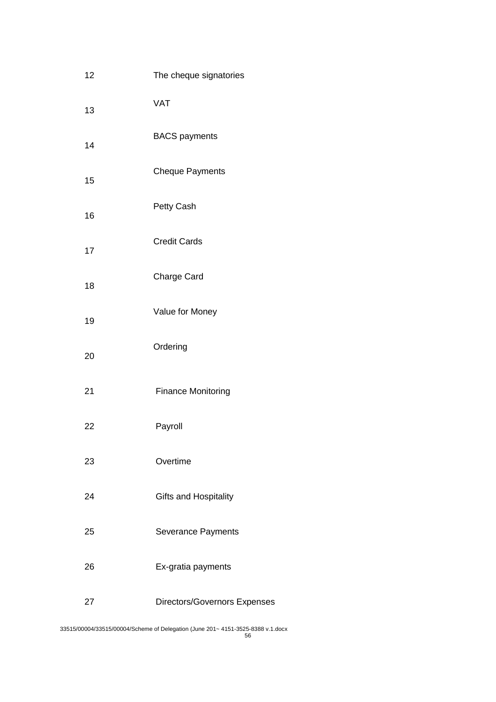| 12 | The cheque signatories       |
|----|------------------------------|
| 13 | <b>VAT</b>                   |
| 14 | <b>BACS</b> payments         |
| 15 | <b>Cheque Payments</b>       |
| 16 | Petty Cash                   |
| 17 | <b>Credit Cards</b>          |
| 18 | <b>Charge Card</b>           |
| 19 | Value for Money              |
| 20 | Ordering                     |
| 21 | <b>Finance Monitoring</b>    |
| 22 | Payroll                      |
| 23 | Overtime                     |
| 24 | Gifts and Hospitality        |
| 25 | Severance Payments           |
| 26 | Ex-gratia payments           |
| 27 | Directors/Governors Expenses |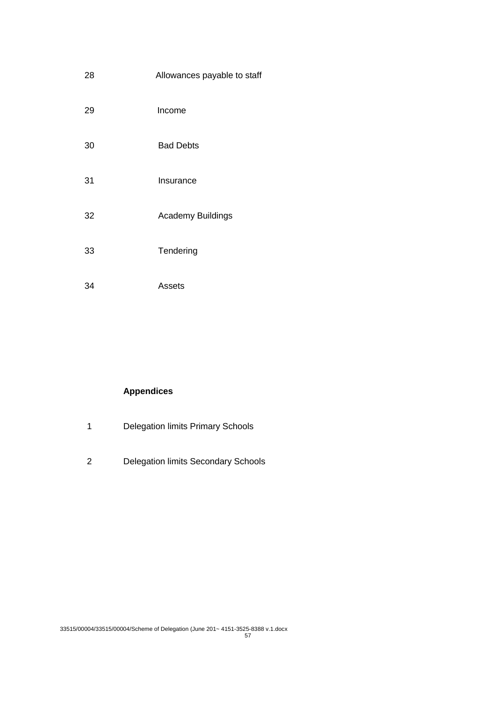| 28 | Allowances payable to staff |
|----|-----------------------------|
| 29 | Income                      |
| 30 | <b>Bad Debts</b>            |
| 31 | Insurance                   |
| 32 | <b>Academy Buildings</b>    |
| 33 | Tendering                   |
| 34 | Assets                      |

# **Appendices**

- 1 Delegation limits Primary Schools
- 2 Delegation limits Secondary Schools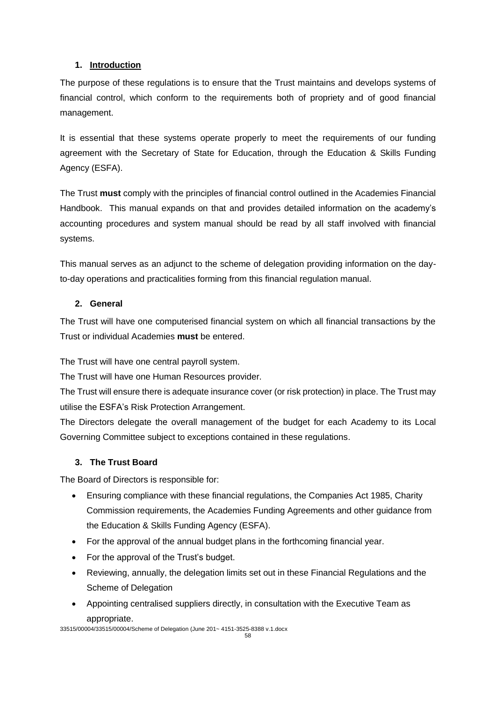### **1. Introduction**

The purpose of these regulations is to ensure that the Trust maintains and develops systems of financial control, which conform to the requirements both of propriety and of good financial management.

It is essential that these systems operate properly to meet the requirements of our funding agreement with the Secretary of State for Education, through the Education & Skills Funding Agency (ESFA).

The Trust **must** comply with the principles of financial control outlined in the Academies Financial Handbook. This manual expands on that and provides detailed information on the academy's accounting procedures and system manual should be read by all staff involved with financial systems.

This manual serves as an adjunct to the scheme of delegation providing information on the dayto-day operations and practicalities forming from this financial regulation manual.

### **2. General**

The Trust will have one computerised financial system on which all financial transactions by the Trust or individual Academies **must** be entered.

The Trust will have one central payroll system.

The Trust will have one Human Resources provider.

The Trust will ensure there is adequate insurance cover (or risk protection) in place. The Trust may utilise the ESFA's Risk Protection Arrangement.

The Directors delegate the overall management of the budget for each Academy to its Local Governing Committee subject to exceptions contained in these regulations.

### **3. The Trust Board**

The Board of Directors is responsible for:

- Ensuring compliance with these financial regulations, the Companies Act 1985, Charity Commission requirements, the Academies Funding Agreements and other guidance from the Education & Skills Funding Agency (ESFA).
- For the approval of the annual budget plans in the forthcoming financial year.
- For the approval of the Trust's budget.
- Reviewing, annually, the delegation limits set out in these Financial Regulations and the Scheme of Delegation
- Appointing centralised suppliers directly, in consultation with the Executive Team as appropriate.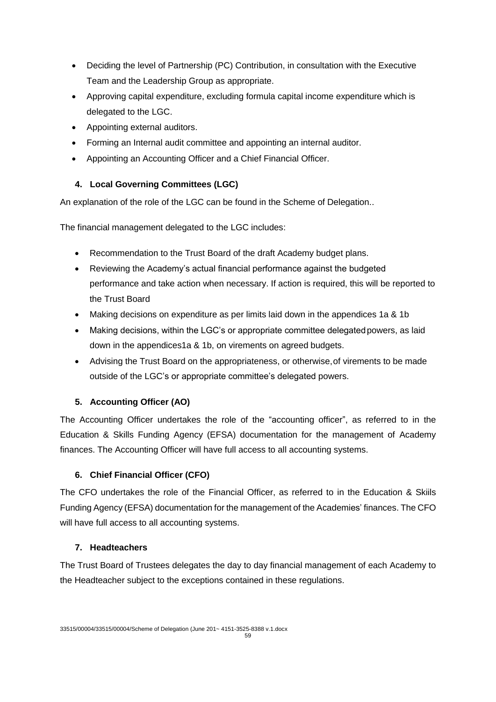- Deciding the level of Partnership (PC) Contribution, in consultation with the Executive Team and the Leadership Group as appropriate.
- Approving capital expenditure, excluding formula capital income expenditure which is delegated to the LGC.
- Appointing external auditors.
- Forming an Internal audit committee and appointing an internal auditor.
- Appointing an Accounting Officer and a Chief Financial Officer.

## **4. Local Governing Committees (LGC)**

An explanation of the role of the LGC can be found in the Scheme of Delegation..

The financial management delegated to the LGC includes:

- Recommendation to the Trust Board of the draft Academy budget plans.
- Reviewing the Academy's actual financial performance against the budgeted performance and take action when necessary. If action is required, this will be reported to the Trust Board
- Making decisions on expenditure as per limits laid down in the appendices 1a & 1b
- Making decisions, within the LGC's or appropriate committee delegated powers, as laid down in the appendices1a & 1b, on virements on agreed budgets.
- Advising the Trust Board on the appropriateness, or otherwise,of virements to be made outside of the LGC's or appropriate committee's delegated powers.

## **5. Accounting Officer (AO)**

The Accounting Officer undertakes the role of the "accounting officer", as referred to in the Education & Skills Funding Agency (EFSA) documentation for the management of Academy finances. The Accounting Officer will have full access to all accounting systems.

## **6. Chief Financial Officer (CFO)**

The CFO undertakes the role of the Financial Officer, as referred to in the Education & Skiils Funding Agency (EFSA) documentation for the management of the Academies' finances. The CFO will have full access to all accounting systems.

## **7. Headteachers**

The Trust Board of Trustees delegates the day to day financial management of each Academy to the Headteacher subject to the exceptions contained in these regulations.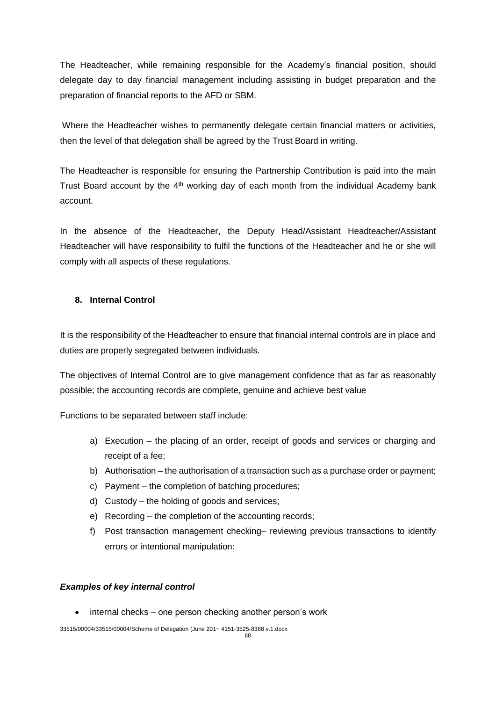The Headteacher, while remaining responsible for the Academy's financial position, should delegate day to day financial management including assisting in budget preparation and the preparation of financial reports to the AFD or SBM.

Where the Headteacher wishes to permanently delegate certain financial matters or activities, then the level of that delegation shall be agreed by the Trust Board in writing.

The Headteacher is responsible for ensuring the Partnership Contribution is paid into the main Trust Board account by the  $4<sup>th</sup>$  working day of each month from the individual Academy bank account.

In the absence of the Headteacher, the Deputy Head/Assistant Headteacher/Assistant Headteacher will have responsibility to fulfil the functions of the Headteacher and he or she will comply with all aspects of these regulations.

### **8. Internal Control**

It is the responsibility of the Headteacher to ensure that financial internal controls are in place and duties are properly segregated between individuals.

The objectives of Internal Control are to give management confidence that as far as reasonably possible; the accounting records are complete, genuine and achieve best value

Functions to be separated between staff include:

- a) Execution the placing of an order, receipt of goods and services or charging and receipt of a fee;
- b) Authorisation the authorisation of a transaction such as a purchase order or payment;
- c) Payment the completion of batching procedures;
- d) Custody the holding of goods and services;
- e) Recording the completion of the accounting records;
- f) Post transaction management checking– reviewing previous transactions to identify errors or intentional manipulation:

#### *Examples of key internal control*

 $\bullet$  internal checks – one person checking another person's work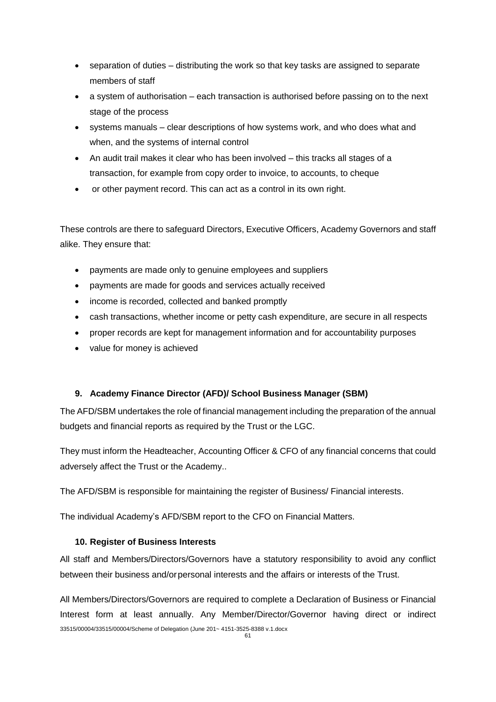- separation of duties distributing the work so that key tasks are assigned to separate members of staff
- a system of authorisation each transaction is authorised before passing on to the next stage of the process
- systems manuals clear descriptions of how systems work, and who does what and when, and the systems of internal control
- An audit trail makes it clear who has been involved this tracks all stages of a transaction, for example from copy order to invoice, to accounts, to cheque
- or other payment record. This can act as a control in its own right.

These controls are there to safeguard Directors, Executive Officers, Academy Governors and staff alike. They ensure that:

- payments are made only to genuine employees and suppliers
- payments are made for goods and services actually received
- income is recorded, collected and banked promptly
- cash transactions, whether income or petty cash expenditure, are secure in all respects
- proper records are kept for management information and for accountability purposes
- value for money is achieved

### **9. Academy Finance Director (AFD)/ School Business Manager (SBM)**

The AFD/SBM undertakes the role of financial management including the preparation of the annual budgets and financial reports as required by the Trust or the LGC.

They must inform the Headteacher, Accounting Officer & CFO of any financial concerns that could adversely affect the Trust or the Academy..

The AFD/SBM is responsible for maintaining the register of Business/ Financial interests.

The individual Academy's AFD/SBM report to the CFO on Financial Matters.

### **10. Register of Business Interests**

All staff and Members/Directors/Governors have a statutory responsibility to avoid any conflict between their business and/or personal interests and the affairs or interests of the Trust.

33515/00004/33515/00004/Scheme of Delegation (June 201~ 4151-3525-8388 v.1.docx All Members/Directors/Governors are required to complete a Declaration of Business or Financial Interest form at least annually. Any Member/Director/Governor having direct or indirect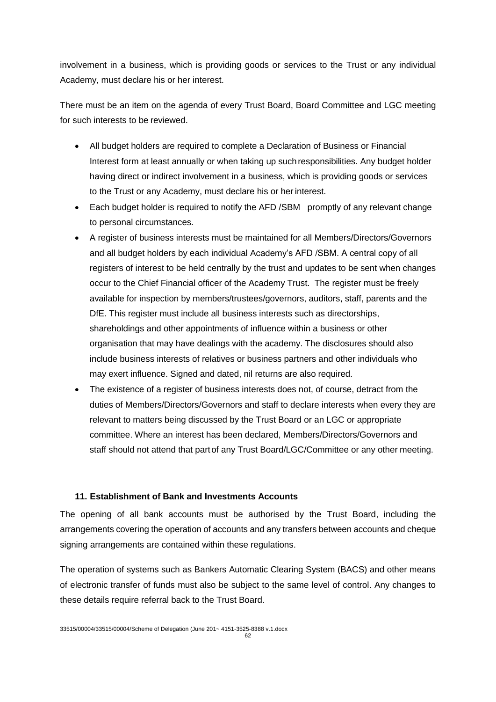involvement in a business, which is providing goods or services to the Trust or any individual Academy, must declare his or her interest.

There must be an item on the agenda of every Trust Board, Board Committee and LGC meeting for such interests to be reviewed.

- All budget holders are required to complete a Declaration of Business or Financial Interest form at least annually or when taking up suchresponsibilities. Any budget holder having direct or indirect involvement in a business, which is providing goods or services to the Trust or any Academy, must declare his or her interest.
- Each budget holder is required to notify the AFD /SBM promptly of any relevant change to personal circumstances.
- A register of business interests must be maintained for all Members/Directors/Governors and all budget holders by each individual Academy's AFD /SBM. A central copy of all registers of interest to be held centrally by the trust and updates to be sent when changes occur to the Chief Financial officer of the Academy Trust. The register must be freely available for inspection by members/trustees/governors, auditors, staff, parents and the DfE. This register must include all business interests such as directorships, shareholdings and other appointments of influence within a business or other organisation that may have dealings with the academy. The disclosures should also include business interests of relatives or business partners and other individuals who may exert influence. Signed and dated, nil returns are also required.
- The existence of a register of business interests does not, of course, detract from the duties of Members/Directors/Governors and staff to declare interests when every they are relevant to matters being discussed by the Trust Board or an LGC or appropriate committee. Where an interest has been declared, Members/Directors/Governors and staff should not attend that partof any Trust Board/LGC/Committee or any other meeting.

#### **11. Establishment of Bank and Investments Accounts**

The opening of all bank accounts must be authorised by the Trust Board, including the arrangements covering the operation of accounts and any transfers between accounts and cheque signing arrangements are contained within these regulations.

The operation of systems such as Bankers Automatic Clearing System (BACS) and other means of electronic transfer of funds must also be subject to the same level of control. Any changes to these details require referral back to the Trust Board.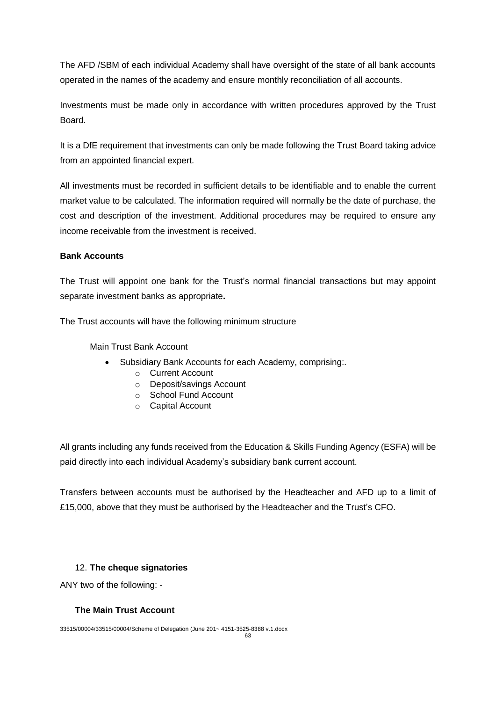The AFD /SBM of each individual Academy shall have oversight of the state of all bank accounts operated in the names of the academy and ensure monthly reconciliation of all accounts.

Investments must be made only in accordance with written procedures approved by the Trust Board.

It is a DfE requirement that investments can only be made following the Trust Board taking advice from an appointed financial expert.

All investments must be recorded in sufficient details to be identifiable and to enable the current market value to be calculated. The information required will normally be the date of purchase, the cost and description of the investment. Additional procedures may be required to ensure any income receivable from the investment is received.

### **Bank Accounts**

The Trust will appoint one bank for the Trust's normal financial transactions but may appoint separate investment banks as appropriate**.**

The Trust accounts will have the following minimum structure

Main Trust Bank Account

- Subsidiary Bank Accounts for each Academy, comprising:.
	- o Current Account
	- o Deposit/savings Account
	- o School Fund Account
	- o Capital Account

All grants including any funds received from the Education & Skills Funding Agency (ESFA) will be paid directly into each individual Academy's subsidiary bank current account.

Transfers between accounts must be authorised by the Headteacher and AFD up to a limit of £15,000, above that they must be authorised by the Headteacher and the Trust's CFO.

### 12. **The cheque signatories**

ANY two of the following: -

### **The Main Trust Account**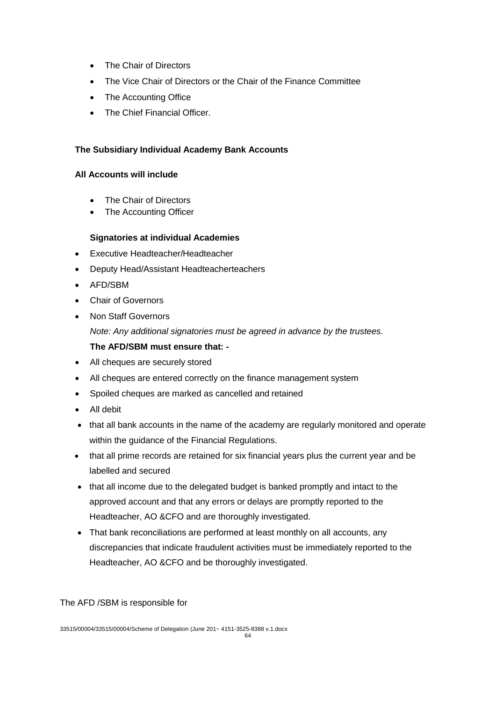- The Chair of Directors
- The Vice Chair of Directors or the Chair of the Finance Committee
- The Accounting Office
- The Chief Financial Officer.

### **The Subsidiary Individual Academy Bank Accounts**

#### **All Accounts will include**

- The Chair of Directors
- The Accounting Officer

### **Signatories at individual Academies**

- Executive Headteacher/Headteacher
- Deputy Head/Assistant Headteacherteachers
- AFD/SBM
- Chair of Governors
- Non Staff Governors

*Note: Any additional signatories must be agreed in advance by the trustees.*

### **The AFD/SBM must ensure that: -**

- All cheques are securely stored
- All cheques are entered correctly on the finance management system
- Spoiled cheques are marked as cancelled and retained
- All debit
- that all bank accounts in the name of the academy are regularly monitored and operate within the guidance of the Financial Regulations.
- that all prime records are retained for six financial years plus the current year and be labelled and secured
- that all income due to the delegated budget is banked promptly and intact to the approved account and that any errors or delays are promptly reported to the Headteacher, AO &CFO and are thoroughly investigated.
- That bank reconciliations are performed at least monthly on all accounts, any discrepancies that indicate fraudulent activities must be immediately reported to the Headteacher, AO &CFO and be thoroughly investigated.

The AFD /SBM is responsible for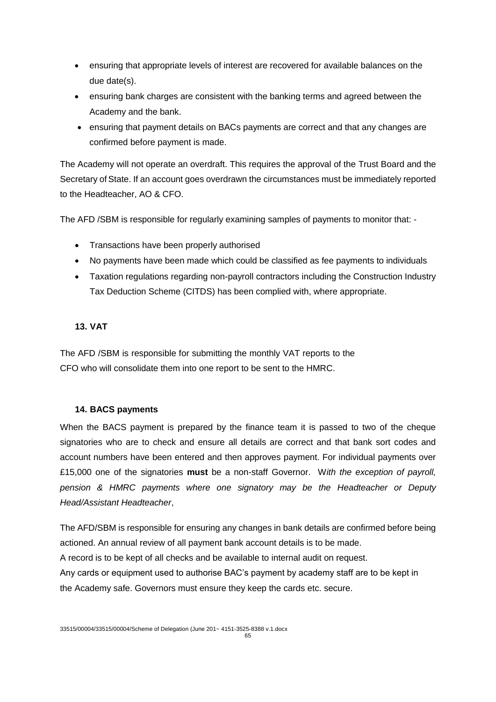- ensuring that appropriate levels of interest are recovered for available balances on the due date(s).
- ensuring bank charges are consistent with the banking terms and agreed between the Academy and the bank.
- ensuring that payment details on BACs payments are correct and that any changes are confirmed before payment is made.

The Academy will not operate an overdraft. This requires the approval of the Trust Board and the Secretary of State. If an account goes overdrawn the circumstances must be immediately reported to the Headteacher, AO & CFO.

The AFD /SBM is responsible for regularly examining samples of payments to monitor that: -

- Transactions have been properly authorised
- No payments have been made which could be classified as fee payments to individuals
- Taxation regulations regarding non-payroll contractors including the Construction Industry Tax Deduction Scheme (CITDS) has been complied with, where appropriate.

### **13. VAT**

The AFD /SBM is responsible for submitting the monthly VAT reports to the CFO who will consolidate them into one report to be sent to the HMRC.

### **14. BACS payments**

When the BACS payment is prepared by the finance team it is passed to two of the cheque signatories who are to check and ensure all details are correct and that bank sort codes and account numbers have been entered and then approves payment. For individual payments over £15,000 one of the signatories **must** be a non-staff Governor. W*ith the exception of payroll, pension & HMRC payments where one signatory may be the Headteacher or Deputy Head/Assistant Headteacher*,

The AFD/SBM is responsible for ensuring any changes in bank details are confirmed before being actioned. An annual review of all payment bank account details is to be made. A record is to be kept of all checks and be available to internal audit on request. Any cards or equipment used to authorise BAC's payment by academy staff are to be kept in

the Academy safe. Governors must ensure they keep the cards etc. secure.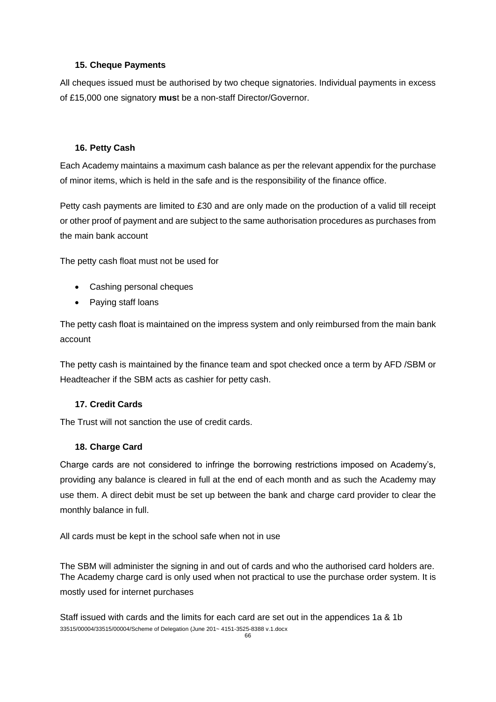### **15. Cheque Payments**

All cheques issued must be authorised by two cheque signatories. Individual payments in excess of £15,000 one signatory **mus**t be a non-staff Director/Governor.

### **16. Petty Cash**

Each Academy maintains a maximum cash balance as per the relevant appendix for the purchase of minor items, which is held in the safe and is the responsibility of the finance office.

Petty cash payments are limited to £30 and are only made on the production of a valid till receipt or other proof of payment and are subject to the same authorisation procedures as purchases from the main bank account

The petty cash float must not be used for

- Cashing personal cheques
- Paying staff loans

The petty cash float is maintained on the impress system and only reimbursed from the main bank account

The petty cash is maintained by the finance team and spot checked once a term by AFD /SBM or Headteacher if the SBM acts as cashier for petty cash.

### **17. Credit Cards**

The Trust will not sanction the use of credit cards.

#### **18. Charge Card**

Charge cards are not considered to infringe the borrowing restrictions imposed on Academy's, providing any balance is cleared in full at the end of each month and as such the Academy may use them. A direct debit must be set up between the bank and charge card provider to clear the monthly balance in full.

All cards must be kept in the school safe when not in use

The SBM will administer the signing in and out of cards and who the authorised card holders are. The Academy charge card is only used when not practical to use the purchase order system. It is mostly used for internet purchases

33515/00004/33515/00004/Scheme of Delegation (June 201~ 4151-3525-8388 v.1.docx Staff issued with cards and the limits for each card are set out in the appendices 1a & 1b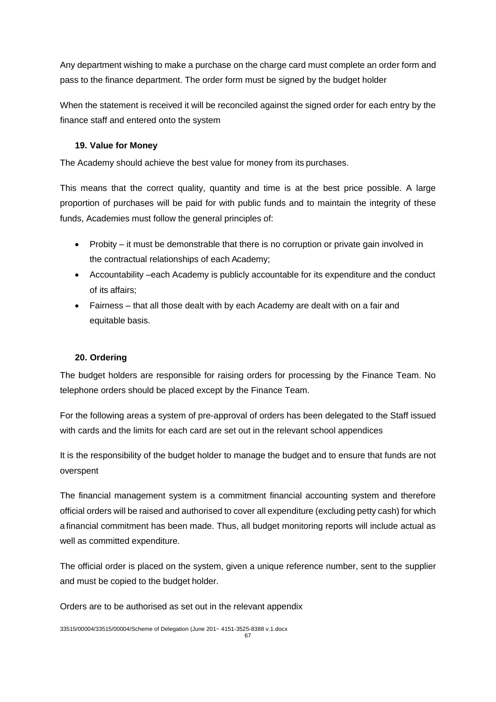Any department wishing to make a purchase on the charge card must complete an order form and pass to the finance department. The order form must be signed by the budget holder

When the statement is received it will be reconciled against the signed order for each entry by the finance staff and entered onto the system

### **19. Value for Money**

The Academy should achieve the best value for money from its purchases.

This means that the correct quality, quantity and time is at the best price possible. A large proportion of purchases will be paid for with public funds and to maintain the integrity of these funds, Academies must follow the general principles of:

- Probity it must be demonstrable that there is no corruption or private gain involved in the contractual relationships of each Academy;
- Accountability –each Academy is publicly accountable for its expenditure and the conduct of its affairs;
- Fairness that all those dealt with by each Academy are dealt with on a fair and equitable basis.

## **20. Ordering**

The budget holders are responsible for raising orders for processing by the Finance Team. No telephone orders should be placed except by the Finance Team.

For the following areas a system of pre-approval of orders has been delegated to the Staff issued with cards and the limits for each card are set out in the relevant school appendices

It is the responsibility of the budget holder to manage the budget and to ensure that funds are not overspent

The financial management system is a commitment financial accounting system and therefore official orders will be raised and authorised to cover all expenditure (excluding petty cash) for which a financial commitment has been made. Thus, all budget monitoring reports will include actual as well as committed expenditure.

The official order is placed on the system, given a unique reference number, sent to the supplier and must be copied to the budget holder.

Orders are to be authorised as set out in the relevant appendix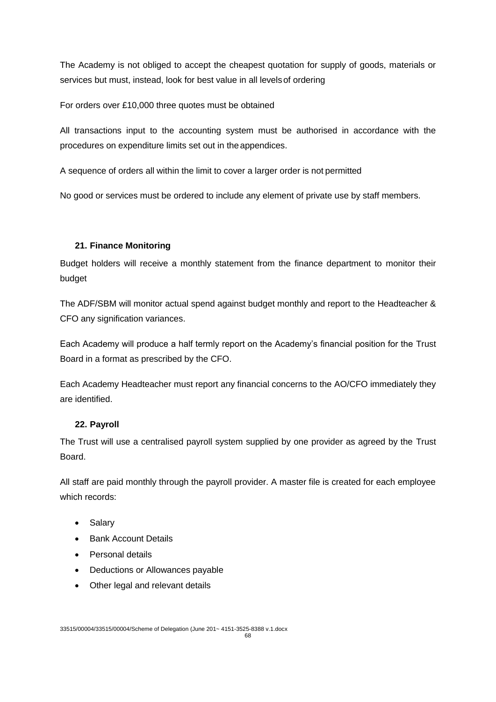The Academy is not obliged to accept the cheapest quotation for supply of goods, materials or services but must, instead, look for best value in all levelsof ordering

For orders over £10,000 three quotes must be obtained

All transactions input to the accounting system must be authorised in accordance with the procedures on expenditure limits set out in theappendices.

A sequence of orders all within the limit to cover a larger order is not permitted

No good or services must be ordered to include any element of private use by staff members.

### **21. Finance Monitoring**

Budget holders will receive a monthly statement from the finance department to monitor their budget

The ADF/SBM will monitor actual spend against budget monthly and report to the Headteacher & CFO any signification variances.

Each Academy will produce a half termly report on the Academy's financial position for the Trust Board in a format as prescribed by the CFO.

Each Academy Headteacher must report any financial concerns to the AO/CFO immediately they are identified.

### **22. Payroll**

The Trust will use a centralised payroll system supplied by one provider as agreed by the Trust **Board** 

All staff are paid monthly through the payroll provider. A master file is created for each employee which records:

- Salary
- Bank Account Details
- Personal details
- Deductions or Allowances payable
- Other legal and relevant details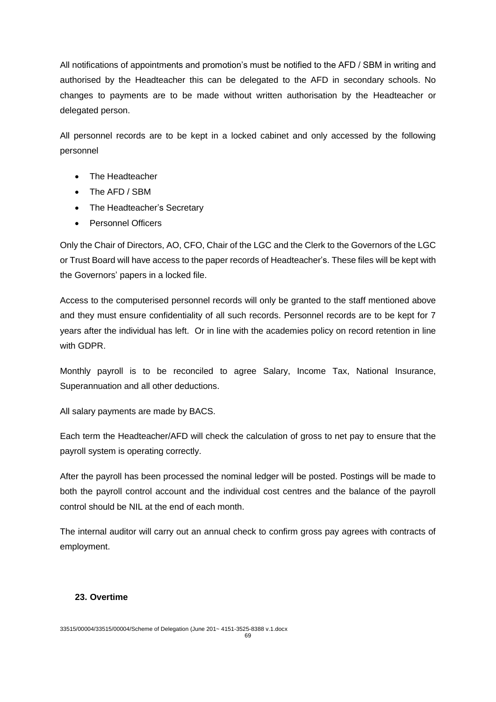All notifications of appointments and promotion's must be notified to the AFD / SBM in writing and authorised by the Headteacher this can be delegated to the AFD in secondary schools. No changes to payments are to be made without written authorisation by the Headteacher or delegated person.

All personnel records are to be kept in a locked cabinet and only accessed by the following personnel

- The Headteacher
- The AFD / SBM
- The Headteacher's Secretary
- Personnel Officers

Only the Chair of Directors, AO, CFO, Chair of the LGC and the Clerk to the Governors of the LGC or Trust Board will have access to the paper records of Headteacher's. These files will be kept with the Governors' papers in a locked file.

Access to the computerised personnel records will only be granted to the staff mentioned above and they must ensure confidentiality of all such records. Personnel records are to be kept for 7 years after the individual has left. Or in line with the academies policy on record retention in line with GDPR.

Monthly payroll is to be reconciled to agree Salary, Income Tax, National Insurance, Superannuation and all other deductions.

All salary payments are made by BACS.

Each term the Headteacher/AFD will check the calculation of gross to net pay to ensure that the payroll system is operating correctly.

After the payroll has been processed the nominal ledger will be posted. Postings will be made to both the payroll control account and the individual cost centres and the balance of the payroll control should be NIL at the end of each month.

The internal auditor will carry out an annual check to confirm gross pay agrees with contracts of employment.

### **23. Overtime**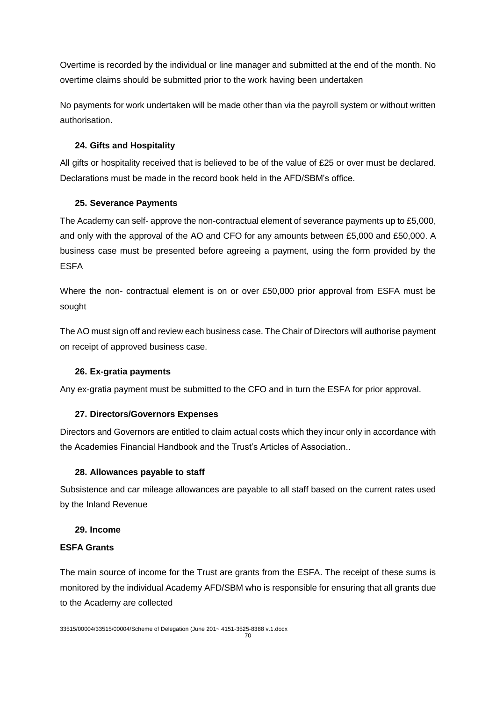Overtime is recorded by the individual or line manager and submitted at the end of the month. No overtime claims should be submitted prior to the work having been undertaken

No payments for work undertaken will be made other than via the payroll system or without written authorisation.

## **24. Gifts and Hospitality**

All gifts or hospitality received that is believed to be of the value of £25 or over must be declared. Declarations must be made in the record book held in the AFD/SBM's office.

## **25. Severance Payments**

The Academy can self- approve the non-contractual element of severance payments up to £5,000, and only with the approval of the AO and CFO for any amounts between £5,000 and £50,000. A business case must be presented before agreeing a payment, using the form provided by the ESFA

Where the non- contractual element is on or over £50,000 prior approval from ESFA must be sought

The AO must sign off and review each business case. The Chair of Directors will authorise payment on receipt of approved business case.

## **26. Ex-gratia payments**

Any ex-gratia payment must be submitted to the CFO and in turn the ESFA for prior approval.

## **27. Directors/Governors Expenses**

Directors and Governors are entitled to claim actual costs which they incur only in accordance with the Academies Financial Handbook and the Trust's Articles of Association..

### **28. Allowances payable to staff**

Subsistence and car mileage allowances are payable to all staff based on the current rates used by the Inland Revenue

### **29. Income**

### **ESFA Grants**

The main source of income for the Trust are grants from the ESFA. The receipt of these sums is monitored by the individual Academy AFD/SBM who is responsible for ensuring that all grants due to the Academy are collected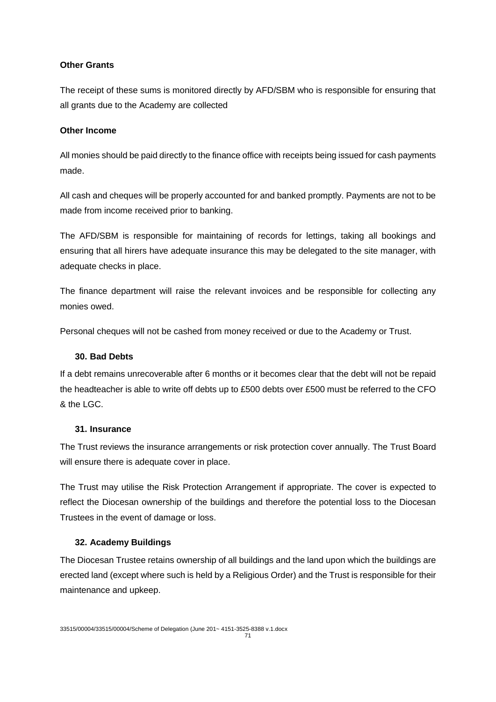### **Other Grants**

The receipt of these sums is monitored directly by AFD/SBM who is responsible for ensuring that all grants due to the Academy are collected

### **Other Income**

All monies should be paid directly to the finance office with receipts being issued for cash payments made.

All cash and cheques will be properly accounted for and banked promptly. Payments are not to be made from income received prior to banking.

The AFD/SBM is responsible for maintaining of records for lettings, taking all bookings and ensuring that all hirers have adequate insurance this may be delegated to the site manager, with adequate checks in place.

The finance department will raise the relevant invoices and be responsible for collecting any monies owed.

Personal cheques will not be cashed from money received or due to the Academy or Trust.

#### **30. Bad Debts**

If a debt remains unrecoverable after 6 months or it becomes clear that the debt will not be repaid the headteacher is able to write off debts up to £500 debts over £500 must be referred to the CFO & the LGC.

#### **31. Insurance**

The Trust reviews the insurance arrangements or risk protection cover annually. The Trust Board will ensure there is adequate cover in place.

The Trust may utilise the Risk Protection Arrangement if appropriate. The cover is expected to reflect the Diocesan ownership of the buildings and therefore the potential loss to the Diocesan Trustees in the event of damage or loss.

### **32. Academy Buildings**

The Diocesan Trustee retains ownership of all buildings and the land upon which the buildings are erected land (except where such is held by a Religious Order) and the Trust is responsible for their maintenance and upkeep.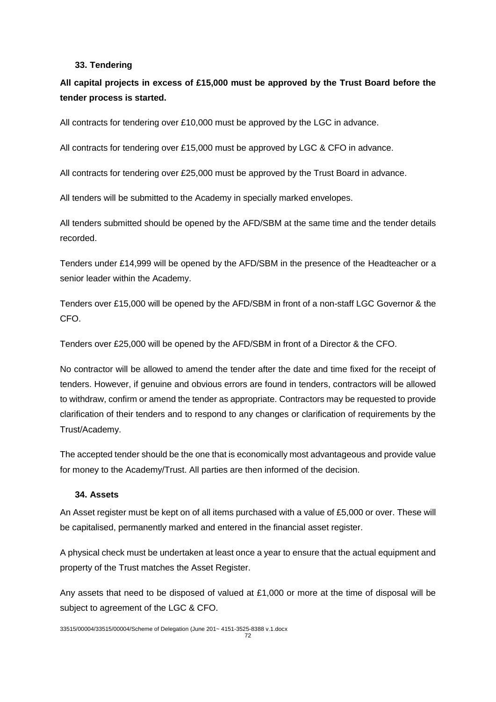#### **33. Tendering**

# **All capital projects in excess of £15,000 must be approved by the Trust Board before the tender process is started.**

All contracts for tendering over £10,000 must be approved by the LGC in advance.

All contracts for tendering over £15,000 must be approved by LGC & CFO in advance.

All contracts for tendering over £25,000 must be approved by the Trust Board in advance.

All tenders will be submitted to the Academy in specially marked envelopes.

All tenders submitted should be opened by the AFD/SBM at the same time and the tender details recorded.

Tenders under £14,999 will be opened by the AFD/SBM in the presence of the Headteacher or a senior leader within the Academy.

Tenders over £15,000 will be opened by the AFD/SBM in front of a non-staff LGC Governor & the CFO.

Tenders over £25,000 will be opened by the AFD/SBM in front of a Director & the CFO.

No contractor will be allowed to amend the tender after the date and time fixed for the receipt of tenders. However, if genuine and obvious errors are found in tenders, contractors will be allowed to withdraw, confirm or amend the tender as appropriate. Contractors may be requested to provide clarification of their tenders and to respond to any changes or clarification of requirements by the Trust/Academy.

The accepted tender should be the one that is economically most advantageous and provide value for money to the Academy/Trust. All parties are then informed of the decision.

#### **34. Assets**

An Asset register must be kept on of all items purchased with a value of £5,000 or over. These will be capitalised, permanently marked and entered in the financial asset register.

A physical check must be undertaken at least once a year to ensure that the actual equipment and property of the Trust matches the Asset Register.

Any assets that need to be disposed of valued at £1,000 or more at the time of disposal will be subject to agreement of the LGC & CFO.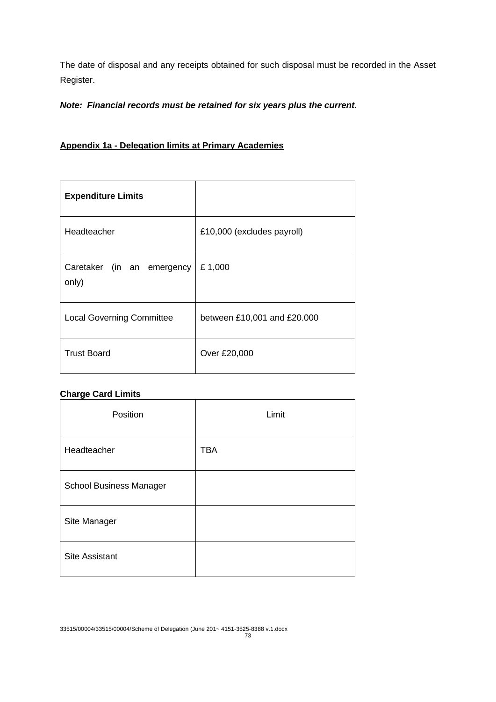The date of disposal and any receipts obtained for such disposal must be recorded in the Asset Register.

# *Note: Financial records must be retained for six years plus the current.*

# **Appendix 1a - Delegation limits at Primary Academies**

| <b>Expenditure Limits</b>           |                             |
|-------------------------------------|-----------------------------|
| Headteacher                         | £10,000 (excludes payroll)  |
| Caretaker (in an emergency<br>only) | £1,000                      |
| <b>Local Governing Committee</b>    | between £10,001 and £20.000 |
| <b>Trust Board</b>                  | Over £20,000                |

# **Charge Card Limits**

| Position                       | Limit      |
|--------------------------------|------------|
| Headteacher                    | <b>TBA</b> |
| <b>School Business Manager</b> |            |
| Site Manager                   |            |
| <b>Site Assistant</b>          |            |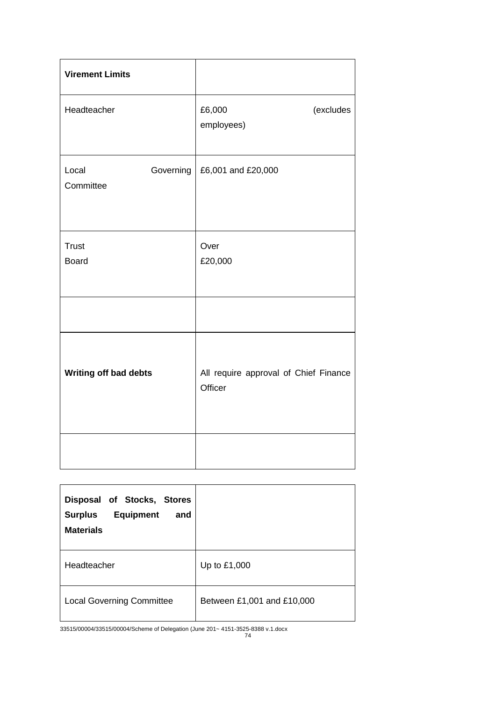| <b>Virement Limits</b>          |                                                  |
|---------------------------------|--------------------------------------------------|
| Headteacher                     | (excludes<br>£6,000<br>employees)                |
| Governing<br>Local<br>Committee | £6,001 and £20,000                               |
| <b>Trust</b><br><b>Board</b>    | Over<br>£20,000                                  |
|                                 |                                                  |
| Writing off bad debts           | All require approval of Chief Finance<br>Officer |
|                                 |                                                  |

| Disposal of Stocks, Stores<br><b>Equipment</b><br><b>Surplus</b><br>and<br><b>Materials</b> |                            |
|---------------------------------------------------------------------------------------------|----------------------------|
| Headteacher                                                                                 | Up to £1,000               |
| <b>Local Governing Committee</b>                                                            | Between £1,001 and £10,000 |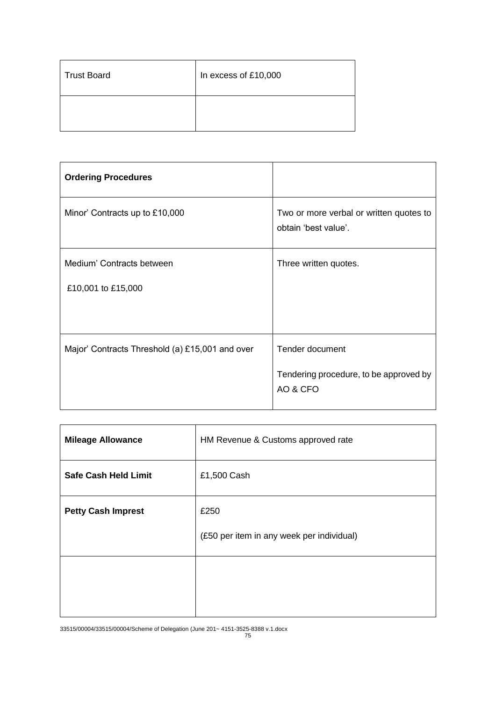| <b>Trust Board</b> | In excess of £10,000 |
|--------------------|----------------------|
|                    |                      |

| <b>Ordering Procedures</b>                      |                                                                 |
|-------------------------------------------------|-----------------------------------------------------------------|
| Minor' Contracts up to £10,000                  | Two or more verbal or written quotes to<br>obtain 'best value'. |
| Medium' Contracts between                       | Three written quotes.                                           |
| £10,001 to £15,000                              |                                                                 |
|                                                 |                                                                 |
| Major' Contracts Threshold (a) £15,001 and over | Tender document                                                 |
|                                                 | Tendering procedure, to be approved by<br>AO & CFO              |

| <b>Mileage Allowance</b>    | HM Revenue & Customs approved rate                |
|-----------------------------|---------------------------------------------------|
| <b>Safe Cash Held Limit</b> | £1,500 Cash                                       |
| <b>Petty Cash Imprest</b>   | £250<br>(£50 per item in any week per individual) |
|                             |                                                   |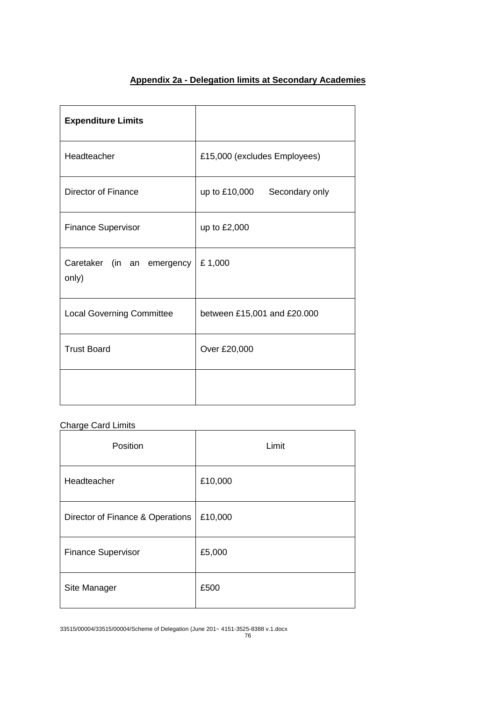# **Appendix 2a - Delegation limits at Secondary Academies**

| <b>Expenditure Limits</b>           |                              |
|-------------------------------------|------------------------------|
| Headteacher                         | £15,000 (excludes Employees) |
| Director of Finance                 | up to £10,000 Secondary only |
| <b>Finance Supervisor</b>           | up to £2,000                 |
| Caretaker (in an emergency<br>only) | £1,000                       |
| <b>Local Governing Committee</b>    | between £15,001 and £20.000  |
| <b>Trust Board</b>                  | Over £20,000                 |
|                                     |                              |

# Charge Card Limits

| Position                         | Limit   |
|----------------------------------|---------|
| Headteacher                      | £10,000 |
| Director of Finance & Operations | £10,000 |
| <b>Finance Supervisor</b>        | £5,000  |
| Site Manager                     | £500    |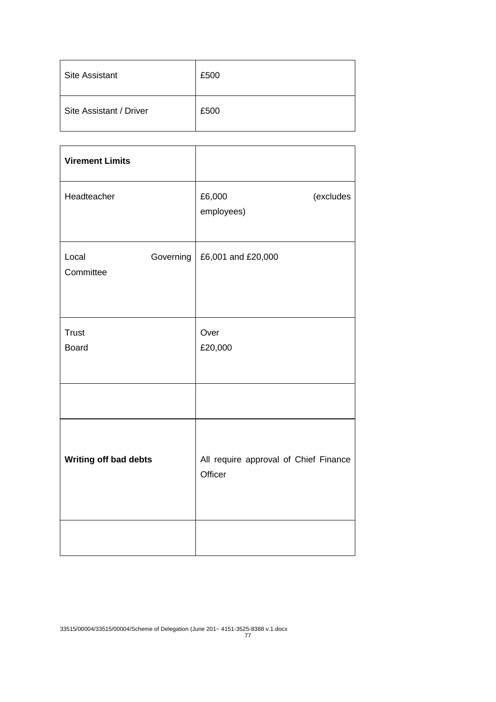| <b>Site Assistant</b>   | £500 |
|-------------------------|------|
| Site Assistant / Driver | £500 |

| <b>Virement Limits</b>          |                                                  |
|---------------------------------|--------------------------------------------------|
| Headteacher                     | £6,000<br>(excludes<br>employees)                |
| Governing<br>Local<br>Committee | £6,001 and £20,000                               |
| <b>Trust</b><br><b>Board</b>    | Over<br>£20,000                                  |
|                                 |                                                  |
| Writing off bad debts           | All require approval of Chief Finance<br>Officer |
|                                 |                                                  |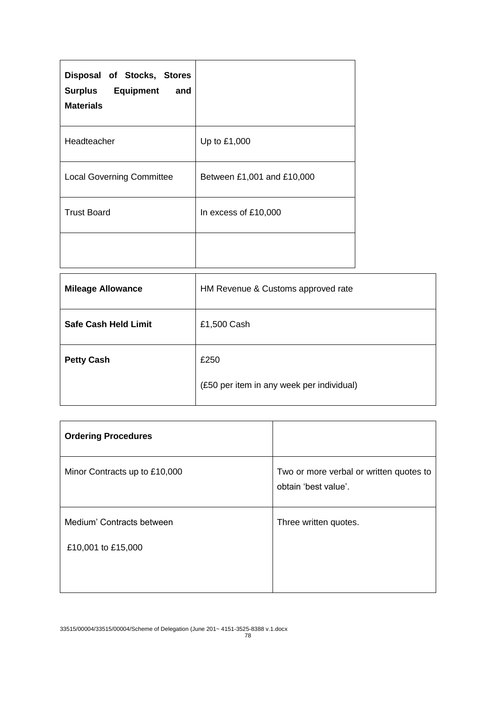| Disposal of Stocks, Stores<br><b>Surplus</b> Equipment<br>and<br><b>Materials</b> |                            |
|-----------------------------------------------------------------------------------|----------------------------|
| Headteacher                                                                       | Up to £1,000               |
| <b>Local Governing Committee</b>                                                  | Between £1,001 and £10,000 |
| <b>Trust Board</b>                                                                | In excess of £10,000       |
|                                                                                   |                            |

| HM Revenue & Customs approved rate                |
|---------------------------------------------------|
| £1,500 Cash                                       |
| £250<br>(£50 per item in any week per individual) |
|                                                   |

| <b>Ordering Procedures</b>    |                                                                 |
|-------------------------------|-----------------------------------------------------------------|
| Minor Contracts up to £10,000 | Two or more verbal or written quotes to<br>obtain 'best value'. |
| Medium' Contracts between     | Three written quotes.                                           |
| £10,001 to £15,000            |                                                                 |
|                               |                                                                 |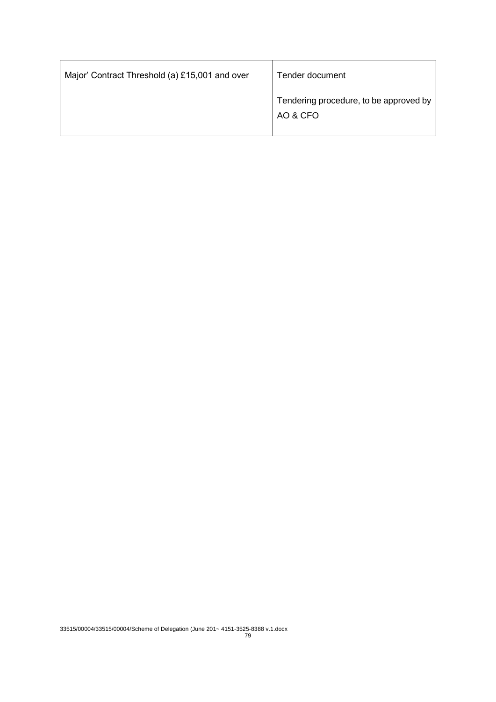| Major' Contract Threshold (a) £15,001 and over | Tender document                                    |
|------------------------------------------------|----------------------------------------------------|
|                                                | Tendering procedure, to be approved by<br>AO & CFO |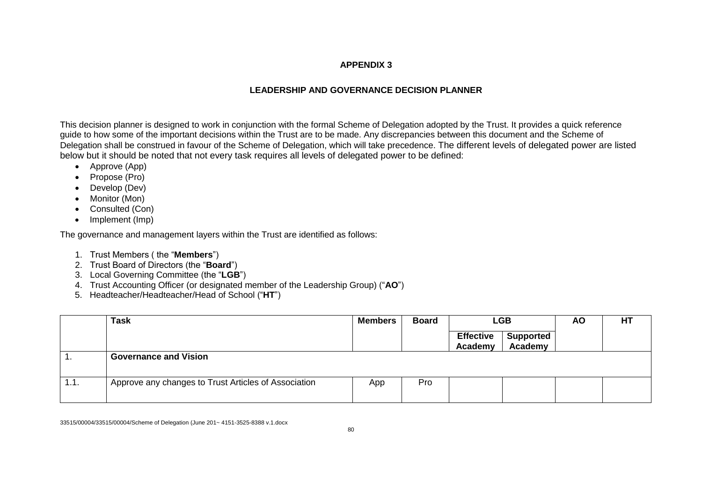#### **APPENDIX 3**

# **LEADERSHIP AND GOVERNANCE DECISION PLANNER**

This decision planner is designed to work in conjunction with the formal Scheme of Delegation adopted by the Trust. It provides a quick reference guide to how some of the important decisions within the Trust are to be made. Any discrepancies between this document and the Scheme of Delegation shall be construed in favour of the Scheme of Delegation, which will take precedence. The different levels of delegated power are listed below but it should be noted that not every task requires all levels of delegated power to be defined:

- Approve (App)
- Propose (Pro)
- Develop (Dev)
- Monitor (Mon)
- Consulted (Con)
- Implement (Imp)

The governance and management layers within the Trust are identified as follows:

- 1. Trust Members ( the "**Members**")
- 2. Trust Board of Directors (the "**Board**")
- 3. Local Governing Committee (the "**LGB**")
- 4. Trust Accounting Officer (or designated member of the Leadership Group) ("**AO**")
- 5. Headteacher/Headteacher/Head of School ("**HT**")

|      | <b>Task</b>                                          | <b>Members</b> | <b>Board</b> | <b>LGB</b>                  |                             | <b>AO</b> | <b>HT</b> |
|------|------------------------------------------------------|----------------|--------------|-----------------------------|-----------------------------|-----------|-----------|
|      |                                                      |                |              | <b>Effective</b><br>Academy | <b>Supported</b><br>Academy |           |           |
| . .  | <b>Governance and Vision</b>                         |                |              |                             |                             |           |           |
| 1.1. | Approve any changes to Trust Articles of Association | App            | Pro          |                             |                             |           |           |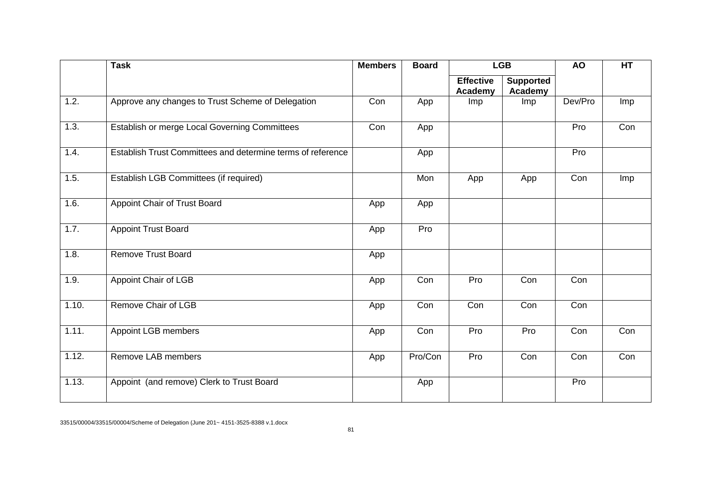|       | <b>Task</b>                                                 | <b>Members</b> | <b>LGB</b><br><b>Board</b> |                             |                             |         | HT  |
|-------|-------------------------------------------------------------|----------------|----------------------------|-----------------------------|-----------------------------|---------|-----|
|       |                                                             |                |                            | <b>Effective</b><br>Academy | <b>Supported</b><br>Academy |         |     |
| 1.2.  | Approve any changes to Trust Scheme of Delegation           | Con            | App                        | Imp                         | <b>Imp</b>                  | Dev/Pro | Imp |
| 1.3.  | Establish or merge Local Governing Committees               | Con            | App                        |                             |                             | Pro     | Con |
| 1.4.  | Establish Trust Committees and determine terms of reference |                | App                        |                             |                             | Pro     |     |
| 1.5.  | Establish LGB Committees (if required)                      |                | Mon                        | App                         | App                         | Con     | Imp |
| 1.6.  | Appoint Chair of Trust Board                                | App            | App                        |                             |                             |         |     |
| 1.7.  | <b>Appoint Trust Board</b>                                  | App            | Pro                        |                             |                             |         |     |
| 1.8.  | <b>Remove Trust Board</b>                                   | App            |                            |                             |                             |         |     |
| 1.9.  | Appoint Chair of LGB                                        | App            | Con                        | Pro                         | Con                         | Con     |     |
| 1.10. | Remove Chair of LGB                                         | App            | Con                        | Con                         | Con                         | Con     |     |
| 1.11. | Appoint LGB members                                         | App            | Con                        | Pro                         | Pro                         | Con     | Con |
| 1.12. | Remove LAB members                                          | App            | Pro/Con                    | Pro                         | Con                         | Con     | Con |
| 1.13. | Appoint (and remove) Clerk to Trust Board                   |                | App                        |                             |                             | Pro     |     |
|       |                                                             |                |                            |                             |                             |         |     |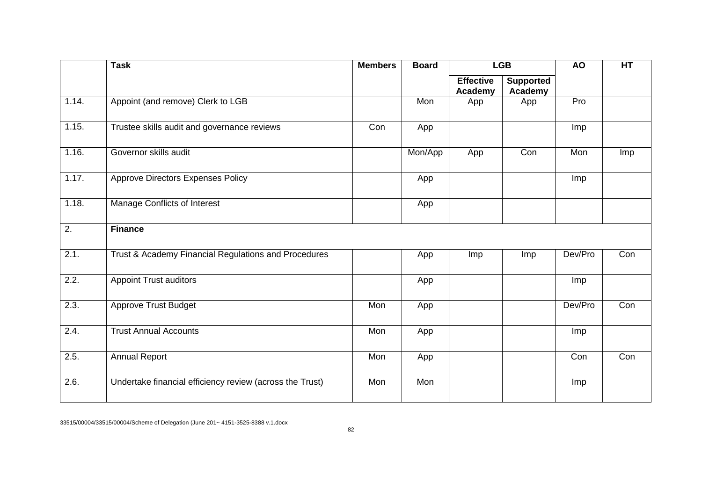|                  | <b>Task</b>                                              | <b>Members</b> | <b>Board</b> | <b>LGB</b>                  |                             | <b>AO</b> | HT  |
|------------------|----------------------------------------------------------|----------------|--------------|-----------------------------|-----------------------------|-----------|-----|
|                  |                                                          |                |              | <b>Effective</b><br>Academy | <b>Supported</b><br>Academy |           |     |
| 1.14.            | Appoint (and remove) Clerk to LGB                        |                | Mon          | App                         | App                         | Pro       |     |
| 1.15.            | Trustee skills audit and governance reviews              | Con            | App          |                             |                             | Imp       |     |
| 1.16.            | Governor skills audit                                    |                | Mon/App      | App                         | Con                         | Mon       | Imp |
| 1.17.            | Approve Directors Expenses Policy                        |                | App          |                             |                             | Imp       |     |
| 1.18.            | Manage Conflicts of Interest                             |                | App          |                             |                             |           |     |
| $\overline{2}$ . | <b>Finance</b>                                           |                |              |                             |                             |           |     |
| 2.1.             | Trust & Academy Financial Regulations and Procedures     |                | App          | Imp                         | Imp                         | Dev/Pro   | Con |
| 2.2.             | <b>Appoint Trust auditors</b>                            |                | App          |                             |                             | Imp       |     |
| 2.3.             | Approve Trust Budget                                     | Mon            | App          |                             |                             | Dev/Pro   | Con |
| 2.4.             | <b>Trust Annual Accounts</b>                             | Mon            | App          |                             |                             | Imp       |     |
| 2.5.             | <b>Annual Report</b>                                     | Mon            | App          |                             |                             | Con       | Con |
| 2.6.             | Undertake financial efficiency review (across the Trust) | Mon            | Mon          |                             |                             | Imp       |     |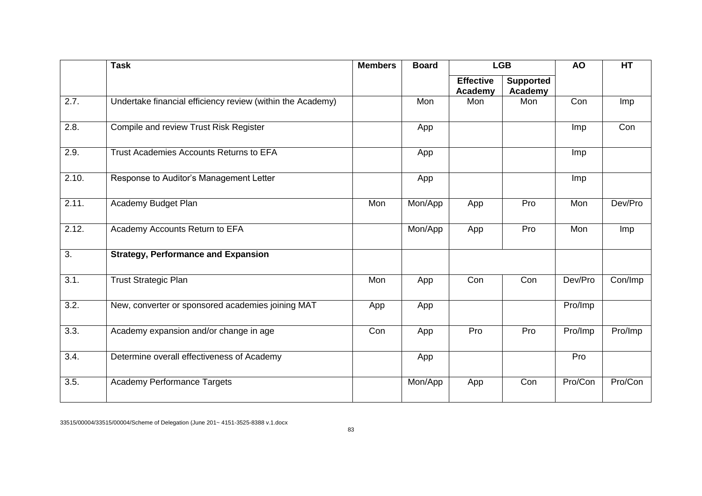|                    | <b>Task</b>                                                | <b>Members</b> | <b>Board</b> | <b>LGB</b>                  |                             | <b>AO</b>  | HT      |
|--------------------|------------------------------------------------------------|----------------|--------------|-----------------------------|-----------------------------|------------|---------|
|                    |                                                            |                |              | <b>Effective</b><br>Academy | <b>Supported</b><br>Academy |            |         |
| 2.7.               | Undertake financial efficiency review (within the Academy) |                | Mon          | Mon                         | Mon                         | Con        | Imp     |
| 2.8.               | Compile and review Trust Risk Register                     |                | App          |                             |                             | Imp        | Con     |
| 2.9.               | Trust Academies Accounts Returns to EFA                    |                | App          |                             |                             | <b>Imp</b> |         |
| 2.10.              | Response to Auditor's Management Letter                    |                | App          |                             |                             | <b>Imp</b> |         |
| 2.11.              | Academy Budget Plan                                        | Mon            | Mon/App      | App                         | Pro                         | Mon        | Dev/Pro |
| 2.12.              | Academy Accounts Return to EFA                             |                | Mon/App      | App                         | Pro                         | Mon        | Imp     |
| 3.                 | <b>Strategy, Performance and Expansion</b>                 |                |              |                             |                             |            |         |
| 3.1.               | <b>Trust Strategic Plan</b>                                | Mon            | App          | Con                         | Con                         | Dev/Pro    | Con/Imp |
| $\overline{3.2}$ . | New, converter or sponsored academies joining MAT          | App            | App          |                             |                             | Pro/Imp    |         |
| 3.3.               | Academy expansion and/or change in age                     | Con            | App          | Pro                         | Pro                         | Pro/Imp    | Pro/Imp |
| 3.4.               | Determine overall effectiveness of Academy                 |                | App          |                             |                             | Pro        |         |
| 3.5.               | <b>Academy Performance Targets</b>                         |                | Mon/App      | App                         | Con                         | Pro/Con    | Pro/Con |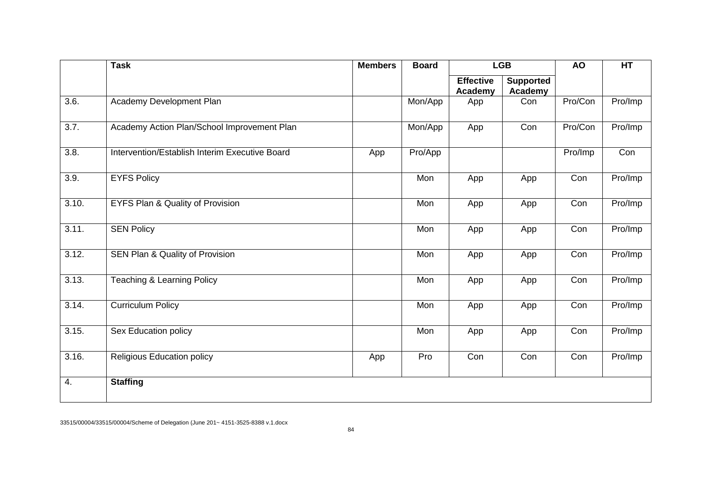|                    | <b>Task</b>                                    | <b>Members</b> | <b>Board</b> |                             | <b>LGB</b>                  | <b>AO</b> | HT      |
|--------------------|------------------------------------------------|----------------|--------------|-----------------------------|-----------------------------|-----------|---------|
|                    |                                                |                |              | <b>Effective</b><br>Academy | <b>Supported</b><br>Academy |           |         |
| $\overline{3.6}$ . | Academy Development Plan                       |                | Mon/App      | App                         | Con                         | Pro/Con   | Pro/Imp |
| $\overline{3.7}$ . | Academy Action Plan/School Improvement Plan    |                | Mon/App      | App                         | Con                         | Pro/Con   | Pro/Imp |
| 3.8.               | Intervention/Establish Interim Executive Board | App            | Pro/App      |                             |                             | Pro/Imp   | Con     |
| 3.9.               | <b>EYFS Policy</b>                             |                | Mon          | App                         | App                         | Con       | Pro/Imp |
| 3.10.              | EYFS Plan & Quality of Provision               |                | Mon          | App                         | App                         | Con       | Pro/Imp |
| 3.11.              | <b>SEN Policy</b>                              |                | Mon          | App                         | App                         | Con       | Pro/Imp |
| 3.12.              | SEN Plan & Quality of Provision                |                | Mon          | App                         | App                         | Con       | Pro/Imp |
| 3.13.              | <b>Teaching &amp; Learning Policy</b>          |                | Mon          | App                         | App                         | Con       | Pro/Imp |
| 3.14.              | <b>Curriculum Policy</b>                       |                | Mon          | App                         | App                         | Con       | Pro/Imp |
| 3.15.              | Sex Education policy                           |                | Mon          | App                         | App                         | Con       | Pro/Imp |
| 3.16.              | <b>Religious Education policy</b>              | App            | Pro          | Con                         | Con                         | Con       | Pro/Imp |
| 4.                 | <b>Staffing</b>                                |                |              |                             |                             |           |         |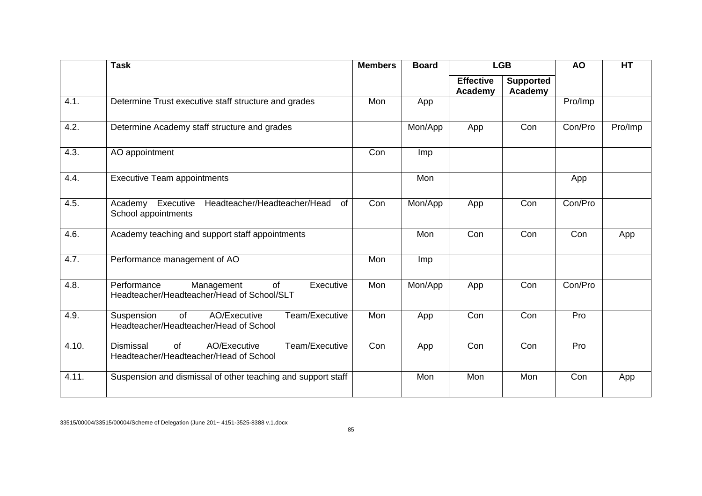|       | <b>Task</b>                                                                                             | <b>Members</b> | <b>Board</b> |                             | <b>LGB</b>                  | <b>AO</b> | <b>HT</b> |
|-------|---------------------------------------------------------------------------------------------------------|----------------|--------------|-----------------------------|-----------------------------|-----------|-----------|
|       |                                                                                                         |                |              | <b>Effective</b><br>Academy | <b>Supported</b><br>Academy |           |           |
| 4.1.  | Determine Trust executive staff structure and grades                                                    | Mon            | App          |                             |                             | Pro/Imp   |           |
| 4.2.  | Determine Academy staff structure and grades                                                            |                | Mon/App      | App                         | Con                         | Con/Pro   | Pro/Imp   |
| 4.3.  | AO appointment                                                                                          | Con            | Imp          |                             |                             |           |           |
| 4.4.  | <b>Executive Team appointments</b>                                                                      |                | Mon          |                             |                             | App       |           |
| 4.5.  | Executive<br>Headteacher/Headteacher/Head<br>$\sigma$<br>Academy<br>School appointments                 | Con            | Mon/App      | App                         | Con                         | Con/Pro   |           |
| 4.6.  | Academy teaching and support staff appointments                                                         |                | Mon          | Con                         | Con                         | Con       | App       |
| 4.7.  | Performance management of AO                                                                            | Mon            | Imp          |                             |                             |           |           |
| 4.8.  | $\overline{of}$<br>Performance<br>Management<br>Executive<br>Headteacher/Headteacher/Head of School/SLT | Mon            | Mon/App      | App                         | Con                         | Con/Pro   |           |
| 4.9.  | Team/Executive<br>of<br>AO/Executive<br>Suspension<br>Headteacher/Headteacher/Head of School            | Mon            | App          | Con                         | Con                         | Pro       |           |
| 4.10. | AO/Executive<br>Team/Executive<br>Dismissal<br>of<br>Headteacher/Headteacher/Head of School             | Con            | App          | Con                         | Con                         | Pro       |           |
| 4.11. | Suspension and dismissal of other teaching and support staff                                            |                | Mon          | Mon                         | Mon                         | Con       | App       |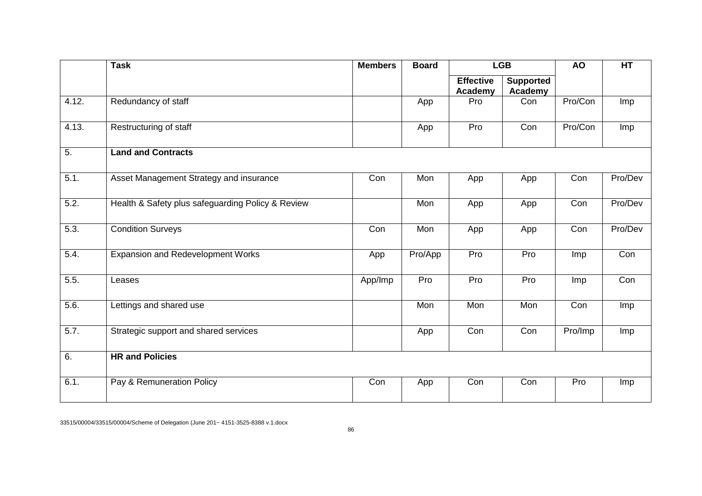|                  | <b>Task</b>                                       | <b>Members</b> | <b>Board</b> |                             | <b>LGB</b>                  | <b>AO</b> | HT      |
|------------------|---------------------------------------------------|----------------|--------------|-----------------------------|-----------------------------|-----------|---------|
|                  |                                                   |                |              | <b>Effective</b><br>Academy | <b>Supported</b><br>Academy |           |         |
| 4.12.            | Redundancy of staff                               |                | App          | Pro                         | Con                         | Pro/Con   | Imp     |
| 4.13.            | Restructuring of staff                            |                | App          | Pro                         | Con                         | Pro/Con   | Imp     |
| $\overline{5}$ . | <b>Land and Contracts</b>                         |                |              |                             |                             |           |         |
| 5.1.             | Asset Management Strategy and insurance           | Con            | Mon          | App                         | App                         | Con       | Pro/Dev |
| 5.2.             | Health & Safety plus safeguarding Policy & Review |                | Mon          | App                         | App                         | Con       | Pro/Dev |
| 5.3.             | <b>Condition Surveys</b>                          | Con            | Mon          | App                         | App                         | Con       | Pro/Dev |
| 5.4.             | Expansion and Redevelopment Works                 | App            | Pro/App      | Pro                         | Pro                         | Imp       | Con     |
| 5.5.             | Leases                                            | App/Imp        | Pro          | Pro                         | Pro                         | Imp       | Con     |
| 5.6.             | Lettings and shared use                           |                | Mon          | Mon                         | Mon                         | Con       | Imp     |
| 5.7.             | Strategic support and shared services             |                | App          | Con                         | Con                         | Pro/Imp   | Imp     |
| 6.               | <b>HR and Policies</b>                            |                |              |                             |                             |           |         |
| 6.1.             | Pay & Remuneration Policy                         | Con            | App          | Con                         | Con                         | Pro       | Imp     |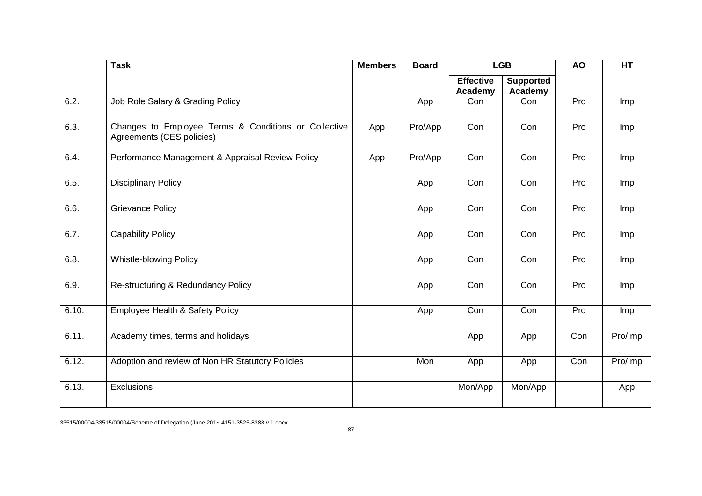|       | <b>Task</b>                                                                       | <b>Members</b> | <b>Board</b> |                             | <b>LGB</b>                  |     | HT      |
|-------|-----------------------------------------------------------------------------------|----------------|--------------|-----------------------------|-----------------------------|-----|---------|
|       |                                                                                   |                |              | <b>Effective</b><br>Academy | <b>Supported</b><br>Academy |     |         |
| 6.2.  | Job Role Salary & Grading Policy                                                  |                | App          | Con                         | Con                         | Pro | Imp     |
| 6.3.  | Changes to Employee Terms & Conditions or Collective<br>Agreements (CES policies) | App            | Pro/App      | Con                         | Con                         | Pro | Imp     |
| 6.4.  | Performance Management & Appraisal Review Policy                                  | App            | Pro/App      | Con                         | Con                         | Pro | Imp     |
| 6.5.  | <b>Disciplinary Policy</b>                                                        |                | App          | Con                         | Con                         | Pro | Imp     |
| 6.6.  | <b>Grievance Policy</b>                                                           |                | App          | Con                         | Con                         | Pro | Imp     |
| 6.7.  | <b>Capability Policy</b>                                                          |                | App          | Con                         | Con                         | Pro | Imp     |
| 6.8.  | Whistle-blowing Policy                                                            |                | App          | Con                         | Con                         | Pro | Imp     |
| 6.9.  | Re-structuring & Redundancy Policy                                                |                | App          | Con                         | Con                         | Pro | Imp     |
| 6.10. | <b>Employee Health &amp; Safety Policy</b>                                        |                | App          | Con                         | Con                         | Pro | Imp     |
| 6.11. | Academy times, terms and holidays                                                 |                |              | App                         | App                         | Con | Pro/Imp |
| 6.12. | Adoption and review of Non HR Statutory Policies                                  |                | Mon          | App                         | App                         | Con | Pro/Imp |
| 6.13. | Exclusions                                                                        |                |              | Mon/App                     | Mon/App                     |     | App     |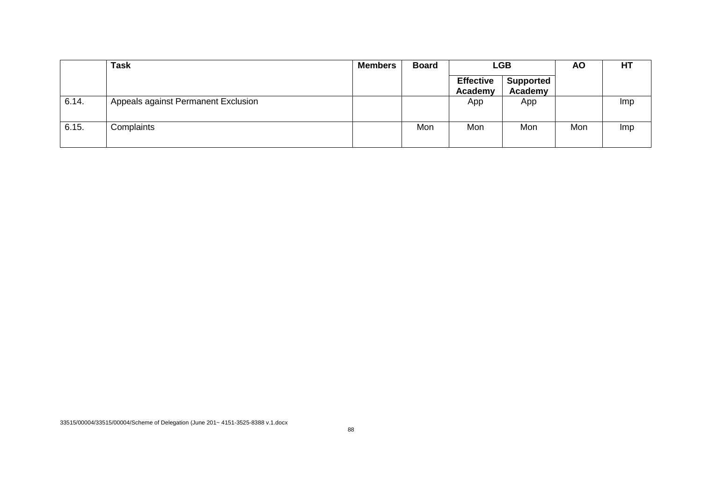|       | <b>Task</b>                         | <b>Members</b> | <b>Board</b> | <b>LGB</b>                  |                             | <b>AO</b> | HT         |
|-------|-------------------------------------|----------------|--------------|-----------------------------|-----------------------------|-----------|------------|
|       |                                     |                |              | <b>Effective</b><br>Academy | <b>Supported</b><br>Academy |           |            |
| 6.14. | Appeals against Permanent Exclusion |                |              | App                         | App                         |           | <b>Imp</b> |
| 6.15. | Complaints                          |                | Mon          | Mon                         | Mon                         | Mon       | <b>Imp</b> |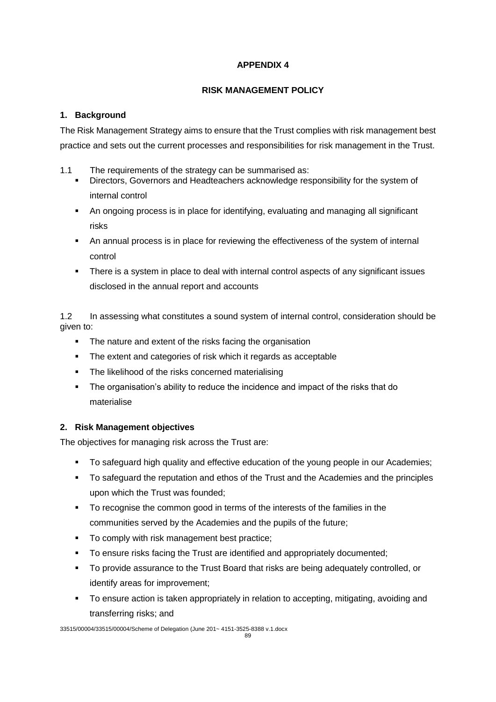# **APPENDIX 4**

# **RISK MANAGEMENT POLICY**

# **1. Background**

The Risk Management Strategy aims to ensure that the Trust complies with risk management best practice and sets out the current processes and responsibilities for risk management in the Trust.

- 1.1 The requirements of the strategy can be summarised as:
	- Directors, Governors and Headteachers acknowledge responsibility for the system of internal control
	- An ongoing process is in place for identifying, evaluating and managing all significant risks
	- An annual process is in place for reviewing the effectiveness of the system of internal control
	- There is a system in place to deal with internal control aspects of any significant issues disclosed in the annual report and accounts

1.2 In assessing what constitutes a sound system of internal control, consideration should be given to:

- The nature and extent of the risks facing the organisation
- **The extent and categories of risk which it regards as acceptable**
- The likelihood of the risks concerned materialising
- **The organisation's ability to reduce the incidence and impact of the risks that do** materialise

# **2. Risk Management objectives**

The objectives for managing risk across the Trust are:

- To safeguard high quality and effective education of the young people in our Academies;
- To safeguard the reputation and ethos of the Trust and the Academies and the principles upon which the Trust was founded;
- To recognise the common good in terms of the interests of the families in the communities served by the Academies and the pupils of the future;
- To comply with risk management best practice;
- To ensure risks facing the Trust are identified and appropriately documented;
- To provide assurance to the Trust Board that risks are being adequately controlled, or identify areas for improvement;
- To ensure action is taken appropriately in relation to accepting, mitigating, avoiding and transferring risks; and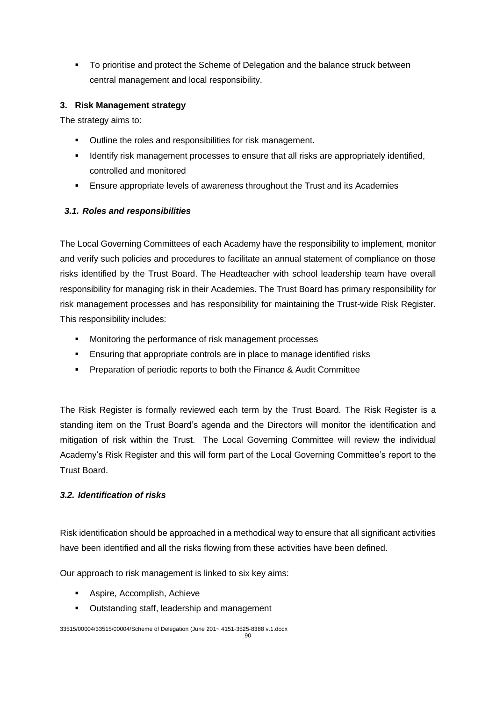To prioritise and protect the Scheme of Delegation and the balance struck between central management and local responsibility.

## **3. Risk Management strategy**

The strategy aims to:

- **•** Outline the roles and responsibilities for risk management.
- **IDENTIFY 19 IDENTIFY 12 IDENTIFY 10 IDENTIFY 10 IDENTIFY 10 IDENTIFY 10 IDENTIFY 10 IDENTIFY 10 IDENTIFY 10 IDENTIFY 10 IDENTIFY 10 IDENTIFY 10 IDENTIFY 10 IDENTIFY 10 IDENTIFY 10 IDENTIFY 10 IDENTIFY 10 IDENTIFY 10 IDENT** controlled and monitored
- Ensure appropriate levels of awareness throughout the Trust and its Academies

# *3.1. Roles and responsibilities*

The Local Governing Committees of each Academy have the responsibility to implement, monitor and verify such policies and procedures to facilitate an annual statement of compliance on those risks identified by the Trust Board. The Headteacher with school leadership team have overall responsibility for managing risk in their Academies. The Trust Board has primary responsibility for risk management processes and has responsibility for maintaining the Trust-wide Risk Register. This responsibility includes:

- **Monitoring the performance of risk management processes**
- **Ensuring that appropriate controls are in place to manage identified risks**
- **Preparation of periodic reports to both the Finance & Audit Committee**

The Risk Register is formally reviewed each term by the Trust Board. The Risk Register is a standing item on the Trust Board's agenda and the Directors will monitor the identification and mitigation of risk within the Trust. The Local Governing Committee will review the individual Academy's Risk Register and this will form part of the Local Governing Committee's report to the Trust Board.

## *3.2. Identification of risks*

Risk identification should be approached in a methodical way to ensure that all significant activities have been identified and all the risks flowing from these activities have been defined.

Our approach to risk management is linked to six key aims:

- Aspire, Accomplish, Achieve
- Outstanding staff, leadership and management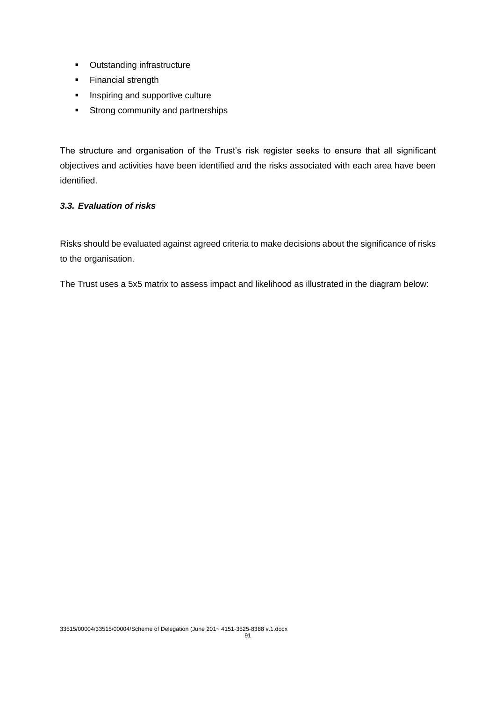- **-** Outstanding infrastructure
- Financial strength
- **Inspiring and supportive culture**
- **Strong community and partnerships**

The structure and organisation of the Trust's risk register seeks to ensure that all significant objectives and activities have been identified and the risks associated with each area have been identified.

# *3.3. Evaluation of risks*

Risks should be evaluated against agreed criteria to make decisions about the significance of risks to the organisation.

The Trust uses a 5x5 matrix to assess impact and likelihood as illustrated in the diagram below: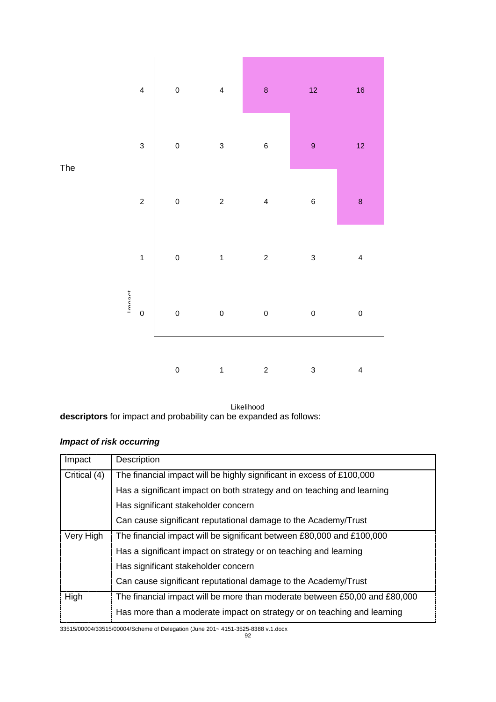

The

# *Impact of risk occurring*

|                                                                                                                     | terim<br>0                                                             | 0           | 0 | $\mathbf 0$ | 0                                                              | $\Omega$                                                                   |  |
|---------------------------------------------------------------------------------------------------------------------|------------------------------------------------------------------------|-------------|---|-------------|----------------------------------------------------------------|----------------------------------------------------------------------------|--|
|                                                                                                                     |                                                                        | $\mathbf 0$ | 1 | 2           | 3                                                              | 4                                                                          |  |
| Likelihood<br>descriptors for impact and probability can be expanded as follows:<br><b>Impact of risk occurring</b> |                                                                        |             |   |             |                                                                |                                                                            |  |
| Impact                                                                                                              | Description                                                            |             |   |             |                                                                |                                                                            |  |
| Critical (4)                                                                                                        | The financial impact will be highly significant in excess of £100,000  |             |   |             |                                                                |                                                                            |  |
|                                                                                                                     | Has a significant impact on both strategy and on teaching and learning |             |   |             |                                                                |                                                                            |  |
|                                                                                                                     | Has significant stakeholder concern                                    |             |   |             |                                                                |                                                                            |  |
|                                                                                                                     | Can cause significant reputational damage to the Academy/Trust         |             |   |             |                                                                |                                                                            |  |
| Very High                                                                                                           | The financial impact will be significant between £80,000 and £100,000  |             |   |             |                                                                |                                                                            |  |
|                                                                                                                     | Has a significant impact on strategy or on teaching and learning       |             |   |             |                                                                |                                                                            |  |
|                                                                                                                     | Has significant stakeholder concern                                    |             |   |             |                                                                |                                                                            |  |
|                                                                                                                     |                                                                        |             |   |             | Can cause significant reputational damage to the Academy/Trust |                                                                            |  |
| High                                                                                                                |                                                                        |             |   |             |                                                                | The financial impact will be more than moderate between £50,00 and £80,000 |  |
|                                                                                                                     |                                                                        |             |   |             |                                                                | Has more than a moderate impact on strategy or on teaching and learning    |  |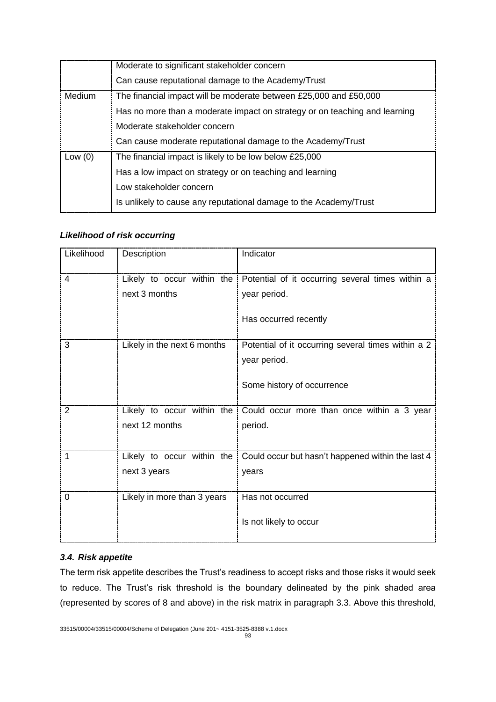|           | Moderate to significant stakeholder concern                                |
|-----------|----------------------------------------------------------------------------|
|           | Can cause reputational damage to the Academy/Trust                         |
| Medium    | The financial impact will be moderate between £25,000 and £50,000          |
|           | Has no more than a moderate impact on strategy or on teaching and learning |
|           | Moderate stakeholder concern                                               |
|           | Can cause moderate reputational damage to the Academy/Trust                |
| Low $(0)$ | The financial impact is likely to be low below £25,000                     |
|           | Has a low impact on strategy or on teaching and learning                   |
|           | Low stakeholder concern                                                    |
|           | Is unlikely to cause any reputational damage to the Academy/Trust          |

## *Likelihood of risk occurring*

| Likelihood | Description                 | Indicator                                                                   |
|------------|-----------------------------|-----------------------------------------------------------------------------|
| 4          |                             | Likely to occur within the Potential of it occurring several times within a |
|            | next 3 months               | year period.                                                                |
|            |                             | Has occurred recently                                                       |
| 3          | Likely in the next 6 months | Potential of it occurring several times within a 2                          |
|            |                             | year period.                                                                |
|            |                             | Some history of occurrence                                                  |
| 2          | Likely to occur within the  | Could occur more than once within a 3 year                                  |
|            | next 12 months              | period.                                                                     |
|            |                             |                                                                             |
| 1          | Likely to occur within the  | Could occur but hasn't happened within the last 4                           |
|            | next 3 years                | years                                                                       |
| 0          | Likely in more than 3 years | Has not occurred                                                            |
|            |                             | Is not likely to occur                                                      |

## *3.4. Risk appetite*

The term risk appetite describes the Trust's readiness to accept risks and those risks it would seek to reduce. The Trust's risk threshold is the boundary delineated by the pink shaded area (represented by scores of 8 and above) in the risk matrix in paragraph 3.3. Above this threshold,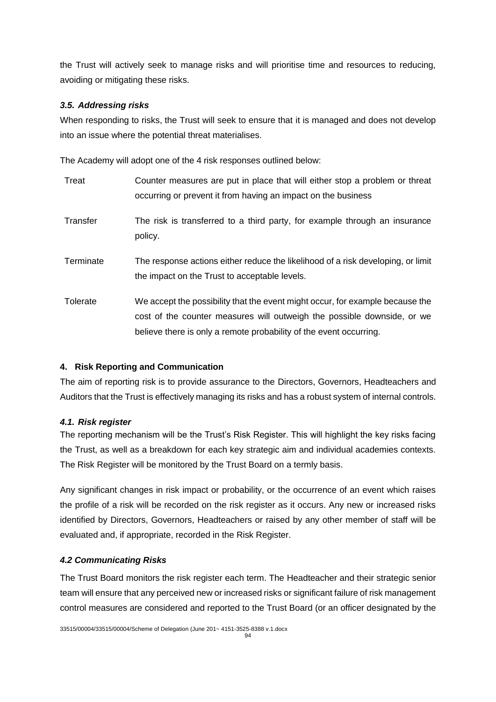the Trust will actively seek to manage risks and will prioritise time and resources to reducing, avoiding or mitigating these risks.

## *3.5. Addressing risks*

When responding to risks, the Trust will seek to ensure that it is managed and does not develop into an issue where the potential threat materialises.

The Academy will adopt one of the 4 risk responses outlined below:

| Treat     | Counter measures are put in place that will either stop a problem or threat<br>occurring or prevent it from having an impact on the business |
|-----------|----------------------------------------------------------------------------------------------------------------------------------------------|
|           |                                                                                                                                              |
| Transfer  | The risk is transferred to a third party, for example through an insurance                                                                   |
|           | policy.                                                                                                                                      |
| Terminate | The response actions either reduce the likelihood of a risk developing, or limit                                                             |
|           | the impact on the Trust to acceptable levels.                                                                                                |
| Tolerate  | We accept the possibility that the event might occur, for example because the                                                                |
|           | cost of the counter measures will outweigh the possible downside, or we                                                                      |
|           |                                                                                                                                              |
|           | believe there is only a remote probability of the event occurring.                                                                           |

## **4. Risk Reporting and Communication**

The aim of reporting risk is to provide assurance to the Directors, Governors, Headteachers and Auditors that the Trust is effectively managing its risks and has a robust system of internal controls.

## *4.1. Risk register*

The reporting mechanism will be the Trust's Risk Register. This will highlight the key risks facing the Trust, as well as a breakdown for each key strategic aim and individual academies contexts. The Risk Register will be monitored by the Trust Board on a termly basis.

Any significant changes in risk impact or probability, or the occurrence of an event which raises the profile of a risk will be recorded on the risk register as it occurs. Any new or increased risks identified by Directors, Governors, Headteachers or raised by any other member of staff will be evaluated and, if appropriate, recorded in the Risk Register.

## *4.2 Communicating Risks*

The Trust Board monitors the risk register each term. The Headteacher and their strategic senior team will ensure that any perceived new or increased risks or significant failure of risk management control measures are considered and reported to the Trust Board (or an officer designated by the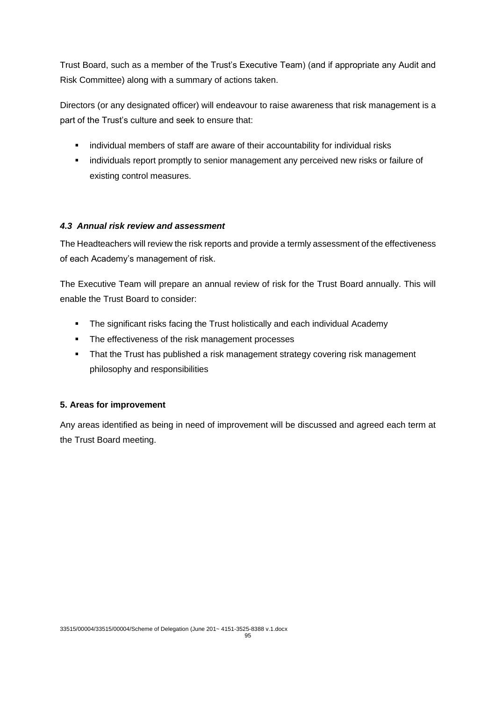Trust Board, such as a member of the Trust's Executive Team) (and if appropriate any Audit and Risk Committee) along with a summary of actions taken.

Directors (or any designated officer) will endeavour to raise awareness that risk management is a part of the Trust's culture and seek to ensure that:

- individual members of staff are aware of their accountability for individual risks
- **·** individuals report promptly to senior management any perceived new risks or failure of existing control measures.

## *4.3 Annual risk review and assessment*

The Headteachers will review the risk reports and provide a termly assessment of the effectiveness of each Academy's management of risk.

The Executive Team will prepare an annual review of risk for the Trust Board annually. This will enable the Trust Board to consider:

- The significant risks facing the Trust holistically and each individual Academy
- The effectiveness of the risk management processes
- That the Trust has published a risk management strategy covering risk management philosophy and responsibilities

## **5. Areas for improvement**

Any areas identified as being in need of improvement will be discussed and agreed each term at the Trust Board meeting.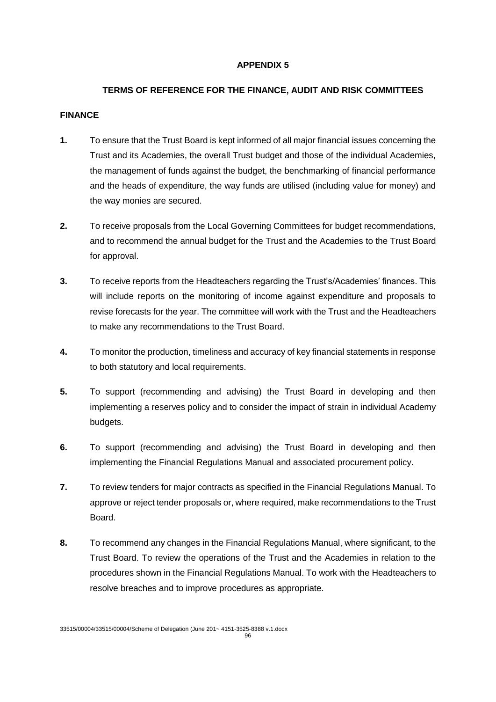## **APPENDIX 5**

# **TERMS OF REFERENCE FOR THE FINANCE, AUDIT AND RISK COMMITTEES**

#### **FINANCE**

- **1.** To ensure that the Trust Board is kept informed of all major financial issues concerning the Trust and its Academies, the overall Trust budget and those of the individual Academies, the management of funds against the budget, the benchmarking of financial performance and the heads of expenditure, the way funds are utilised (including value for money) and the way monies are secured.
- **2.** To receive proposals from the Local Governing Committees for budget recommendations, and to recommend the annual budget for the Trust and the Academies to the Trust Board for approval.
- **3.** To receive reports from the Headteachers regarding the Trust's/Academies' finances. This will include reports on the monitoring of income against expenditure and proposals to revise forecasts for the year. The committee will work with the Trust and the Headteachers to make any recommendations to the Trust Board.
- **4.** To monitor the production, timeliness and accuracy of key financial statements in response to both statutory and local requirements.
- **5.** To support (recommending and advising) the Trust Board in developing and then implementing a reserves policy and to consider the impact of strain in individual Academy budgets.
- **6.** To support (recommending and advising) the Trust Board in developing and then implementing the Financial Regulations Manual and associated procurement policy.
- **7.** To review tenders for major contracts as specified in the Financial Regulations Manual. To approve or reject tender proposals or, where required, make recommendations to the Trust Board.
- **8.** To recommend any changes in the Financial Regulations Manual, where significant, to the Trust Board. To review the operations of the Trust and the Academies in relation to the procedures shown in the Financial Regulations Manual. To work with the Headteachers to resolve breaches and to improve procedures as appropriate.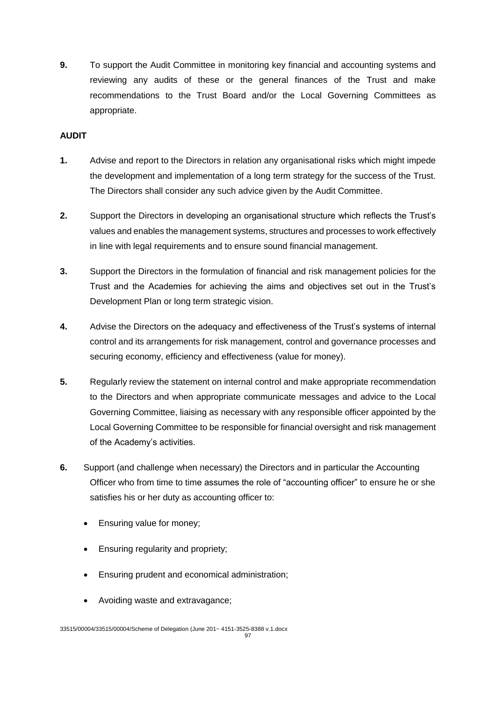**9.** To support the Audit Committee in monitoring key financial and accounting systems and reviewing any audits of these or the general finances of the Trust and make recommendations to the Trust Board and/or the Local Governing Committees as appropriate.

# **AUDIT**

- **1.** Advise and report to the Directors in relation any organisational risks which might impede the development and implementation of a long term strategy for the success of the Trust. The Directors shall consider any such advice given by the Audit Committee.
- **2.** Support the Directors in developing an organisational structure which reflects the Trust's values and enables the management systems, structures and processes to work effectively in line with legal requirements and to ensure sound financial management.
- **3.** Support the Directors in the formulation of financial and risk management policies for the Trust and the Academies for achieving the aims and objectives set out in the Trust's Development Plan or long term strategic vision.
- **4.** Advise the Directors on the adequacy and effectiveness of the Trust's systems of internal control and its arrangements for risk management, control and governance processes and securing economy, efficiency and effectiveness (value for money).
- **5.** Regularly review the statement on internal control and make appropriate recommendation to the Directors and when appropriate communicate messages and advice to the Local Governing Committee, liaising as necessary with any responsible officer appointed by the Local Governing Committee to be responsible for financial oversight and risk management of the Academy's activities.
- **6.** Support (and challenge when necessary) the Directors and in particular the Accounting Officer who from time to time assumes the role of "accounting officer" to ensure he or she satisfies his or her duty as accounting officer to:
	- Ensuring value for money;
	- Ensuring regularity and propriety;
	- Ensuring prudent and economical administration;
	- Avoiding waste and extravagance;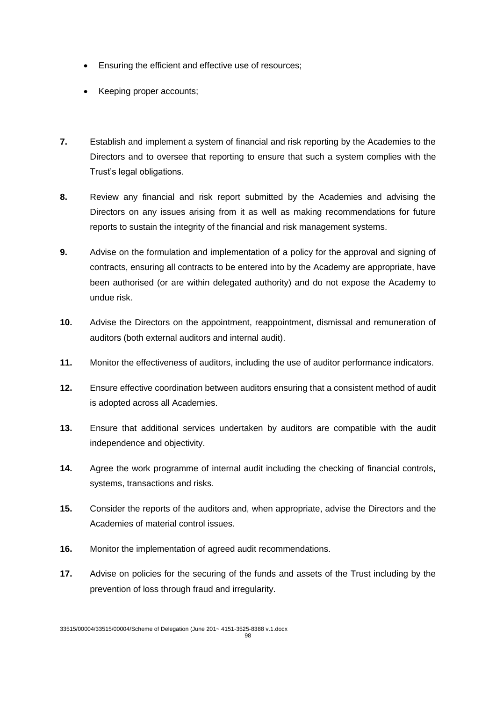- Ensuring the efficient and effective use of resources;
- Keeping proper accounts;
- **7.** Establish and implement a system of financial and risk reporting by the Academies to the Directors and to oversee that reporting to ensure that such a system complies with the Trust's legal obligations.
- **8.** Review any financial and risk report submitted by the Academies and advising the Directors on any issues arising from it as well as making recommendations for future reports to sustain the integrity of the financial and risk management systems.
- **9.** Advise on the formulation and implementation of a policy for the approval and signing of contracts, ensuring all contracts to be entered into by the Academy are appropriate, have been authorised (or are within delegated authority) and do not expose the Academy to undue risk.
- **10.** Advise the Directors on the appointment, reappointment, dismissal and remuneration of auditors (both external auditors and internal audit).
- **11.** Monitor the effectiveness of auditors, including the use of auditor performance indicators.
- **12.** Ensure effective coordination between auditors ensuring that a consistent method of audit is adopted across all Academies.
- **13.** Ensure that additional services undertaken by auditors are compatible with the audit independence and objectivity.
- **14.** Agree the work programme of internal audit including the checking of financial controls, systems, transactions and risks.
- **15.** Consider the reports of the auditors and, when appropriate, advise the Directors and the Academies of material control issues.
- **16.** Monitor the implementation of agreed audit recommendations.
- **17.** Advise on policies for the securing of the funds and assets of the Trust including by the prevention of loss through fraud and irregularity.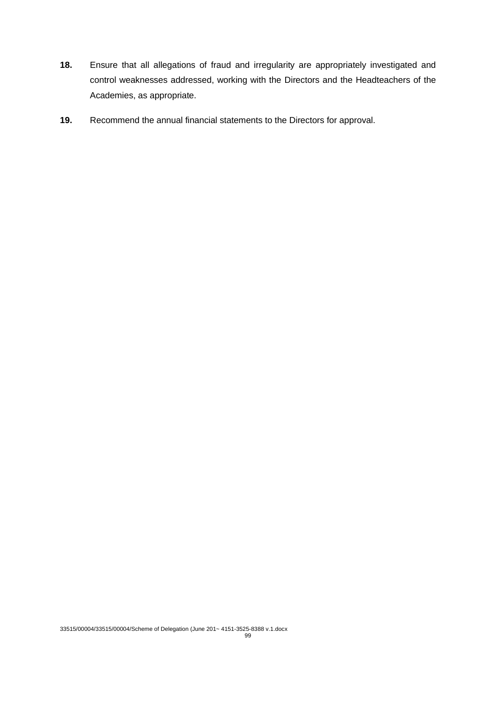- **18.** Ensure that all allegations of fraud and irregularity are appropriately investigated and control weaknesses addressed, working with the Directors and the Headteachers of the Academies, as appropriate.
- **19.** Recommend the annual financial statements to the Directors for approval.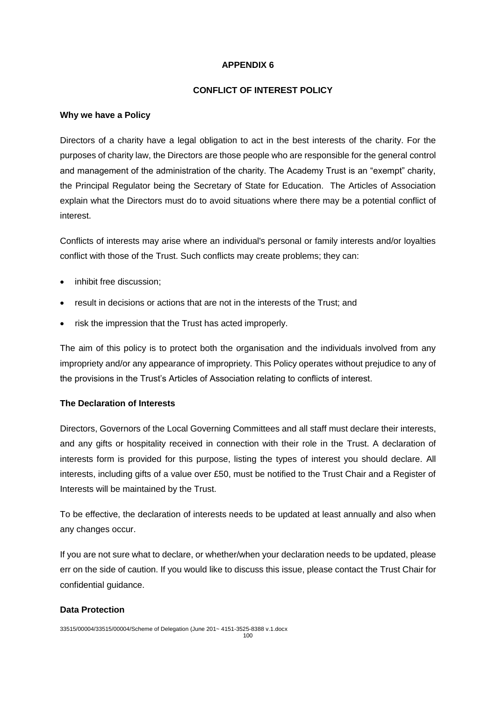## **APPENDIX 6**

## **CONFLICT OF INTEREST POLICY**

### **Why we have a Policy**

Directors of a charity have a legal obligation to act in the best interests of the charity. For the purposes of charity law, the Directors are those people who are responsible for the general control and management of the administration of the charity. The Academy Trust is an "exempt" charity, the Principal Regulator being the Secretary of State for Education. The Articles of Association explain what the Directors must do to avoid situations where there may be a potential conflict of interest.

Conflicts of interests may arise where an individual's personal or family interests and/or loyalties conflict with those of the Trust. Such conflicts may create problems; they can:

- inhibit free discussion;
- result in decisions or actions that are not in the interests of the Trust; and
- risk the impression that the Trust has acted improperly.

The aim of this policy is to protect both the organisation and the individuals involved from any impropriety and/or any appearance of impropriety. This Policy operates without prejudice to any of the provisions in the Trust's Articles of Association relating to conflicts of interest.

## **The Declaration of Interests**

Directors, Governors of the Local Governing Committees and all staff must declare their interests, and any gifts or hospitality received in connection with their role in the Trust. A declaration of interests form is provided for this purpose, listing the types of interest you should declare. All interests, including gifts of a value over £50, must be notified to the Trust Chair and a Register of Interests will be maintained by the Trust.

To be effective, the declaration of interests needs to be updated at least annually and also when any changes occur.

If you are not sure what to declare, or whether/when your declaration needs to be updated, please err on the side of caution. If you would like to discuss this issue, please contact the Trust Chair for confidential guidance.

## **Data Protection**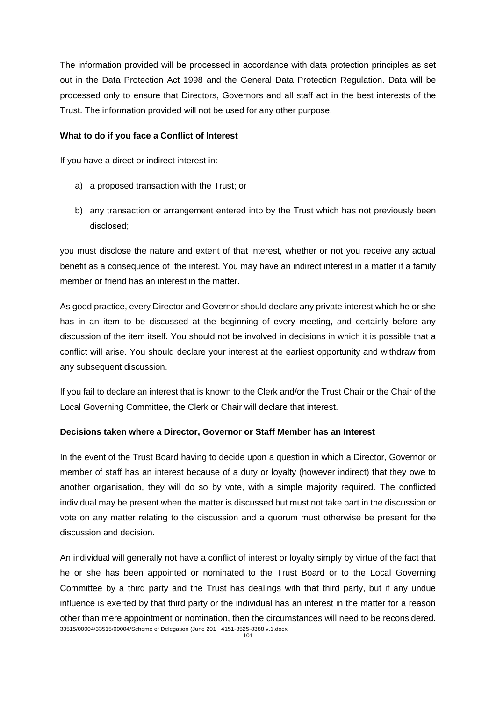The information provided will be processed in accordance with data protection principles as set out in the Data Protection Act 1998 and the General Data Protection Regulation. Data will be processed only to ensure that Directors, Governors and all staff act in the best interests of the Trust. The information provided will not be used for any other purpose.

#### **What to do if you face a Conflict of Interest**

If you have a direct or indirect interest in:

- a) a proposed transaction with the Trust; or
- b) any transaction or arrangement entered into by the Trust which has not previously been disclosed;

you must disclose the nature and extent of that interest, whether or not you receive any actual benefit as a consequence of the interest. You may have an indirect interest in a matter if a family member or friend has an interest in the matter

As good practice, every Director and Governor should declare any private interest which he or she has in an item to be discussed at the beginning of every meeting, and certainly before any discussion of the item itself. You should not be involved in decisions in which it is possible that a conflict will arise. You should declare your interest at the earliest opportunity and withdraw from any subsequent discussion.

If you fail to declare an interest that is known to the Clerk and/or the Trust Chair or the Chair of the Local Governing Committee, the Clerk or Chair will declare that interest.

#### **Decisions taken where a Director, Governor or Staff Member has an Interest**

In the event of the Trust Board having to decide upon a question in which a Director, Governor or member of staff has an interest because of a duty or loyalty (however indirect) that they owe to another organisation, they will do so by vote, with a simple majority required. The conflicted individual may be present when the matter is discussed but must not take part in the discussion or vote on any matter relating to the discussion and a quorum must otherwise be present for the discussion and decision.

33515/00004/33515/00004/Scheme of Delegation (June 201~ 4151-3525-8388 v.1.docx An individual will generally not have a conflict of interest or loyalty simply by virtue of the fact that he or she has been appointed or nominated to the Trust Board or to the Local Governing Committee by a third party and the Trust has dealings with that third party, but if any undue influence is exerted by that third party or the individual has an interest in the matter for a reason other than mere appointment or nomination, then the circumstances will need to be reconsidered.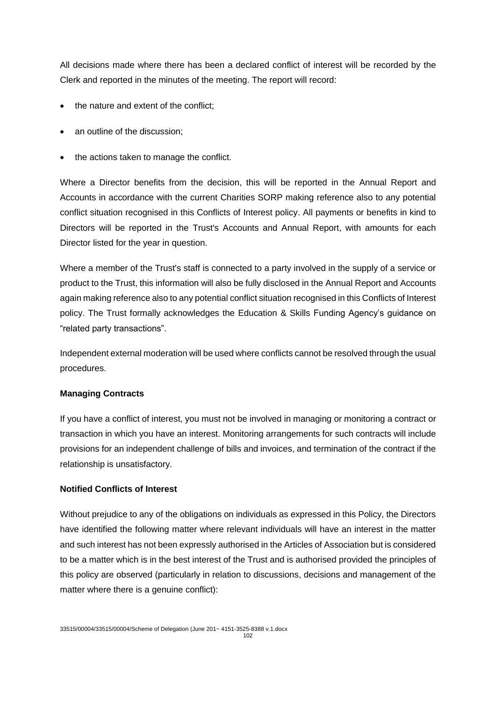All decisions made where there has been a declared conflict of interest will be recorded by the Clerk and reported in the minutes of the meeting. The report will record:

- the nature and extent of the conflict:
- an outline of the discussion;
- the actions taken to manage the conflict.

Where a Director benefits from the decision, this will be reported in the Annual Report and Accounts in accordance with the current Charities SORP making reference also to any potential conflict situation recognised in this Conflicts of Interest policy. All payments or benefits in kind to Directors will be reported in the Trust's Accounts and Annual Report, with amounts for each Director listed for the year in question.

Where a member of the Trust's staff is connected to a party involved in the supply of a service or product to the Trust, this information will also be fully disclosed in the Annual Report and Accounts again making reference also to any potential conflict situation recognised in this Conflicts of Interest policy. The Trust formally acknowledges the Education & Skills Funding Agency's guidance on "related party transactions".

Independent external moderation will be used where conflicts cannot be resolved through the usual procedures.

#### **Managing Contracts**

If you have a conflict of interest, you must not be involved in managing or monitoring a contract or transaction in which you have an interest. Monitoring arrangements for such contracts will include provisions for an independent challenge of bills and invoices, and termination of the contract if the relationship is unsatisfactory.

#### **Notified Conflicts of Interest**

Without prejudice to any of the obligations on individuals as expressed in this Policy, the Directors have identified the following matter where relevant individuals will have an interest in the matter and such interest has not been expressly authorised in the Articles of Association but is considered to be a matter which is in the best interest of the Trust and is authorised provided the principles of this policy are observed (particularly in relation to discussions, decisions and management of the matter where there is a genuine conflict):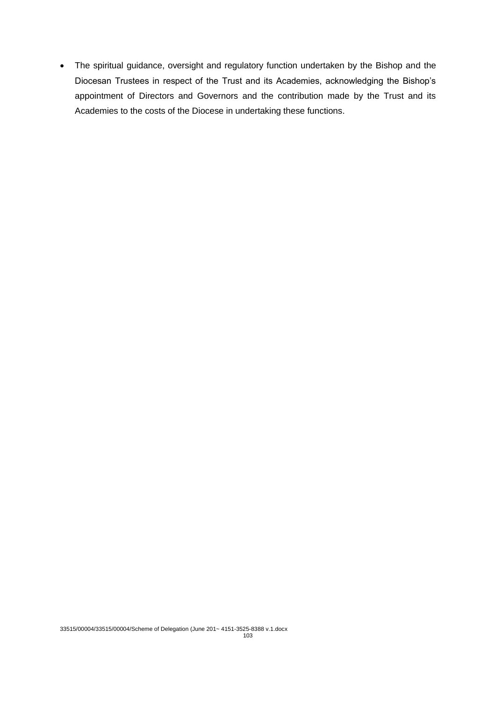The spiritual guidance, oversight and regulatory function undertaken by the Bishop and the Diocesan Trustees in respect of the Trust and its Academies, acknowledging the Bishop's appointment of Directors and Governors and the contribution made by the Trust and its Academies to the costs of the Diocese in undertaking these functions.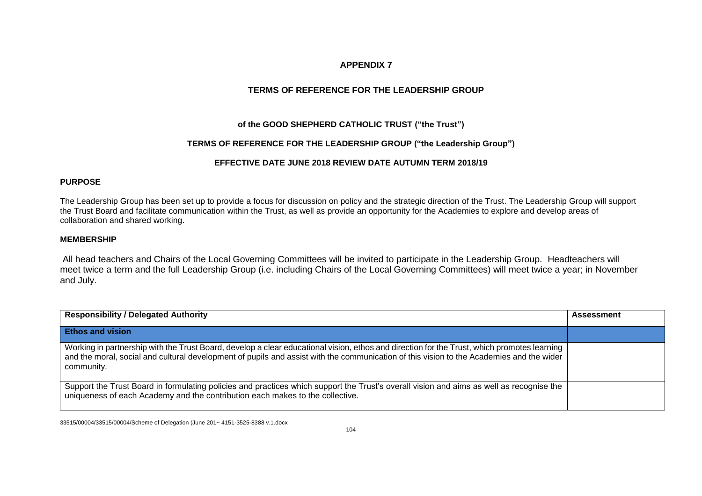## **APPENDIX 7**

# **TERMS OF REFERENCE FOR THE LEADERSHIP GROUP**

### **of the GOOD SHEPHERD CATHOLIC TRUST ("the Trust")**

#### **TERMS OF REFERENCE FOR THE LEADERSHIP GROUP ("the Leadership Group")**

#### **EFFECTIVE DATE JUNE 2018 REVIEW DATE AUTUMN TERM 2018/19**

#### **PURPOSE**

The Leadership Group has been set up to provide a focus for discussion on policy and the strategic direction of the Trust. The Leadership Group will support the Trust Board and facilitate communication within the Trust, as well as provide an opportunity for the Academies to explore and develop areas of collaboration and shared working.

#### **MEMBERSHIP**

All head teachers and Chairs of the Local Governing Committees will be invited to participate in the Leadership Group. Headteachers will meet twice a term and the full Leadership Group (i.e. including Chairs of the Local Governing Committees) will meet twice a year; in November and July.

| <b>Responsibility / Delegated Authority</b>                                                                                                                                                                                                                                                           | <b>Assessment</b> |
|-------------------------------------------------------------------------------------------------------------------------------------------------------------------------------------------------------------------------------------------------------------------------------------------------------|-------------------|
| <b>Ethos and vision</b>                                                                                                                                                                                                                                                                               |                   |
| Working in partnership with the Trust Board, develop a clear educational vision, ethos and direction for the Trust, which promotes learning<br>and the moral, social and cultural development of pupils and assist with the communication of this vision to the Academies and the wider<br>community. |                   |
| Support the Trust Board in formulating policies and practices which support the Trust's overall vision and aims as well as recognise the<br>uniqueness of each Academy and the contribution each makes to the collective.                                                                             |                   |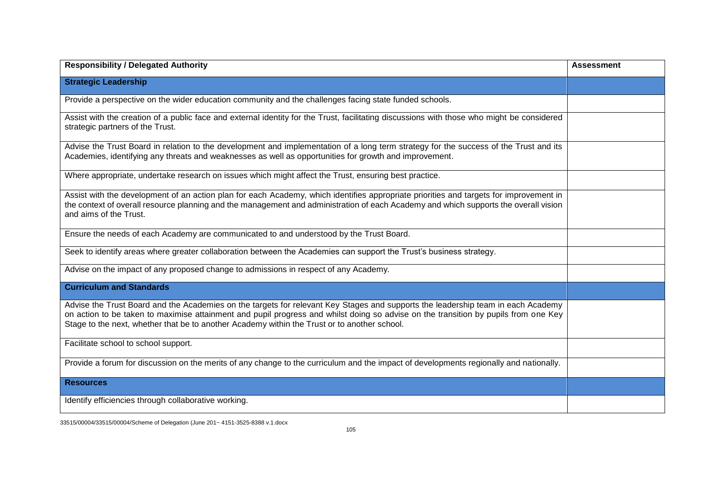| <b>Responsibility / Delegated Authority</b>                                                                                                                                                                                                                                                                                                                             | <b>Assessment</b> |
|-------------------------------------------------------------------------------------------------------------------------------------------------------------------------------------------------------------------------------------------------------------------------------------------------------------------------------------------------------------------------|-------------------|
| <b>Strategic Leadership</b>                                                                                                                                                                                                                                                                                                                                             |                   |
| Provide a perspective on the wider education community and the challenges facing state funded schools.                                                                                                                                                                                                                                                                  |                   |
| Assist with the creation of a public face and external identity for the Trust, facilitating discussions with those who might be considered<br>strategic partners of the Trust.                                                                                                                                                                                          |                   |
| Advise the Trust Board in relation to the development and implementation of a long term strategy for the success of the Trust and its<br>Academies, identifying any threats and weaknesses as well as opportunities for growth and improvement.                                                                                                                         |                   |
| Where appropriate, undertake research on issues which might affect the Trust, ensuring best practice.                                                                                                                                                                                                                                                                   |                   |
| Assist with the development of an action plan for each Academy, which identifies appropriate priorities and targets for improvement in<br>the context of overall resource planning and the management and administration of each Academy and which supports the overall vision<br>and aims of the Trust.                                                                |                   |
| Ensure the needs of each Academy are communicated to and understood by the Trust Board.                                                                                                                                                                                                                                                                                 |                   |
| Seek to identify areas where greater collaboration between the Academies can support the Trust's business strategy.                                                                                                                                                                                                                                                     |                   |
| Advise on the impact of any proposed change to admissions in respect of any Academy.                                                                                                                                                                                                                                                                                    |                   |
| <b>Curriculum and Standards</b>                                                                                                                                                                                                                                                                                                                                         |                   |
| Advise the Trust Board and the Academies on the targets for relevant Key Stages and supports the leadership team in each Academy<br>on action to be taken to maximise attainment and pupil progress and whilst doing so advise on the transition by pupils from one Key<br>Stage to the next, whether that be to another Academy within the Trust or to another school. |                   |
| Facilitate school to school support.                                                                                                                                                                                                                                                                                                                                    |                   |
| Provide a forum for discussion on the merits of any change to the curriculum and the impact of developments regionally and nationally.                                                                                                                                                                                                                                  |                   |
| <b>Resources</b>                                                                                                                                                                                                                                                                                                                                                        |                   |
| Identify efficiencies through collaborative working.                                                                                                                                                                                                                                                                                                                    |                   |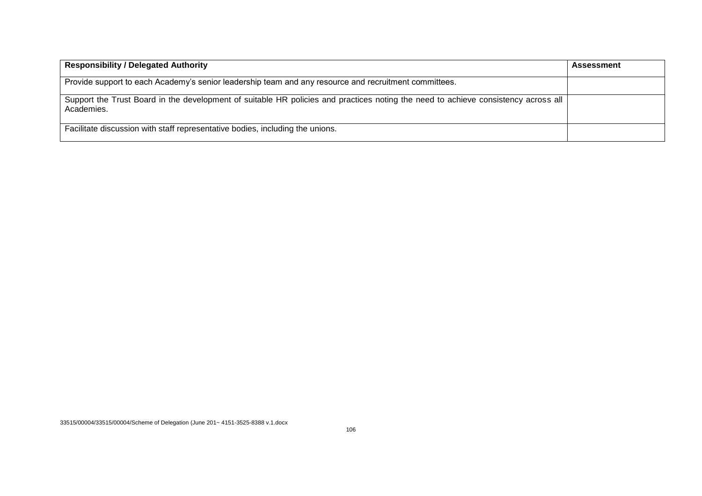| <b>Responsibility / Delegated Authority</b>                                                                                                      | <b>Assessment</b> |
|--------------------------------------------------------------------------------------------------------------------------------------------------|-------------------|
| Provide support to each Academy's senior leadership team and any resource and recruitment committees.                                            |                   |
| Support the Trust Board in the development of suitable HR policies and practices noting the need to achieve consistency across all<br>Academies. |                   |
| Facilitate discussion with staff representative bodies, including the unions.                                                                    |                   |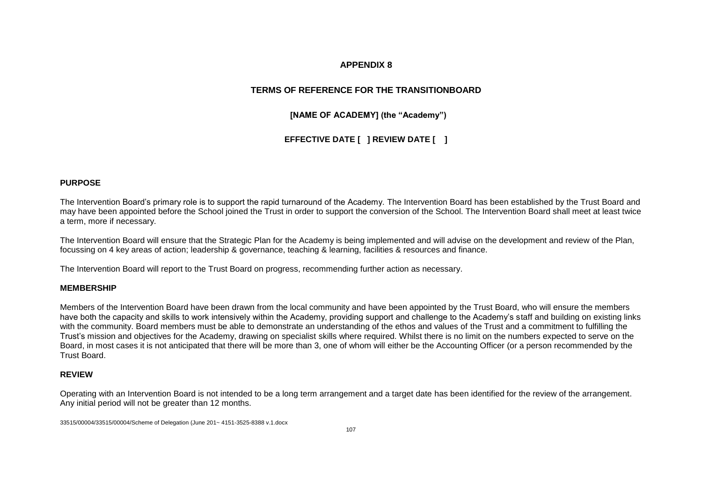### **APPENDIX 8**

# **TERMS OF REFERENCE FOR THE TRANSITIONBOARD**

**[NAME OF ACADEMY] (the "Academy")**

**EFFECTIVE DATE [ ] REVIEW DATE [ ]**

#### **PURPOSE**

The Intervention Board's primary role is to support the rapid turnaround of the Academy. The Intervention Board has been established by the Trust Board and may have been appointed before the School joined the Trust in order to support the conversion of the School. The Intervention Board shall meet at least twice a term, more if necessary.

The Intervention Board will ensure that the Strategic Plan for the Academy is being implemented and will advise on the development and review of the Plan, focussing on 4 key areas of action; leadership & governance, teaching & learning, facilities & resources and finance.

The Intervention Board will report to the Trust Board on progress, recommending further action as necessary.

#### **MEMBERSHIP**

Members of the Intervention Board have been drawn from the local community and have been appointed by the Trust Board, who will ensure the members have both the capacity and skills to work intensively within the Academy, providing support and challenge to the Academy's staff and building on existing links with the community. Board members must be able to demonstrate an understanding of the ethos and values of the Trust and a commitment to fulfilling the Trust's mission and objectives for the Academy, drawing on specialist skills where required. Whilst there is no limit on the numbers expected to serve on the Board, in most cases it is not anticipated that there will be more than 3, one of whom will either be the Accounting Officer (or a person recommended by the Trust Board.

#### **REVIEW**

Operating with an Intervention Board is not intended to be a long term arrangement and a target date has been identified for the review of the arrangement. Any initial period will not be greater than 12 months.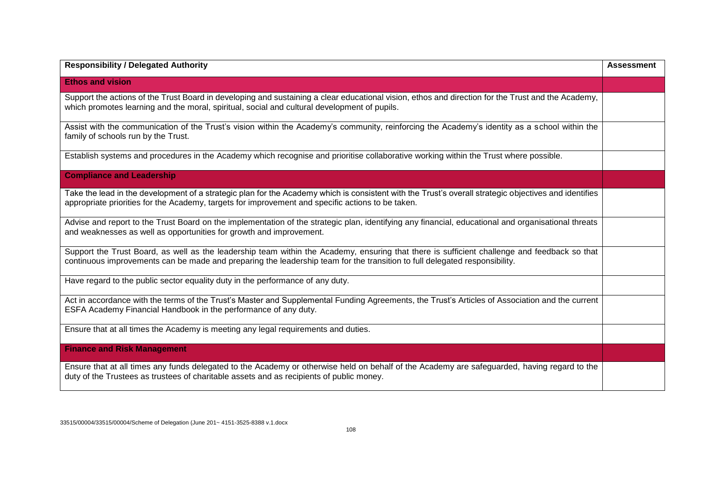| <b>Responsibility / Delegated Authority</b>                                                                                                                                                                                                                                | <b>Assessment</b> |
|----------------------------------------------------------------------------------------------------------------------------------------------------------------------------------------------------------------------------------------------------------------------------|-------------------|
| <b>Ethos and vision</b>                                                                                                                                                                                                                                                    |                   |
| Support the actions of the Trust Board in developing and sustaining a clear educational vision, ethos and direction for the Trust and the Academy,<br>which promotes learning and the moral, spiritual, social and cultural development of pupils.                         |                   |
| Assist with the communication of the Trust's vision within the Academy's community, reinforcing the Academy's identity as a school within the<br>family of schools run by the Trust.                                                                                       |                   |
| Establish systems and procedures in the Academy which recognise and prioritise collaborative working within the Trust where possible.                                                                                                                                      |                   |
| <b>Compliance and Leadership</b>                                                                                                                                                                                                                                           |                   |
| Take the lead in the development of a strategic plan for the Academy which is consistent with the Trust's overall strategic objectives and identifies<br>appropriate priorities for the Academy, targets for improvement and specific actions to be taken.                 |                   |
| Advise and report to the Trust Board on the implementation of the strategic plan, identifying any financial, educational and organisational threats<br>and weaknesses as well as opportunities for growth and improvement.                                                 |                   |
| Support the Trust Board, as well as the leadership team within the Academy, ensuring that there is sufficient challenge and feedback so that<br>continuous improvements can be made and preparing the leadership team for the transition to full delegated responsibility. |                   |
| Have regard to the public sector equality duty in the performance of any duty.                                                                                                                                                                                             |                   |
| Act in accordance with the terms of the Trust's Master and Supplemental Funding Agreements, the Trust's Articles of Association and the current<br>ESFA Academy Financial Handbook in the performance of any duty.                                                         |                   |
| Ensure that at all times the Academy is meeting any legal requirements and duties.                                                                                                                                                                                         |                   |
| <b>Finance and Risk Management</b>                                                                                                                                                                                                                                         |                   |
| Ensure that at all times any funds delegated to the Academy or otherwise held on behalf of the Academy are safeguarded, having regard to the<br>duty of the Trustees as trustees of charitable assets and as recipients of public money.                                   |                   |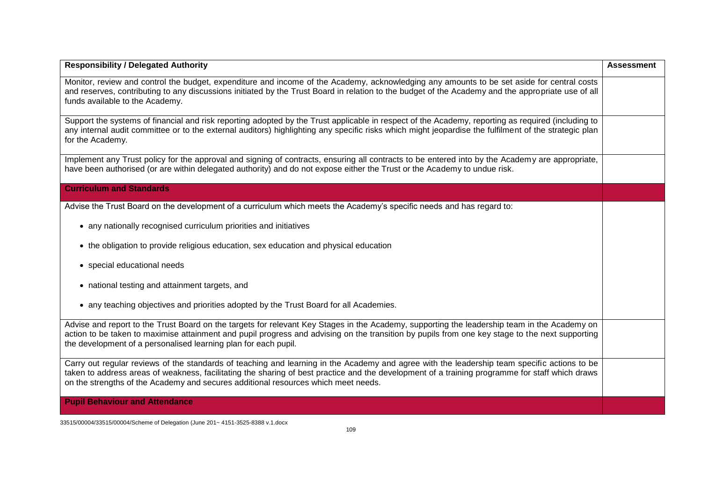| <b>Responsibility / Delegated Authority</b>                                                                                                                                                                                                                                                                                                                                           | <b>Assessment</b> |
|---------------------------------------------------------------------------------------------------------------------------------------------------------------------------------------------------------------------------------------------------------------------------------------------------------------------------------------------------------------------------------------|-------------------|
| Monitor, review and control the budget, expenditure and income of the Academy, acknowledging any amounts to be set aside for central costs<br>and reserves, contributing to any discussions initiated by the Trust Board in relation to the budget of the Academy and the appropriate use of all<br>funds available to the Academy.                                                   |                   |
| Support the systems of financial and risk reporting adopted by the Trust applicable in respect of the Academy, reporting as required (including to<br>any internal audit committee or to the external auditors) highlighting any specific risks which might jeopardise the fulfilment of the strategic plan<br>for the Academy.                                                       |                   |
| Implement any Trust policy for the approval and signing of contracts, ensuring all contracts to be entered into by the Academy are appropriate,<br>have been authorised (or are within delegated authority) and do not expose either the Trust or the Academy to undue risk.                                                                                                          |                   |
| <b>Curriculum and Standards</b>                                                                                                                                                                                                                                                                                                                                                       |                   |
| Advise the Trust Board on the development of a curriculum which meets the Academy's specific needs and has regard to:                                                                                                                                                                                                                                                                 |                   |
| • any nationally recognised curriculum priorities and initiatives                                                                                                                                                                                                                                                                                                                     |                   |
| • the obligation to provide religious education, sex education and physical education                                                                                                                                                                                                                                                                                                 |                   |
| • special educational needs                                                                                                                                                                                                                                                                                                                                                           |                   |
| • national testing and attainment targets, and                                                                                                                                                                                                                                                                                                                                        |                   |
| • any teaching objectives and priorities adopted by the Trust Board for all Academies.                                                                                                                                                                                                                                                                                                |                   |
| Advise and report to the Trust Board on the targets for relevant Key Stages in the Academy, supporting the leadership team in the Academy on<br>action to be taken to maximise attainment and pupil progress and advising on the transition by pupils from one key stage to the next supporting<br>the development of a personalised learning plan for each pupil.                    |                   |
| Carry out regular reviews of the standards of teaching and learning in the Academy and agree with the leadership team specific actions to be<br>taken to address areas of weakness, facilitating the sharing of best practice and the development of a training programme for staff which draws<br>on the strengths of the Academy and secures additional resources which meet needs. |                   |
| <b>Pupil Behaviour and Attendance</b>                                                                                                                                                                                                                                                                                                                                                 |                   |

33515/00004/33515/00004/Scheme of Delegation (June 201~ 4151-3525-8388 v.1.docx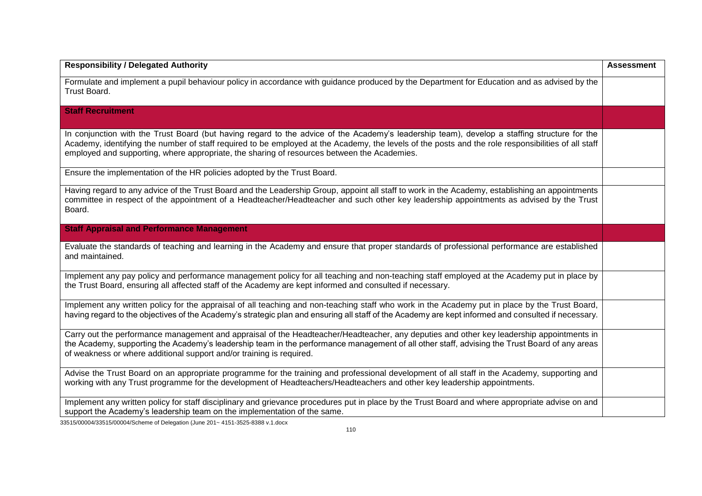| <b>Responsibility / Delegated Authority</b>                                                                                                                                                                                                                                                                                                                                                        | <b>Assessment</b> |
|----------------------------------------------------------------------------------------------------------------------------------------------------------------------------------------------------------------------------------------------------------------------------------------------------------------------------------------------------------------------------------------------------|-------------------|
| Formulate and implement a pupil behaviour policy in accordance with guidance produced by the Department for Education and as advised by the<br>Trust Board.                                                                                                                                                                                                                                        |                   |
| <b>Staff Recruitment</b>                                                                                                                                                                                                                                                                                                                                                                           |                   |
| In conjunction with the Trust Board (but having regard to the advice of the Academy's leadership team), develop a staffing structure for the<br>Academy, identifying the number of staff required to be employed at the Academy, the levels of the posts and the role responsibilities of all staff<br>employed and supporting, where appropriate, the sharing of resources between the Academies. |                   |
| Ensure the implementation of the HR policies adopted by the Trust Board.                                                                                                                                                                                                                                                                                                                           |                   |
| Having regard to any advice of the Trust Board and the Leadership Group, appoint all staff to work in the Academy, establishing an appointments<br>committee in respect of the appointment of a Headteacher/Headteacher and such other key leadership appointments as advised by the Trust<br>Board.                                                                                               |                   |
| <b>Staff Appraisal and Performance Management</b>                                                                                                                                                                                                                                                                                                                                                  |                   |
| Evaluate the standards of teaching and learning in the Academy and ensure that proper standards of professional performance are established<br>and maintained.                                                                                                                                                                                                                                     |                   |
| Implement any pay policy and performance management policy for all teaching and non-teaching staff employed at the Academy put in place by<br>the Trust Board, ensuring all affected staff of the Academy are kept informed and consulted if necessary.                                                                                                                                            |                   |
| Implement any written policy for the appraisal of all teaching and non-teaching staff who work in the Academy put in place by the Trust Board,<br>having regard to the objectives of the Academy's strategic plan and ensuring all staff of the Academy are kept informed and consulted if necessary.                                                                                              |                   |
| Carry out the performance management and appraisal of the Headteacher/Headteacher, any deputies and other key leadership appointments in<br>the Academy, supporting the Academy's leadership team in the performance management of all other staff, advising the Trust Board of any areas<br>of weakness or where additional support and/or training is required.                                  |                   |
| Advise the Trust Board on an appropriate programme for the training and professional development of all staff in the Academy, supporting and<br>working with any Trust programme for the development of Headteachers/Headteachers and other key leadership appointments.                                                                                                                           |                   |
| Implement any written policy for staff disciplinary and grievance procedures put in place by the Trust Board and where appropriate advise on and<br>support the Academy's leadership team on the implementation of the same.                                                                                                                                                                       |                   |

33515/00004/33515/00004/Scheme of Delegation (June 201~ 4151-3525-8388 v.1.docx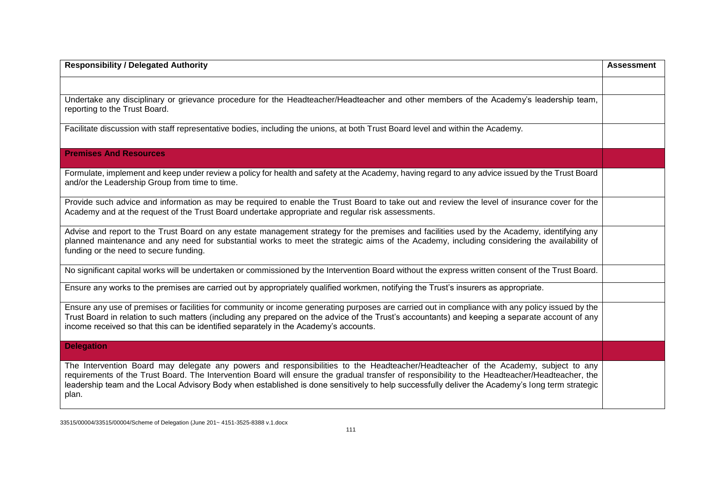| <b>Responsibility / Delegated Authority</b>                                                                                                                                                                                                                                                                                                                                                                                                     | <b>Assessment</b> |
|-------------------------------------------------------------------------------------------------------------------------------------------------------------------------------------------------------------------------------------------------------------------------------------------------------------------------------------------------------------------------------------------------------------------------------------------------|-------------------|
|                                                                                                                                                                                                                                                                                                                                                                                                                                                 |                   |
| Undertake any disciplinary or grievance procedure for the Headteacher/Headteacher and other members of the Academy's leadership team,<br>reporting to the Trust Board.                                                                                                                                                                                                                                                                          |                   |
| Facilitate discussion with staff representative bodies, including the unions, at both Trust Board level and within the Academy.                                                                                                                                                                                                                                                                                                                 |                   |
| <b>Premises And Resources</b>                                                                                                                                                                                                                                                                                                                                                                                                                   |                   |
| Formulate, implement and keep under review a policy for health and safety at the Academy, having regard to any advice issued by the Trust Board<br>and/or the Leadership Group from time to time.                                                                                                                                                                                                                                               |                   |
| Provide such advice and information as may be required to enable the Trust Board to take out and review the level of insurance cover for the<br>Academy and at the request of the Trust Board undertake appropriate and regular risk assessments.                                                                                                                                                                                               |                   |
| Advise and report to the Trust Board on any estate management strategy for the premises and facilities used by the Academy, identifying any<br>planned maintenance and any need for substantial works to meet the strategic aims of the Academy, including considering the availability of<br>funding or the need to secure funding.                                                                                                            |                   |
| No significant capital works will be undertaken or commissioned by the Intervention Board without the express written consent of the Trust Board.                                                                                                                                                                                                                                                                                               |                   |
| Ensure any works to the premises are carried out by appropriately qualified workmen, notifying the Trust's insurers as appropriate.                                                                                                                                                                                                                                                                                                             |                   |
| Ensure any use of premises or facilities for community or income generating purposes are carried out in compliance with any policy issued by the<br>Trust Board in relation to such matters (including any prepared on the advice of the Trust's accountants) and keeping a separate account of any<br>income received so that this can be identified separately in the Academy's accounts.                                                     |                   |
| <b>Delegation</b>                                                                                                                                                                                                                                                                                                                                                                                                                               |                   |
| The Intervention Board may delegate any powers and responsibilities to the Headteacher/Headteacher of the Academy, subject to any<br>requirements of the Trust Board. The Intervention Board will ensure the gradual transfer of responsibility to the Headteacher/Headteacher, the<br>leadership team and the Local Advisory Body when established is done sensitively to help successfully deliver the Academy's long term strategic<br>plan. |                   |

33515/00004/33515/00004/Scheme of Delegation (June 201~ 4151-3525-8388 v.1.docx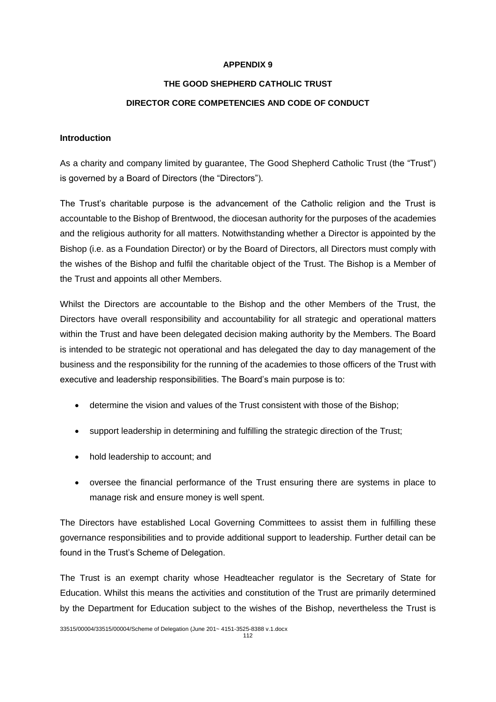#### **APPENDIX 9**

#### **THE GOOD SHEPHERD CATHOLIC TRUST**

#### **DIRECTOR CORE COMPETENCIES AND CODE OF CONDUCT**

#### **Introduction**

As a charity and company limited by guarantee, The Good Shepherd Catholic Trust (the "Trust") is governed by a Board of Directors (the "Directors").

The Trust's charitable purpose is the advancement of the Catholic religion and the Trust is accountable to the Bishop of Brentwood, the diocesan authority for the purposes of the academies and the religious authority for all matters. Notwithstanding whether a Director is appointed by the Bishop (i.e. as a Foundation Director) or by the Board of Directors, all Directors must comply with the wishes of the Bishop and fulfil the charitable object of the Trust. The Bishop is a Member of the Trust and appoints all other Members.

Whilst the Directors are accountable to the Bishop and the other Members of the Trust, the Directors have overall responsibility and accountability for all strategic and operational matters within the Trust and have been delegated decision making authority by the Members. The Board is intended to be strategic not operational and has delegated the day to day management of the business and the responsibility for the running of the academies to those officers of the Trust with executive and leadership responsibilities. The Board's main purpose is to:

- determine the vision and values of the Trust consistent with those of the Bishop;
- support leadership in determining and fulfilling the strategic direction of the Trust;
- hold leadership to account; and
- oversee the financial performance of the Trust ensuring there are systems in place to manage risk and ensure money is well spent.

The Directors have established Local Governing Committees to assist them in fulfilling these governance responsibilities and to provide additional support to leadership. Further detail can be found in the Trust's Scheme of Delegation.

The Trust is an exempt charity whose Headteacher regulator is the Secretary of State for Education. Whilst this means the activities and constitution of the Trust are primarily determined by the Department for Education subject to the wishes of the Bishop, nevertheless the Trust is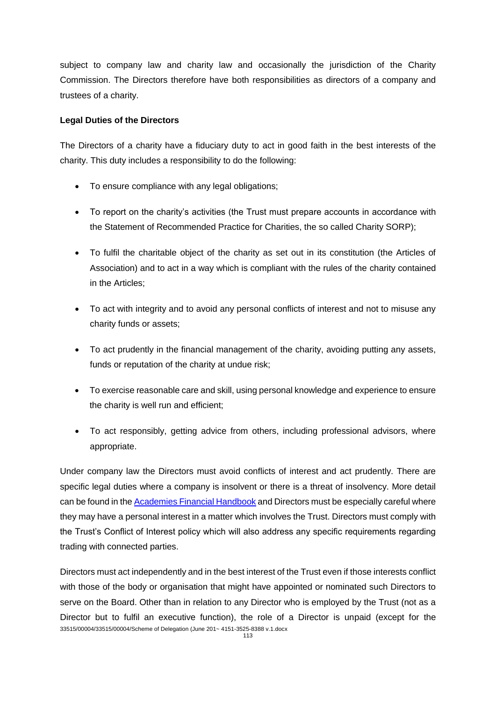subject to company law and charity law and occasionally the jurisdiction of the Charity Commission. The Directors therefore have both responsibilities as directors of a company and trustees of a charity.

#### **Legal Duties of the Directors**

The Directors of a charity have a fiduciary duty to act in good faith in the best interests of the charity. This duty includes a responsibility to do the following:

- To ensure compliance with any legal obligations;
- To report on the charity's activities (the Trust must prepare accounts in accordance with the Statement of Recommended Practice for Charities, the so called Charity SORP);
- To fulfil the charitable object of the charity as set out in its constitution (the Articles of Association) and to act in a way which is compliant with the rules of the charity contained in the Articles;
- To act with integrity and to avoid any personal conflicts of interest and not to misuse any charity funds or assets;
- To act prudently in the financial management of the charity, avoiding putting any assets, funds or reputation of the charity at undue risk;
- To exercise reasonable care and skill, using personal knowledge and experience to ensure the charity is well run and efficient;
- To act responsibly, getting advice from others, including professional advisors, where appropriate.

Under company law the Directors must avoid conflicts of interest and act prudently. There are specific legal duties where a company is insolvent or there is a threat of insolvency. More detail can be found in the [Academies Financial Handbook](https://www.gov.uk/government/publications/academies-financial-handbook) and Directors must be especially careful where they may have a personal interest in a matter which involves the Trust. Directors must comply with the Trust's Conflict of Interest policy which will also address any specific requirements regarding trading with connected parties.

33515/00004/33515/00004/Scheme of Delegation (June 201~ 4151-3525-8388 v.1.docx Directors must act independently and in the best interest of the Trust even if those interests conflict with those of the body or organisation that might have appointed or nominated such Directors to serve on the Board. Other than in relation to any Director who is employed by the Trust (not as a Director but to fulfil an executive function), the role of a Director is unpaid (except for the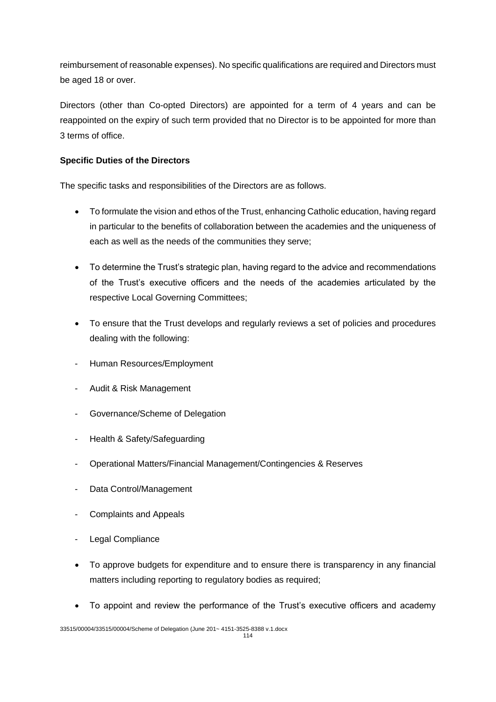reimbursement of reasonable expenses). No specific qualifications are required and Directors must be aged 18 or over.

Directors (other than Co-opted Directors) are appointed for a term of 4 years and can be reappointed on the expiry of such term provided that no Director is to be appointed for more than 3 terms of office.

# **Specific Duties of the Directors**

The specific tasks and responsibilities of the Directors are as follows.

- To formulate the vision and ethos of the Trust, enhancing Catholic education, having regard in particular to the benefits of collaboration between the academies and the uniqueness of each as well as the needs of the communities they serve;
- To determine the Trust's strategic plan, having regard to the advice and recommendations of the Trust's executive officers and the needs of the academies articulated by the respective Local Governing Committees;
- To ensure that the Trust develops and regularly reviews a set of policies and procedures dealing with the following:
- Human Resources/Employment
- Audit & Risk Management
- Governance/Scheme of Delegation
- Health & Safety/Safeguarding
- Operational Matters/Financial Management/Contingencies & Reserves
- Data Control/Management
- Complaints and Appeals
- Legal Compliance
- To approve budgets for expenditure and to ensure there is transparency in any financial matters including reporting to regulatory bodies as required;
- To appoint and review the performance of the Trust's executive officers and academy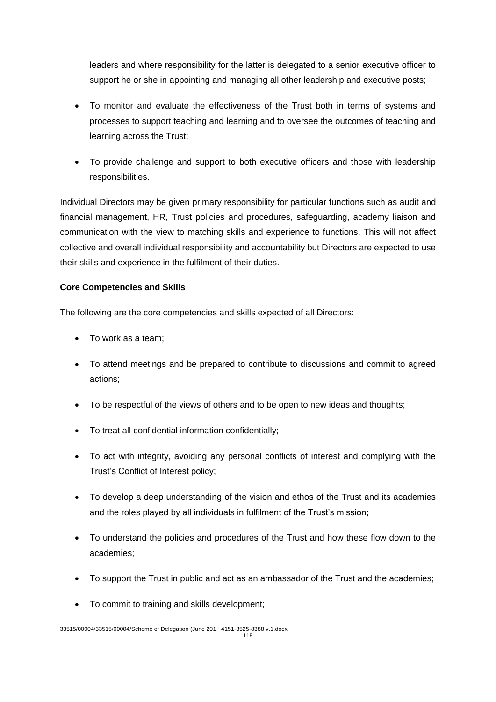leaders and where responsibility for the latter is delegated to a senior executive officer to support he or she in appointing and managing all other leadership and executive posts;

- To monitor and evaluate the effectiveness of the Trust both in terms of systems and processes to support teaching and learning and to oversee the outcomes of teaching and learning across the Trust;
- To provide challenge and support to both executive officers and those with leadership responsibilities.

Individual Directors may be given primary responsibility for particular functions such as audit and financial management, HR, Trust policies and procedures, safeguarding, academy liaison and communication with the view to matching skills and experience to functions. This will not affect collective and overall individual responsibility and accountability but Directors are expected to use their skills and experience in the fulfilment of their duties.

# **Core Competencies and Skills**

The following are the core competencies and skills expected of all Directors:

- To work as a team;
- To attend meetings and be prepared to contribute to discussions and commit to agreed actions;
- To be respectful of the views of others and to be open to new ideas and thoughts;
- To treat all confidential information confidentially;
- To act with integrity, avoiding any personal conflicts of interest and complying with the Trust's Conflict of Interest policy;
- To develop a deep understanding of the vision and ethos of the Trust and its academies and the roles played by all individuals in fulfilment of the Trust's mission;
- To understand the policies and procedures of the Trust and how these flow down to the academies;
- To support the Trust in public and act as an ambassador of the Trust and the academies;
- To commit to training and skills development;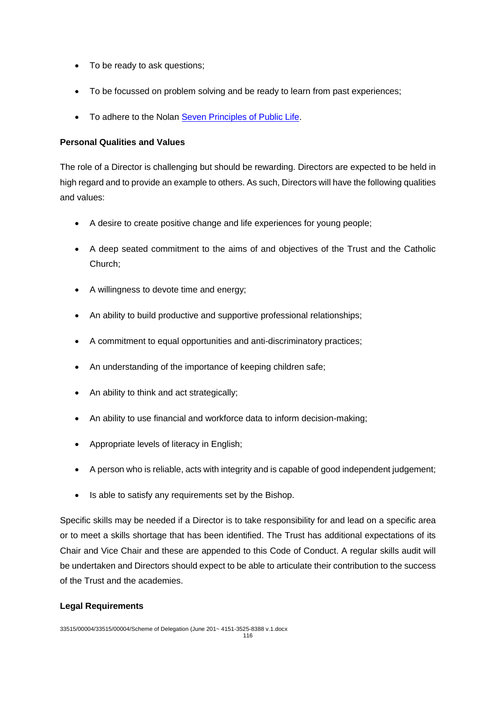- To be ready to ask questions;
- To be focussed on problem solving and be ready to learn from past experiences;
- To adhere to the Nolan [Seven Principles of Public Life.](https://www.gov.uk/government/publications/the-7-principles-of-public-life)

## **Personal Qualities and Values**

The role of a Director is challenging but should be rewarding. Directors are expected to be held in high regard and to provide an example to others. As such, Directors will have the following qualities and values:

- A desire to create positive change and life experiences for young people;
- A deep seated commitment to the aims of and objectives of the Trust and the Catholic Church;
- A willingness to devote time and energy;
- An ability to build productive and supportive professional relationships;
- A commitment to equal opportunities and anti-discriminatory practices;
- An understanding of the importance of keeping children safe;
- An ability to think and act strategically;
- An ability to use financial and workforce data to inform decision-making;
- Appropriate levels of literacy in English;
- A person who is reliable, acts with integrity and is capable of good independent judgement;
- Is able to satisfy any requirements set by the Bishop.

Specific skills may be needed if a Director is to take responsibility for and lead on a specific area or to meet a skills shortage that has been identified. The Trust has additional expectations of its Chair and Vice Chair and these are appended to this Code of Conduct. A regular skills audit will be undertaken and Directors should expect to be able to articulate their contribution to the success of the Trust and the academies.

## **Legal Requirements**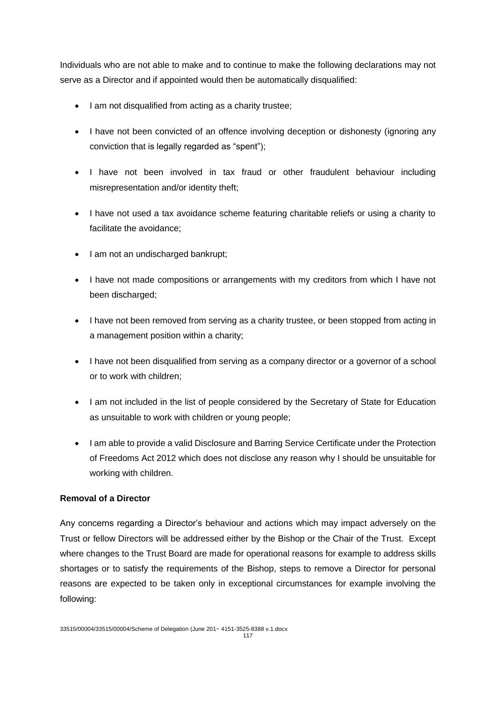Individuals who are not able to make and to continue to make the following declarations may not serve as a Director and if appointed would then be automatically disqualified:

- I am not disqualified from acting as a charity trustee:
- I have not been convicted of an offence involving deception or dishonesty (ignoring any conviction that is legally regarded as "spent");
- I have not been involved in tax fraud or other fraudulent behaviour including misrepresentation and/or identity theft;
- I have not used a tax avoidance scheme featuring charitable reliefs or using a charity to facilitate the avoidance;
- I am not an undischarged bankrupt;
- I have not made compositions or arrangements with my creditors from which I have not been discharged;
- I have not been removed from serving as a charity trustee, or been stopped from acting in a management position within a charity;
- I have not been disqualified from serving as a company director or a governor of a school or to work with children;
- I am not included in the list of people considered by the Secretary of State for Education as unsuitable to work with children or young people;
- I am able to provide a valid Disclosure and Barring Service Certificate under the Protection of Freedoms Act 2012 which does not disclose any reason why I should be unsuitable for working with children.

## **Removal of a Director**

Any concerns regarding a Director's behaviour and actions which may impact adversely on the Trust or fellow Directors will be addressed either by the Bishop or the Chair of the Trust. Except where changes to the Trust Board are made for operational reasons for example to address skills shortages or to satisfy the requirements of the Bishop, steps to remove a Director for personal reasons are expected to be taken only in exceptional circumstances for example involving the following: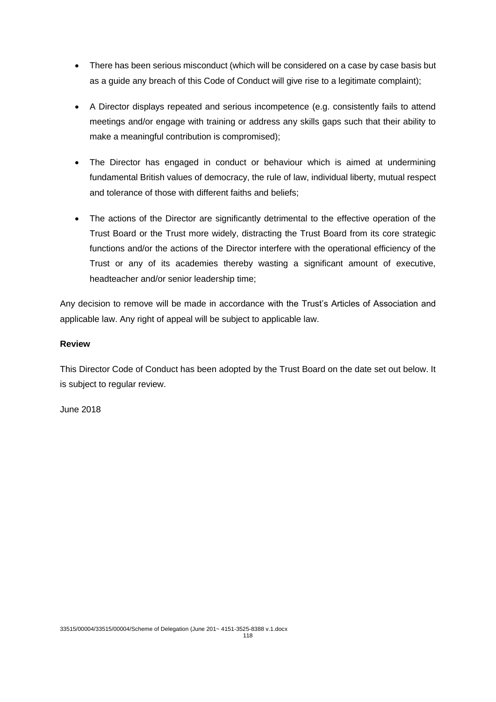- There has been serious misconduct (which will be considered on a case by case basis but as a guide any breach of this Code of Conduct will give rise to a legitimate complaint);
- A Director displays repeated and serious incompetence (e.g. consistently fails to attend meetings and/or engage with training or address any skills gaps such that their ability to make a meaningful contribution is compromised);
- The Director has engaged in conduct or behaviour which is aimed at undermining fundamental British values of democracy, the rule of law, individual liberty, mutual respect and tolerance of those with different faiths and beliefs;
- The actions of the Director are significantly detrimental to the effective operation of the Trust Board or the Trust more widely, distracting the Trust Board from its core strategic functions and/or the actions of the Director interfere with the operational efficiency of the Trust or any of its academies thereby wasting a significant amount of executive, headteacher and/or senior leadership time;

Any decision to remove will be made in accordance with the Trust's Articles of Association and applicable law. Any right of appeal will be subject to applicable law.

## **Review**

This Director Code of Conduct has been adopted by the Trust Board on the date set out below. It is subject to regular review.

June 2018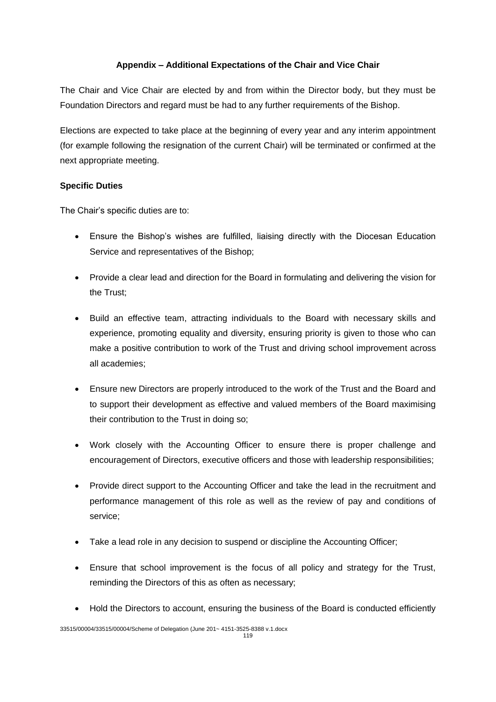# **Appendix – Additional Expectations of the Chair and Vice Chair**

The Chair and Vice Chair are elected by and from within the Director body, but they must be Foundation Directors and regard must be had to any further requirements of the Bishop.

Elections are expected to take place at the beginning of every year and any interim appointment (for example following the resignation of the current Chair) will be terminated or confirmed at the next appropriate meeting.

# **Specific Duties**

The Chair's specific duties are to:

- Ensure the Bishop's wishes are fulfilled, liaising directly with the Diocesan Education Service and representatives of the Bishop;
- Provide a clear lead and direction for the Board in formulating and delivering the vision for the Trust;
- Build an effective team, attracting individuals to the Board with necessary skills and experience, promoting equality and diversity, ensuring priority is given to those who can make a positive contribution to work of the Trust and driving school improvement across all academies;
- Ensure new Directors are properly introduced to the work of the Trust and the Board and to support their development as effective and valued members of the Board maximising their contribution to the Trust in doing so;
- Work closely with the Accounting Officer to ensure there is proper challenge and encouragement of Directors, executive officers and those with leadership responsibilities;
- Provide direct support to the Accounting Officer and take the lead in the recruitment and performance management of this role as well as the review of pay and conditions of service;
- Take a lead role in any decision to suspend or discipline the Accounting Officer;
- Ensure that school improvement is the focus of all policy and strategy for the Trust, reminding the Directors of this as often as necessary;
- Hold the Directors to account, ensuring the business of the Board is conducted efficiently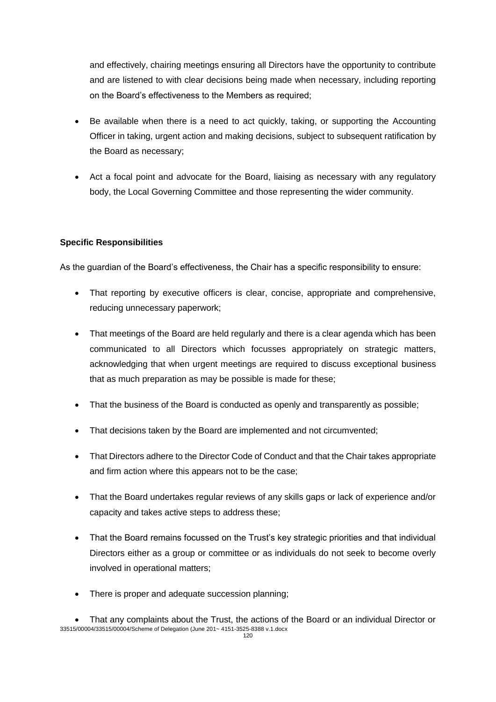and effectively, chairing meetings ensuring all Directors have the opportunity to contribute and are listened to with clear decisions being made when necessary, including reporting on the Board's effectiveness to the Members as required;

- Be available when there is a need to act quickly, taking, or supporting the Accounting Officer in taking, urgent action and making decisions, subject to subsequent ratification by the Board as necessary;
- Act a focal point and advocate for the Board, liaising as necessary with any regulatory body, the Local Governing Committee and those representing the wider community.

## **Specific Responsibilities**

As the guardian of the Board's effectiveness, the Chair has a specific responsibility to ensure:

- That reporting by executive officers is clear, concise, appropriate and comprehensive, reducing unnecessary paperwork;
- That meetings of the Board are held regularly and there is a clear agenda which has been communicated to all Directors which focusses appropriately on strategic matters, acknowledging that when urgent meetings are required to discuss exceptional business that as much preparation as may be possible is made for these;
- That the business of the Board is conducted as openly and transparently as possible;
- That decisions taken by the Board are implemented and not circumvented;
- That Directors adhere to the Director Code of Conduct and that the Chair takes appropriate and firm action where this appears not to be the case;
- That the Board undertakes regular reviews of any skills gaps or lack of experience and/or capacity and takes active steps to address these;
- That the Board remains focussed on the Trust's key strategic priorities and that individual Directors either as a group or committee or as individuals do not seek to become overly involved in operational matters;
- There is proper and adequate succession planning;

<sup>33515/00004/33515/00004/</sup>Scheme of Delegation (June 201~ 4151-3525-8388 v.1.docx That any complaints about the Trust, the actions of the Board or an individual Director or